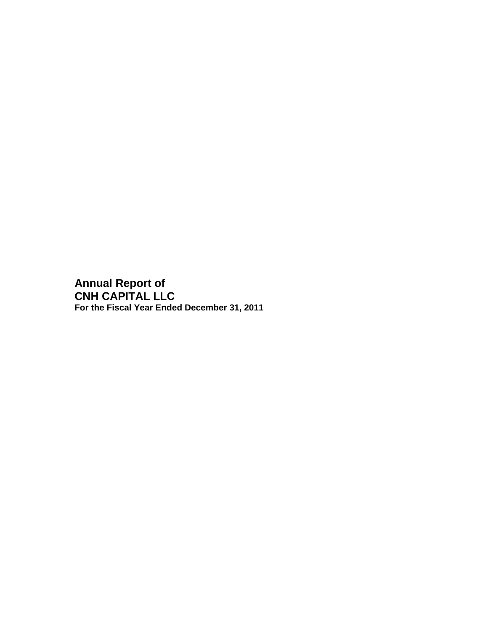**Annual Report of CNH CAPITAL LLC For the Fiscal Year Ended December 31, 2011**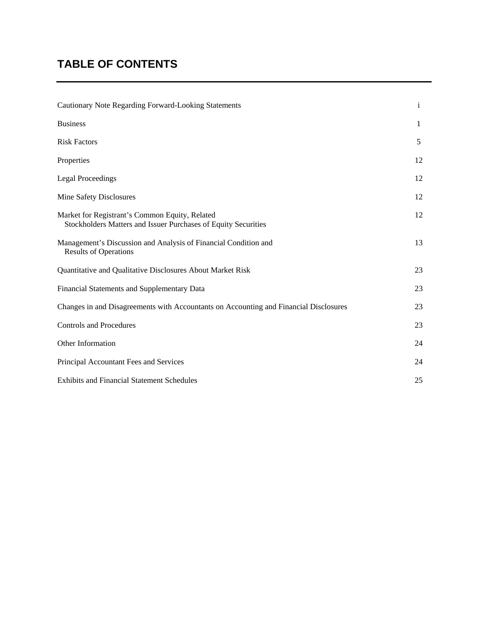# **TABLE OF CONTENTS**

| Cautionary Note Regarding Forward-Looking Statements                                                             | $\mathbf{i}$ |
|------------------------------------------------------------------------------------------------------------------|--------------|
| <b>Business</b>                                                                                                  | $\mathbf{1}$ |
| <b>Risk Factors</b>                                                                                              | 5            |
| Properties                                                                                                       | 12           |
| <b>Legal Proceedings</b>                                                                                         | 12           |
| Mine Safety Disclosures                                                                                          | 12           |
| Market for Registrant's Common Equity, Related<br>Stockholders Matters and Issuer Purchases of Equity Securities | 12           |
| Management's Discussion and Analysis of Financial Condition and<br><b>Results of Operations</b>                  | 13           |
| Quantitative and Qualitative Disclosures About Market Risk                                                       | 23           |
| Financial Statements and Supplementary Data                                                                      | 23           |
| Changes in and Disagreements with Accountants on Accounting and Financial Disclosures                            | 23           |
| <b>Controls and Procedures</b>                                                                                   | 23           |
| Other Information                                                                                                | 24           |
| Principal Accountant Fees and Services                                                                           | 24           |
| <b>Exhibits and Financial Statement Schedules</b>                                                                | 25           |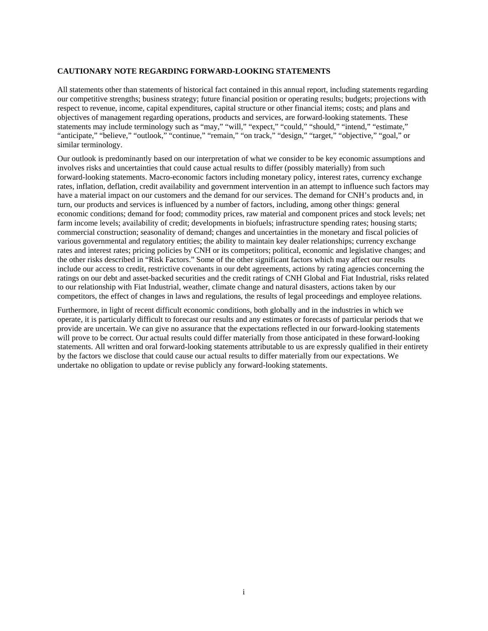#### **CAUTIONARY NOTE REGARDING FORWARD-LOOKING STATEMENTS**

All statements other than statements of historical fact contained in this annual report, including statements regarding our competitive strengths; business strategy; future financial position or operating results; budgets; projections with respect to revenue, income, capital expenditures, capital structure or other financial items; costs; and plans and objectives of management regarding operations, products and services, are forward-looking statements. These statements may include terminology such as "may," "will," "expect," "could," "should," "intend," "estimate," "anticipate," "believe," "outlook," "continue," "remain," "on track," "design," "target," "objective," "goal," or similar terminology.

Our outlook is predominantly based on our interpretation of what we consider to be key economic assumptions and involves risks and uncertainties that could cause actual results to differ (possibly materially) from such forward-looking statements. Macro-economic factors including monetary policy, interest rates, currency exchange rates, inflation, deflation, credit availability and government intervention in an attempt to influence such factors may have a material impact on our customers and the demand for our services. The demand for CNH's products and, in turn, our products and services is influenced by a number of factors, including, among other things: general economic conditions; demand for food; commodity prices, raw material and component prices and stock levels; net farm income levels; availability of credit; developments in biofuels; infrastructure spending rates; housing starts; commercial construction; seasonality of demand; changes and uncertainties in the monetary and fiscal policies of various governmental and regulatory entities; the ability to maintain key dealer relationships; currency exchange rates and interest rates; pricing policies by CNH or its competitors; political, economic and legislative changes; and the other risks described in "Risk Factors." Some of the other significant factors which may affect our results include our access to credit, restrictive covenants in our debt agreements, actions by rating agencies concerning the ratings on our debt and asset-backed securities and the credit ratings of CNH Global and Fiat Industrial, risks related to our relationship with Fiat Industrial, weather, climate change and natural disasters, actions taken by our competitors, the effect of changes in laws and regulations, the results of legal proceedings and employee relations.

Furthermore, in light of recent difficult economic conditions, both globally and in the industries in which we operate, it is particularly difficult to forecast our results and any estimates or forecasts of particular periods that we provide are uncertain. We can give no assurance that the expectations reflected in our forward-looking statements will prove to be correct. Our actual results could differ materially from those anticipated in these forward-looking statements. All written and oral forward-looking statements attributable to us are expressly qualified in their entirety by the factors we disclose that could cause our actual results to differ materially from our expectations. We undertake no obligation to update or revise publicly any forward-looking statements.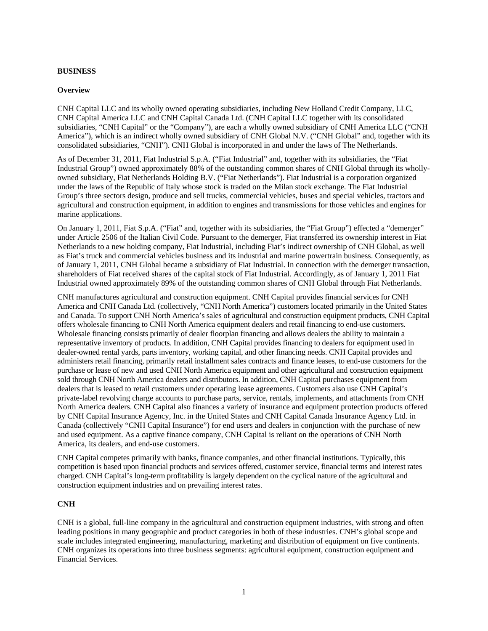# **BUSINESS**

### **Overview**

CNH Capital LLC and its wholly owned operating subsidiaries, including New Holland Credit Company, LLC, CNH Capital America LLC and CNH Capital Canada Ltd. (CNH Capital LLC together with its consolidated subsidiaries, "CNH Capital" or the "Company"), are each a wholly owned subsidiary of CNH America LLC ("CNH America"), which is an indirect wholly owned subsidiary of CNH Global N.V. ("CNH Global" and, together with its consolidated subsidiaries, "CNH"). CNH Global is incorporated in and under the laws of The Netherlands.

As of December 31, 2011, Fiat Industrial S.p.A. ("Fiat Industrial" and, together with its subsidiaries, the "Fiat Industrial Group") owned approximately 88% of the outstanding common shares of CNH Global through its whollyowned subsidiary, Fiat Netherlands Holding B.V. ("Fiat Netherlands"). Fiat Industrial is a corporation organized under the laws of the Republic of Italy whose stock is traded on the Milan stock exchange. The Fiat Industrial Group's three sectors design, produce and sell trucks, commercial vehicles, buses and special vehicles, tractors and agricultural and construction equipment, in addition to engines and transmissions for those vehicles and engines for marine applications.

On January 1, 2011, Fiat S.p.A. ("Fiat" and, together with its subsidiaries, the "Fiat Group") effected a "demerger" under Article 2506 of the Italian Civil Code. Pursuant to the demerger, Fiat transferred its ownership interest in Fiat Netherlands to a new holding company, Fiat Industrial, including Fiat's indirect ownership of CNH Global, as well as Fiat's truck and commercial vehicles business and its industrial and marine powertrain business. Consequently, as of January 1, 2011, CNH Global became a subsidiary of Fiat Industrial. In connection with the demerger transaction, shareholders of Fiat received shares of the capital stock of Fiat Industrial. Accordingly, as of January 1, 2011 Fiat Industrial owned approximately 89% of the outstanding common shares of CNH Global through Fiat Netherlands.

CNH manufactures agricultural and construction equipment. CNH Capital provides financial services for CNH America and CNH Canada Ltd. (collectively, "CNH North America") customers located primarily in the United States and Canada. To support CNH North America's sales of agricultural and construction equipment products, CNH Capital offers wholesale financing to CNH North America equipment dealers and retail financing to end-use customers. Wholesale financing consists primarily of dealer floorplan financing and allows dealers the ability to maintain a representative inventory of products. In addition, CNH Capital provides financing to dealers for equipment used in dealer-owned rental yards, parts inventory, working capital, and other financing needs. CNH Capital provides and administers retail financing, primarily retail installment sales contracts and finance leases, to end-use customers for the purchase or lease of new and used CNH North America equipment and other agricultural and construction equipment sold through CNH North America dealers and distributors. In addition, CNH Capital purchases equipment from dealers that is leased to retail customers under operating lease agreements. Customers also use CNH Capital's private-label revolving charge accounts to purchase parts, service, rentals, implements, and attachments from CNH North America dealers. CNH Capital also finances a variety of insurance and equipment protection products offered by CNH Capital Insurance Agency, Inc. in the United States and CNH Capital Canada Insurance Agency Ltd. in Canada (collectively "CNH Capital Insurance") for end users and dealers in conjunction with the purchase of new and used equipment. As a captive finance company, CNH Capital is reliant on the operations of CNH North America, its dealers, and end-use customers.

CNH Capital competes primarily with banks, finance companies, and other financial institutions. Typically, this competition is based upon financial products and services offered, customer service, financial terms and interest rates charged. CNH Capital's long-term profitability is largely dependent on the cyclical nature of the agricultural and construction equipment industries and on prevailing interest rates.

# **CNH**

CNH is a global, full-line company in the agricultural and construction equipment industries, with strong and often leading positions in many geographic and product categories in both of these industries. CNH's global scope and scale includes integrated engineering, manufacturing, marketing and distribution of equipment on five continents. CNH organizes its operations into three business segments: agricultural equipment, construction equipment and Financial Services.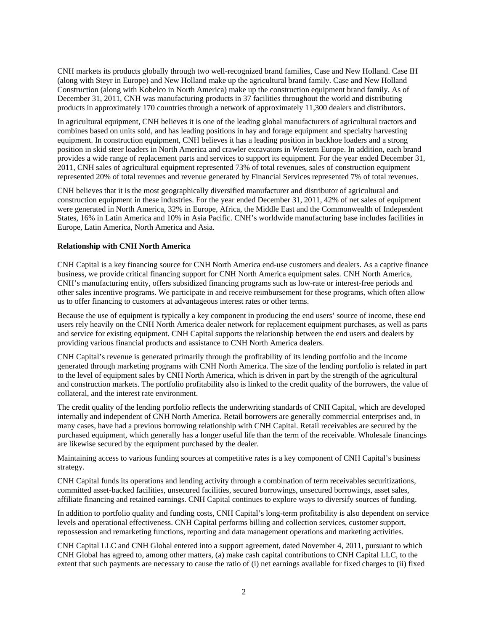CNH markets its products globally through two well-recognized brand families, Case and New Holland. Case IH (along with Steyr in Europe) and New Holland make up the agricultural brand family. Case and New Holland Construction (along with Kobelco in North America) make up the construction equipment brand family. As of December 31, 2011, CNH was manufacturing products in 37 facilities throughout the world and distributing products in approximately 170 countries through a network of approximately 11,300 dealers and distributors.

In agricultural equipment, CNH believes it is one of the leading global manufacturers of agricultural tractors and combines based on units sold, and has leading positions in hay and forage equipment and specialty harvesting equipment. In construction equipment, CNH believes it has a leading position in backhoe loaders and a strong position in skid steer loaders in North America and crawler excavators in Western Europe. In addition, each brand provides a wide range of replacement parts and services to support its equipment. For the year ended December 31, 2011, CNH sales of agricultural equipment represented 73% of total revenues, sales of construction equipment represented 20% of total revenues and revenue generated by Financial Services represented 7% of total revenues.

CNH believes that it is the most geographically diversified manufacturer and distributor of agricultural and construction equipment in these industries. For the year ended December 31, 2011, 42% of net sales of equipment were generated in North America, 32% in Europe, Africa, the Middle East and the Commonwealth of Independent States, 16% in Latin America and 10% in Asia Pacific. CNH's worldwide manufacturing base includes facilities in Europe, Latin America, North America and Asia.

# **Relationship with CNH North America**

CNH Capital is a key financing source for CNH North America end-use customers and dealers. As a captive finance business, we provide critical financing support for CNH North America equipment sales. CNH North America, CNH's manufacturing entity, offers subsidized financing programs such as low-rate or interest-free periods and other sales incentive programs. We participate in and receive reimbursement for these programs, which often allow us to offer financing to customers at advantageous interest rates or other terms.

Because the use of equipment is typically a key component in producing the end users' source of income, these end users rely heavily on the CNH North America dealer network for replacement equipment purchases, as well as parts and service for existing equipment. CNH Capital supports the relationship between the end users and dealers by providing various financial products and assistance to CNH North America dealers.

CNH Capital's revenue is generated primarily through the profitability of its lending portfolio and the income generated through marketing programs with CNH North America. The size of the lending portfolio is related in part to the level of equipment sales by CNH North America, which is driven in part by the strength of the agricultural and construction markets. The portfolio profitability also is linked to the credit quality of the borrowers, the value of collateral, and the interest rate environment.

The credit quality of the lending portfolio reflects the underwriting standards of CNH Capital, which are developed internally and independent of CNH North America. Retail borrowers are generally commercial enterprises and, in many cases, have had a previous borrowing relationship with CNH Capital. Retail receivables are secured by the purchased equipment, which generally has a longer useful life than the term of the receivable. Wholesale financings are likewise secured by the equipment purchased by the dealer.

Maintaining access to various funding sources at competitive rates is a key component of CNH Capital's business strategy.

CNH Capital funds its operations and lending activity through a combination of term receivables securitizations, committed asset-backed facilities, unsecured facilities, secured borrowings, unsecured borrowings, asset sales, affiliate financing and retained earnings. CNH Capital continues to explore ways to diversify sources of funding.

In addition to portfolio quality and funding costs, CNH Capital's long-term profitability is also dependent on service levels and operational effectiveness. CNH Capital performs billing and collection services, customer support, repossession and remarketing functions, reporting and data management operations and marketing activities.

CNH Capital LLC and CNH Global entered into a support agreement, dated November 4, 2011, pursuant to which CNH Global has agreed to, among other matters, (a) make cash capital contributions to CNH Capital LLC, to the extent that such payments are necessary to cause the ratio of (i) net earnings available for fixed charges to (ii) fixed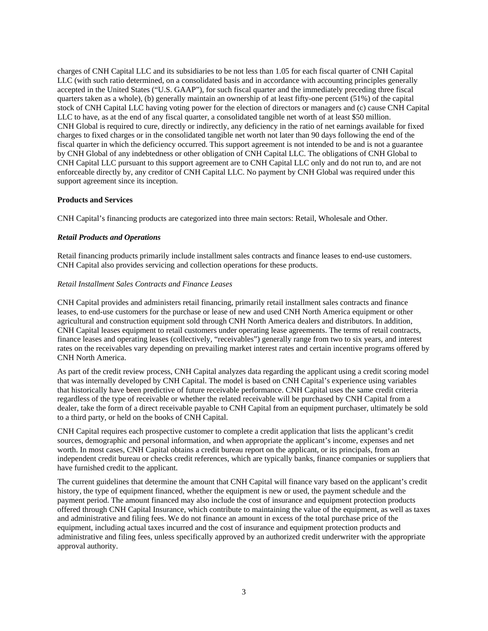charges of CNH Capital LLC and its subsidiaries to be not less than 1.05 for each fiscal quarter of CNH Capital LLC (with such ratio determined, on a consolidated basis and in accordance with accounting principles generally accepted in the United States ("U.S. GAAP"), for such fiscal quarter and the immediately preceding three fiscal quarters taken as a whole), (b) generally maintain an ownership of at least fifty-one percent (51%) of the capital stock of CNH Capital LLC having voting power for the election of directors or managers and (c) cause CNH Capital LLC to have, as at the end of any fiscal quarter, a consolidated tangible net worth of at least \$50 million. CNH Global is required to cure, directly or indirectly, any deficiency in the ratio of net earnings available for fixed charges to fixed charges or in the consolidated tangible net worth not later than 90 days following the end of the fiscal quarter in which the deficiency occurred. This support agreement is not intended to be and is not a guarantee by CNH Global of any indebtedness or other obligation of CNH Capital LLC. The obligations of CNH Global to CNH Capital LLC pursuant to this support agreement are to CNH Capital LLC only and do not run to, and are not enforceable directly by, any creditor of CNH Capital LLC. No payment by CNH Global was required under this support agreement since its inception.

# **Products and Services**

CNH Capital's financing products are categorized into three main sectors: Retail, Wholesale and Other.

# *Retail Products and Operations*

Retail financing products primarily include installment sales contracts and finance leases to end-use customers. CNH Capital also provides servicing and collection operations for these products.

# *Retail Installment Sales Contracts and Finance Leases*

CNH Capital provides and administers retail financing, primarily retail installment sales contracts and finance leases, to end-use customers for the purchase or lease of new and used CNH North America equipment or other agricultural and construction equipment sold through CNH North America dealers and distributors. In addition, CNH Capital leases equipment to retail customers under operating lease agreements. The terms of retail contracts, finance leases and operating leases (collectively, "receivables") generally range from two to six years, and interest rates on the receivables vary depending on prevailing market interest rates and certain incentive programs offered by CNH North America.

As part of the credit review process, CNH Capital analyzes data regarding the applicant using a credit scoring model that was internally developed by CNH Capital. The model is based on CNH Capital's experience using variables that historically have been predictive of future receivable performance. CNH Capital uses the same credit criteria regardless of the type of receivable or whether the related receivable will be purchased by CNH Capital from a dealer, take the form of a direct receivable payable to CNH Capital from an equipment purchaser, ultimately be sold to a third party, or held on the books of CNH Capital.

CNH Capital requires each prospective customer to complete a credit application that lists the applicant's credit sources, demographic and personal information, and when appropriate the applicant's income, expenses and net worth. In most cases, CNH Capital obtains a credit bureau report on the applicant, or its principals, from an independent credit bureau or checks credit references, which are typically banks, finance companies or suppliers that have furnished credit to the applicant.

The current guidelines that determine the amount that CNH Capital will finance vary based on the applicant's credit history, the type of equipment financed, whether the equipment is new or used, the payment schedule and the payment period. The amount financed may also include the cost of insurance and equipment protection products offered through CNH Capital Insurance, which contribute to maintaining the value of the equipment, as well as taxes and administrative and filing fees. We do not finance an amount in excess of the total purchase price of the equipment, including actual taxes incurred and the cost of insurance and equipment protection products and administrative and filing fees, unless specifically approved by an authorized credit underwriter with the appropriate approval authority.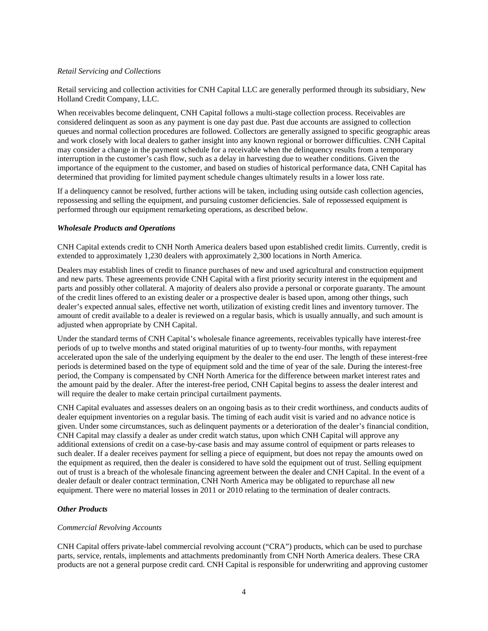#### *Retail Servicing and Collections*

Retail servicing and collection activities for CNH Capital LLC are generally performed through its subsidiary, New Holland Credit Company, LLC.

When receivables become delinquent, CNH Capital follows a multi-stage collection process. Receivables are considered delinquent as soon as any payment is one day past due. Past due accounts are assigned to collection queues and normal collection procedures are followed. Collectors are generally assigned to specific geographic areas and work closely with local dealers to gather insight into any known regional or borrower difficulties. CNH Capital may consider a change in the payment schedule for a receivable when the delinquency results from a temporary interruption in the customer's cash flow, such as a delay in harvesting due to weather conditions. Given the importance of the equipment to the customer, and based on studies of historical performance data, CNH Capital has determined that providing for limited payment schedule changes ultimately results in a lower loss rate.

If a delinquency cannot be resolved, further actions will be taken, including using outside cash collection agencies, repossessing and selling the equipment, and pursuing customer deficiencies. Sale of repossessed equipment is performed through our equipment remarketing operations, as described below.

# *Wholesale Products and Operations*

CNH Capital extends credit to CNH North America dealers based upon established credit limits. Currently, credit is extended to approximately 1,230 dealers with approximately 2,300 locations in North America.

Dealers may establish lines of credit to finance purchases of new and used agricultural and construction equipment and new parts. These agreements provide CNH Capital with a first priority security interest in the equipment and parts and possibly other collateral. A majority of dealers also provide a personal or corporate guaranty. The amount of the credit lines offered to an existing dealer or a prospective dealer is based upon, among other things, such dealer's expected annual sales, effective net worth, utilization of existing credit lines and inventory turnover. The amount of credit available to a dealer is reviewed on a regular basis, which is usually annually, and such amount is adjusted when appropriate by CNH Capital.

Under the standard terms of CNH Capital's wholesale finance agreements, receivables typically have interest-free periods of up to twelve months and stated original maturities of up to twenty-four months, with repayment accelerated upon the sale of the underlying equipment by the dealer to the end user. The length of these interest-free periods is determined based on the type of equipment sold and the time of year of the sale. During the interest-free period, the Company is compensated by CNH North America for the difference between market interest rates and the amount paid by the dealer. After the interest-free period, CNH Capital begins to assess the dealer interest and will require the dealer to make certain principal curtailment payments.

CNH Capital evaluates and assesses dealers on an ongoing basis as to their credit worthiness, and conducts audits of dealer equipment inventories on a regular basis. The timing of each audit visit is varied and no advance notice is given. Under some circumstances, such as delinquent payments or a deterioration of the dealer's financial condition, CNH Capital may classify a dealer as under credit watch status, upon which CNH Capital will approve any additional extensions of credit on a case-by-case basis and may assume control of equipment or parts releases to such dealer. If a dealer receives payment for selling a piece of equipment, but does not repay the amounts owed on the equipment as required, then the dealer is considered to have sold the equipment out of trust. Selling equipment out of trust is a breach of the wholesale financing agreement between the dealer and CNH Capital. In the event of a dealer default or dealer contract termination, CNH North America may be obligated to repurchase all new equipment. There were no material losses in 2011 or 2010 relating to the termination of dealer contracts.

#### *Other Products*

#### *Commercial Revolving Accounts*

CNH Capital offers private-label commercial revolving account ("CRA") products, which can be used to purchase parts, service, rentals, implements and attachments predominantly from CNH North America dealers. These CRA products are not a general purpose credit card. CNH Capital is responsible for underwriting and approving customer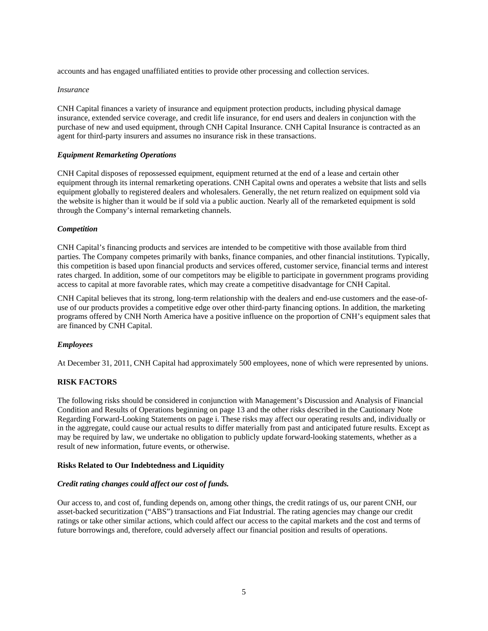accounts and has engaged unaffiliated entities to provide other processing and collection services.

#### *Insurance*

CNH Capital finances a variety of insurance and equipment protection products, including physical damage insurance, extended service coverage, and credit life insurance, for end users and dealers in conjunction with the purchase of new and used equipment, through CNH Capital Insurance. CNH Capital Insurance is contracted as an agent for third-party insurers and assumes no insurance risk in these transactions.

#### *Equipment Remarketing Operations*

CNH Capital disposes of repossessed equipment, equipment returned at the end of a lease and certain other equipment through its internal remarketing operations. CNH Capital owns and operates a website that lists and sells equipment globally to registered dealers and wholesalers. Generally, the net return realized on equipment sold via the website is higher than it would be if sold via a public auction. Nearly all of the remarketed equipment is sold through the Company's internal remarketing channels.

#### *Competition*

CNH Capital's financing products and services are intended to be competitive with those available from third parties. The Company competes primarily with banks, finance companies, and other financial institutions. Typically, this competition is based upon financial products and services offered, customer service, financial terms and interest rates charged. In addition, some of our competitors may be eligible to participate in government programs providing access to capital at more favorable rates, which may create a competitive disadvantage for CNH Capital.

CNH Capital believes that its strong, long-term relationship with the dealers and end-use customers and the ease-ofuse of our products provides a competitive edge over other third-party financing options. In addition, the marketing programs offered by CNH North America have a positive influence on the proportion of CNH's equipment sales that are financed by CNH Capital.

#### *Employees*

At December 31, 2011, CNH Capital had approximately 500 employees, none of which were represented by unions.

#### **RISK FACTORS**

The following risks should be considered in conjunction with Management's Discussion and Analysis of Financial Condition and Results of Operations beginning on page 13 and the other risks described in the Cautionary Note Regarding Forward-Looking Statements on page i. These risks may affect our operating results and, individually or in the aggregate, could cause our actual results to differ materially from past and anticipated future results. Except as may be required by law, we undertake no obligation to publicly update forward-looking statements, whether as a result of new information, future events, or otherwise.

#### **Risks Related to Our Indebtedness and Liquidity**

#### *Credit rating changes could affect our cost of funds.*

Our access to, and cost of, funding depends on, among other things, the credit ratings of us, our parent CNH, our asset-backed securitization ("ABS") transactions and Fiat Industrial. The rating agencies may change our credit ratings or take other similar actions, which could affect our access to the capital markets and the cost and terms of future borrowings and, therefore, could adversely affect our financial position and results of operations.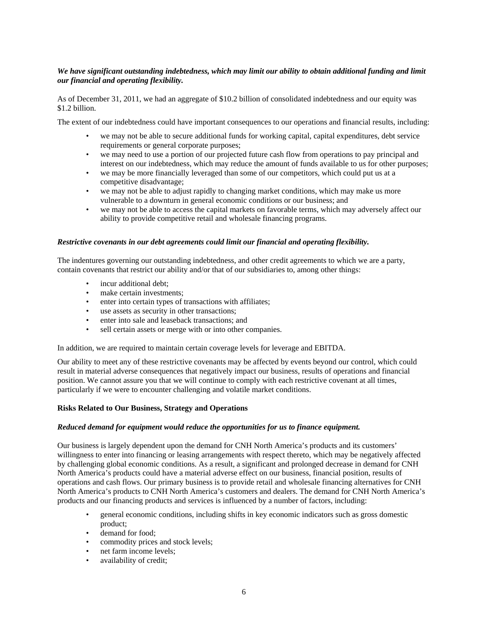# *We have significant outstanding indebtedness, which may limit our ability to obtain additional funding and limit our financial and operating flexibility.*

As of December 31, 2011, we had an aggregate of \$10.2 billion of consolidated indebtedness and our equity was \$1.2 billion.

The extent of our indebtedness could have important consequences to our operations and financial results, including:

- we may not be able to secure additional funds for working capital, capital expenditures, debt service requirements or general corporate purposes;
- we may need to use a portion of our projected future cash flow from operations to pay principal and interest on our indebtedness, which may reduce the amount of funds available to us for other purposes;
- we may be more financially leveraged than some of our competitors, which could put us at a competitive disadvantage;
- we may not be able to adjust rapidly to changing market conditions, which may make us more vulnerable to a downturn in general economic conditions or our business; and
- we may not be able to access the capital markets on favorable terms, which may adversely affect our ability to provide competitive retail and wholesale financing programs.

#### *Restrictive covenants in our debt agreements could limit our financial and operating flexibility.*

The indentures governing our outstanding indebtedness, and other credit agreements to which we are a party, contain covenants that restrict our ability and/or that of our subsidiaries to, among other things:

- incur additional debt:
- make certain investments:
- enter into certain types of transactions with affiliates;
- use assets as security in other transactions;
- enter into sale and leaseback transactions; and
- sell certain assets or merge with or into other companies.

In addition, we are required to maintain certain coverage levels for leverage and EBITDA.

Our ability to meet any of these restrictive covenants may be affected by events beyond our control, which could result in material adverse consequences that negatively impact our business, results of operations and financial position. We cannot assure you that we will continue to comply with each restrictive covenant at all times, particularly if we were to encounter challenging and volatile market conditions.

#### **Risks Related to Our Business, Strategy and Operations**

#### *Reduced demand for equipment would reduce the opportunities for us to finance equipment.*

Our business is largely dependent upon the demand for CNH North America's products and its customers' willingness to enter into financing or leasing arrangements with respect thereto, which may be negatively affected by challenging global economic conditions. As a result, a significant and prolonged decrease in demand for CNH North America's products could have a material adverse effect on our business, financial position, results of operations and cash flows. Our primary business is to provide retail and wholesale financing alternatives for CNH North America's products to CNH North America's customers and dealers. The demand for CNH North America's products and our financing products and services is influenced by a number of factors, including:

- general economic conditions, including shifts in key economic indicators such as gross domestic product;
- demand for food;
- commodity prices and stock levels;
- net farm income levels;
- availability of credit;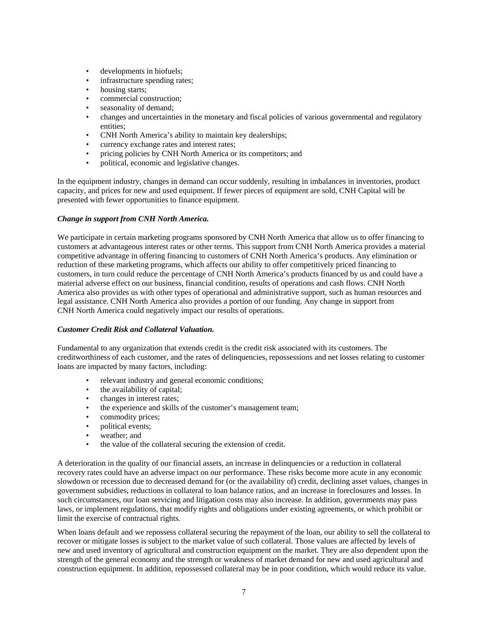- developments in biofuels;
- infrastructure spending rates;
- housing starts;
- commercial construction;
- seasonality of demand;
- changes and uncertainties in the monetary and fiscal policies of various governmental and regulatory entities;
- CNH North America's ability to maintain key dealerships;
- currency exchange rates and interest rates;
- pricing policies by CNH North America or its competitors; and
- political, economic and legislative changes.

In the equipment industry, changes in demand can occur suddenly, resulting in imbalances in inventories, product capacity, and prices for new and used equipment. If fewer pieces of equipment are sold, CNH Capital will be presented with fewer opportunities to finance equipment.

# *Change in support from CNH North America.*

We participate in certain marketing programs sponsored by CNH North America that allow us to offer financing to customers at advantageous interest rates or other terms. This support from CNH North America provides a material competitive advantage in offering financing to customers of CNH North America's products. Any elimination or reduction of these marketing programs, which affects our ability to offer competitively priced financing to customers, in turn could reduce the percentage of CNH North America's products financed by us and could have a material adverse effect on our business, financial condition, results of operations and cash flows. CNH North America also provides us with other types of operational and administrative support, such as human resources and legal assistance. CNH North America also provides a portion of our funding. Any change in support from CNH North America could negatively impact our results of operations.

#### *Customer Credit Risk and Collateral Valuation.*

Fundamental to any organization that extends credit is the credit risk associated with its customers. The creditworthiness of each customer, and the rates of delinquencies, repossessions and net losses relating to customer loans are impacted by many factors, including:

- relevant industry and general economic conditions;
- the availability of capital;
- changes in interest rates;<br>• the experience and skills
- the experience and skills of the customer's management team;
- commodity prices;
- political events;
- weather; and
- the value of the collateral securing the extension of credit.

A deterioration in the quality of our financial assets, an increase in delinquencies or a reduction in collateral recovery rates could have an adverse impact on our performance. These risks become more acute in any economic slowdown or recession due to decreased demand for (or the availability of) credit, declining asset values, changes in government subsidies, reductions in collateral to loan balance ratios, and an increase in foreclosures and losses. In such circumstances, our loan servicing and litigation costs may also increase. In addition, governments may pass laws, or implement regulations, that modify rights and obligations under existing agreements, or which prohibit or limit the exercise of contractual rights.

When loans default and we repossess collateral securing the repayment of the loan, our ability to sell the collateral to recover or mitigate losses is subject to the market value of such collateral. Those values are affected by levels of new and used inventory of agricultural and construction equipment on the market. They are also dependent upon the strength of the general economy and the strength or weakness of market demand for new and used agricultural and construction equipment. In addition, repossessed collateral may be in poor condition, which would reduce its value.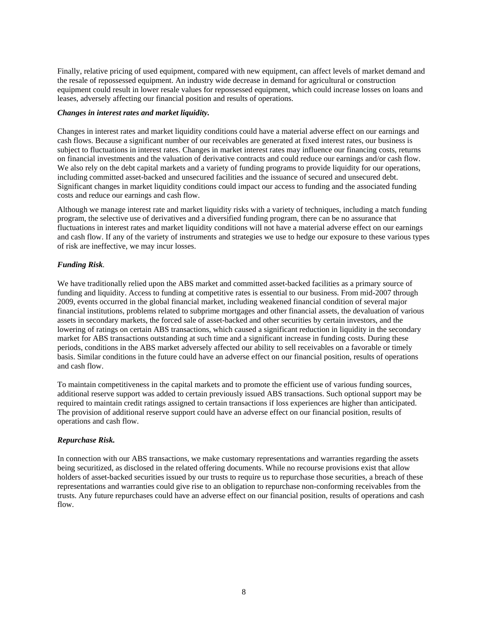Finally, relative pricing of used equipment, compared with new equipment, can affect levels of market demand and the resale of repossessed equipment. An industry wide decrease in demand for agricultural or construction equipment could result in lower resale values for repossessed equipment, which could increase losses on loans and leases, adversely affecting our financial position and results of operations.

### *Changes in interest rates and market liquidity.*

Changes in interest rates and market liquidity conditions could have a material adverse effect on our earnings and cash flows. Because a significant number of our receivables are generated at fixed interest rates, our business is subject to fluctuations in interest rates. Changes in market interest rates may influence our financing costs, returns on financial investments and the valuation of derivative contracts and could reduce our earnings and/or cash flow. We also rely on the debt capital markets and a variety of funding programs to provide liquidity for our operations, including committed asset-backed and unsecured facilities and the issuance of secured and unsecured debt. Significant changes in market liquidity conditions could impact our access to funding and the associated funding costs and reduce our earnings and cash flow.

Although we manage interest rate and market liquidity risks with a variety of techniques, including a match funding program, the selective use of derivatives and a diversified funding program, there can be no assurance that fluctuations in interest rates and market liquidity conditions will not have a material adverse effect on our earnings and cash flow. If any of the variety of instruments and strategies we use to hedge our exposure to these various types of risk are ineffective, we may incur losses.

# *Funding Risk.*

We have traditionally relied upon the ABS market and committed asset-backed facilities as a primary source of funding and liquidity. Access to funding at competitive rates is essential to our business. From mid-2007 through 2009, events occurred in the global financial market, including weakened financial condition of several major financial institutions, problems related to subprime mortgages and other financial assets, the devaluation of various assets in secondary markets, the forced sale of asset-backed and other securities by certain investors, and the lowering of ratings on certain ABS transactions, which caused a significant reduction in liquidity in the secondary market for ABS transactions outstanding at such time and a significant increase in funding costs. During these periods, conditions in the ABS market adversely affected our ability to sell receivables on a favorable or timely basis. Similar conditions in the future could have an adverse effect on our financial position, results of operations and cash flow.

To maintain competitiveness in the capital markets and to promote the efficient use of various funding sources, additional reserve support was added to certain previously issued ABS transactions. Such optional support may be required to maintain credit ratings assigned to certain transactions if loss experiences are higher than anticipated. The provision of additional reserve support could have an adverse effect on our financial position, results of operations and cash flow.

# *Repurchase Risk.*

In connection with our ABS transactions, we make customary representations and warranties regarding the assets being securitized, as disclosed in the related offering documents. While no recourse provisions exist that allow holders of asset-backed securities issued by our trusts to require us to repurchase those securities, a breach of these representations and warranties could give rise to an obligation to repurchase non-conforming receivables from the trusts. Any future repurchases could have an adverse effect on our financial position, results of operations and cash flow.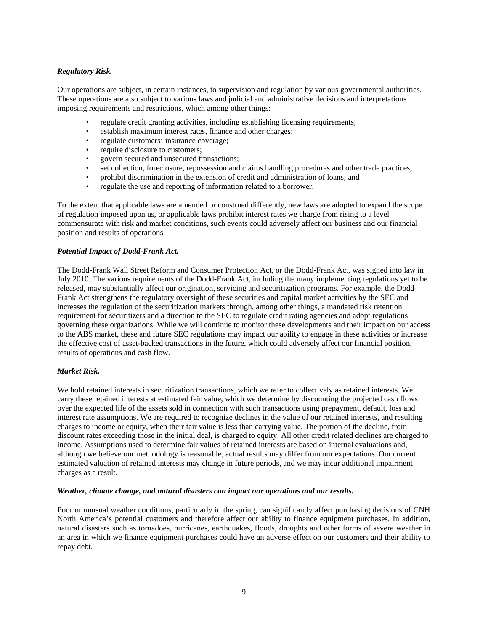# *Regulatory Risk.*

Our operations are subject, in certain instances, to supervision and regulation by various governmental authorities. These operations are also subject to various laws and judicial and administrative decisions and interpretations imposing requirements and restrictions, which among other things:

- regulate credit granting activities, including establishing licensing requirements;
- establish maximum interest rates, finance and other charges;
- regulate customers' insurance coverage;
- require disclosure to customers;
- govern secured and unsecured transactions;
- set collection, foreclosure, repossession and claims handling procedures and other trade practices;
- prohibit discrimination in the extension of credit and administration of loans; and
- regulate the use and reporting of information related to a borrower.

To the extent that applicable laws are amended or construed differently, new laws are adopted to expand the scope of regulation imposed upon us, or applicable laws prohibit interest rates we charge from rising to a level commensurate with risk and market conditions, such events could adversely affect our business and our financial position and results of operations.

#### *Potential Impact of Dodd-Frank Act.*

The Dodd-Frank Wall Street Reform and Consumer Protection Act, or the Dodd-Frank Act, was signed into law in July 2010. The various requirements of the Dodd-Frank Act, including the many implementing regulations yet to be released, may substantially affect our origination, servicing and securitization programs. For example, the Dodd-Frank Act strengthens the regulatory oversight of these securities and capital market activities by the SEC and increases the regulation of the securitization markets through, among other things, a mandated risk retention requirement for securitizers and a direction to the SEC to regulate credit rating agencies and adopt regulations governing these organizations. While we will continue to monitor these developments and their impact on our access to the ABS market, these and future SEC regulations may impact our ability to engage in these activities or increase the effective cost of asset-backed transactions in the future, which could adversely affect our financial position, results of operations and cash flow.

#### *Market Risk.*

We hold retained interests in securitization transactions, which we refer to collectively as retained interests. We carry these retained interests at estimated fair value, which we determine by discounting the projected cash flows over the expected life of the assets sold in connection with such transactions using prepayment, default, loss and interest rate assumptions. We are required to recognize declines in the value of our retained interests, and resulting charges to income or equity, when their fair value is less than carrying value. The portion of the decline, from discount rates exceeding those in the initial deal, is charged to equity. All other credit related declines are charged to income. Assumptions used to determine fair values of retained interests are based on internal evaluations and, although we believe our methodology is reasonable, actual results may differ from our expectations. Our current estimated valuation of retained interests may change in future periods, and we may incur additional impairment charges as a result.

#### *Weather, climate change, and natural disasters can impact our operations and our results.*

Poor or unusual weather conditions, particularly in the spring, can significantly affect purchasing decisions of CNH North America's potential customers and therefore affect our ability to finance equipment purchases. In addition, natural disasters such as tornadoes, hurricanes, earthquakes, floods, droughts and other forms of severe weather in an area in which we finance equipment purchases could have an adverse effect on our customers and their ability to repay debt.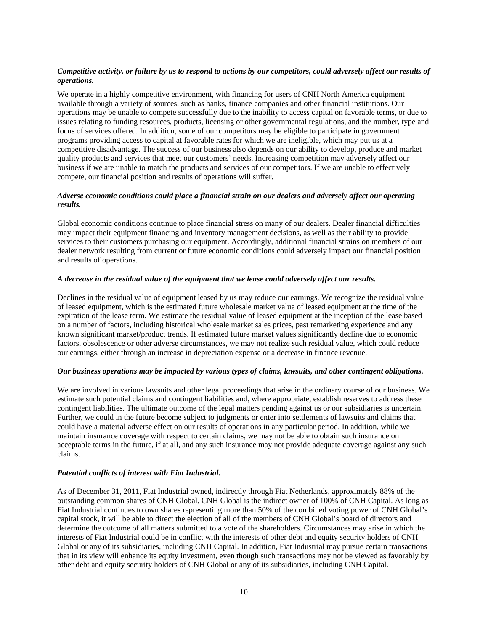# *Competitive activity, or failure by us to respond to actions by our competitors, could adversely affect our results of operations.*

We operate in a highly competitive environment, with financing for users of CNH North America equipment available through a variety of sources, such as banks, finance companies and other financial institutions. Our operations may be unable to compete successfully due to the inability to access capital on favorable terms, or due to issues relating to funding resources, products, licensing or other governmental regulations, and the number, type and focus of services offered. In addition, some of our competitors may be eligible to participate in government programs providing access to capital at favorable rates for which we are ineligible, which may put us at a competitive disadvantage. The success of our business also depends on our ability to develop, produce and market quality products and services that meet our customers' needs. Increasing competition may adversely affect our business if we are unable to match the products and services of our competitors. If we are unable to effectively compete, our financial position and results of operations will suffer.

# *Adverse economic conditions could place a financial strain on our dealers and adversely affect our operating results.*

Global economic conditions continue to place financial stress on many of our dealers. Dealer financial difficulties may impact their equipment financing and inventory management decisions, as well as their ability to provide services to their customers purchasing our equipment. Accordingly, additional financial strains on members of our dealer network resulting from current or future economic conditions could adversely impact our financial position and results of operations.

#### *A decrease in the residual value of the equipment that we lease could adversely affect our results.*

Declines in the residual value of equipment leased by us may reduce our earnings. We recognize the residual value of leased equipment, which is the estimated future wholesale market value of leased equipment at the time of the expiration of the lease term. We estimate the residual value of leased equipment at the inception of the lease based on a number of factors, including historical wholesale market sales prices, past remarketing experience and any known significant market/product trends. If estimated future market values significantly decline due to economic factors, obsolescence or other adverse circumstances, we may not realize such residual value, which could reduce our earnings, either through an increase in depreciation expense or a decrease in finance revenue.

# *Our business operations may be impacted by various types of claims, lawsuits, and other contingent obligations.*

We are involved in various lawsuits and other legal proceedings that arise in the ordinary course of our business. We estimate such potential claims and contingent liabilities and, where appropriate, establish reserves to address these contingent liabilities. The ultimate outcome of the legal matters pending against us or our subsidiaries is uncertain. Further, we could in the future become subject to judgments or enter into settlements of lawsuits and claims that could have a material adverse effect on our results of operations in any particular period. In addition, while we maintain insurance coverage with respect to certain claims, we may not be able to obtain such insurance on acceptable terms in the future, if at all, and any such insurance may not provide adequate coverage against any such claims.

### *Potential conflicts of interest with Fiat Industrial.*

As of December 31, 2011, Fiat Industrial owned, indirectly through Fiat Netherlands, approximately 88% of the outstanding common shares of CNH Global. CNH Global is the indirect owner of 100% of CNH Capital. As long as Fiat Industrial continues to own shares representing more than 50% of the combined voting power of CNH Global's capital stock, it will be able to direct the election of all of the members of CNH Global's board of directors and determine the outcome of all matters submitted to a vote of the shareholders. Circumstances may arise in which the interests of Fiat Industrial could be in conflict with the interests of other debt and equity security holders of CNH Global or any of its subsidiaries, including CNH Capital. In addition, Fiat Industrial may pursue certain transactions that in its view will enhance its equity investment, even though such transactions may not be viewed as favorably by other debt and equity security holders of CNH Global or any of its subsidiaries, including CNH Capital.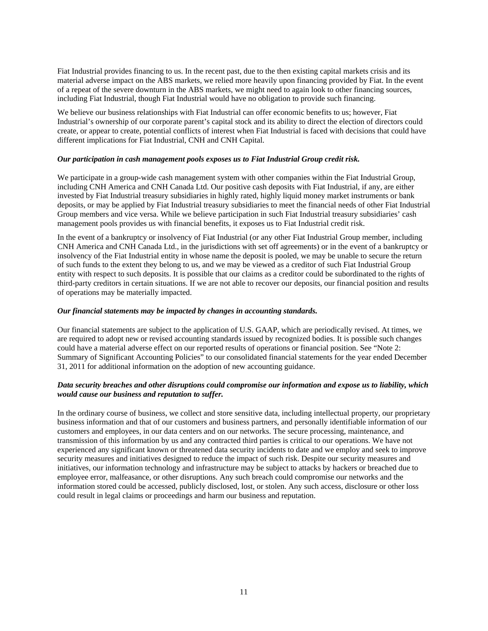Fiat Industrial provides financing to us. In the recent past, due to the then existing capital markets crisis and its material adverse impact on the ABS markets, we relied more heavily upon financing provided by Fiat. In the event of a repeat of the severe downturn in the ABS markets, we might need to again look to other financing sources, including Fiat Industrial, though Fiat Industrial would have no obligation to provide such financing.

We believe our business relationships with Fiat Industrial can offer economic benefits to us; however, Fiat Industrial's ownership of our corporate parent's capital stock and its ability to direct the election of directors could create, or appear to create, potential conflicts of interest when Fiat Industrial is faced with decisions that could have different implications for Fiat Industrial, CNH and CNH Capital.

#### *Our participation in cash management pools exposes us to Fiat Industrial Group credit risk.*

We participate in a group-wide cash management system with other companies within the Fiat Industrial Group, including CNH America and CNH Canada Ltd. Our positive cash deposits with Fiat Industrial, if any, are either invested by Fiat Industrial treasury subsidiaries in highly rated, highly liquid money market instruments or bank deposits, or may be applied by Fiat Industrial treasury subsidiaries to meet the financial needs of other Fiat Industrial Group members and vice versa. While we believe participation in such Fiat Industrial treasury subsidiaries' cash management pools provides us with financial benefits, it exposes us to Fiat Industrial credit risk.

In the event of a bankruptcy or insolvency of Fiat Industrial (or any other Fiat Industrial Group member, including CNH America and CNH Canada Ltd., in the jurisdictions with set off agreements) or in the event of a bankruptcy or insolvency of the Fiat Industrial entity in whose name the deposit is pooled, we may be unable to secure the return of such funds to the extent they belong to us, and we may be viewed as a creditor of such Fiat Industrial Group entity with respect to such deposits. It is possible that our claims as a creditor could be subordinated to the rights of third-party creditors in certain situations. If we are not able to recover our deposits, our financial position and results of operations may be materially impacted.

# *Our financial statements may be impacted by changes in accounting standards.*

Our financial statements are subject to the application of U.S. GAAP, which are periodically revised. At times, we are required to adopt new or revised accounting standards issued by recognized bodies. It is possible such changes could have a material adverse effect on our reported results of operations or financial position. See "Note 2: Summary of Significant Accounting Policies" to our consolidated financial statements for the year ended December 31, 2011 for additional information on the adoption of new accounting guidance.

# *Data security breaches and other disruptions could compromise our information and expose us to liability, which would cause our business and reputation to suffer.*

In the ordinary course of business, we collect and store sensitive data, including intellectual property, our proprietary business information and that of our customers and business partners, and personally identifiable information of our customers and employees, in our data centers and on our networks. The secure processing, maintenance, and transmission of this information by us and any contracted third parties is critical to our operations. We have not experienced any significant known or threatened data security incidents to date and we employ and seek to improve security measures and initiatives designed to reduce the impact of such risk. Despite our security measures and initiatives, our information technology and infrastructure may be subject to attacks by hackers or breached due to employee error, malfeasance, or other disruptions. Any such breach could compromise our networks and the information stored could be accessed, publicly disclosed, lost, or stolen. Any such access, disclosure or other loss could result in legal claims or proceedings and harm our business and reputation.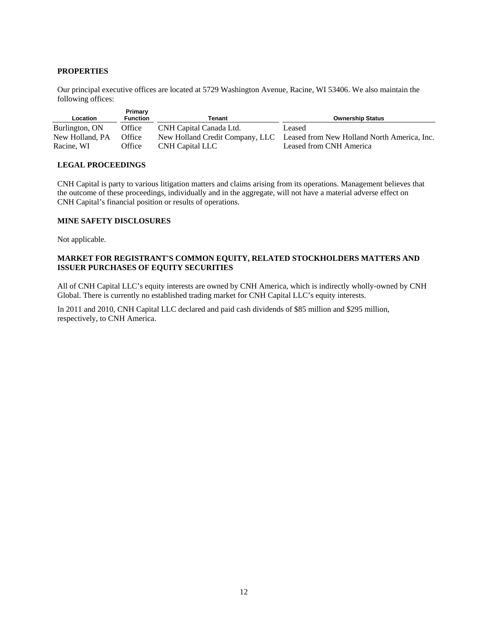# **PROPERTIES**

Our principal executive offices are located at 5729 Washington Avenue, Racine, WI 53406. We also maintain the following offices:

| Location                      | Primary<br><b>Function</b> | Tenant                  | <b>Ownership Status</b>                                                                                |
|-------------------------------|----------------------------|-------------------------|--------------------------------------------------------------------------------------------------------|
| Burlington, ON                | Office                     | CNH Capital Canada Ltd. | Leased                                                                                                 |
| New Holland, PA<br>Racine, WI | Office<br>Office           | CNH Capital LLC         | New Holland Credit Company, LLC Leased from New Holland North America, Inc.<br>Leased from CNH America |

#### **LEGAL PROCEEDINGS**

CNH Capital is party to various litigation matters and claims arising from its operations. Management believes that the outcome of these proceedings, individually and in the aggregate, will not have a material adverse effect on CNH Capital's financial position or results of operations.

# **MINE SAFETY DISCLOSURES**

Not applicable.

# **MARKET FOR REGISTRANT'S COMMON EQUITY, RELATED STOCKHOLDERS MATTERS AND ISSUER PURCHASES OF EQUITY SECURITIES**

All of CNH Capital LLC's equity interests are owned by CNH America, which is indirectly wholly-owned by CNH Global. There is currently no established trading market for CNH Capital LLC's equity interests.

In 2011 and 2010, CNH Capital LLC declared and paid cash dividends of \$85 million and \$295 million, respectively, to CNH America.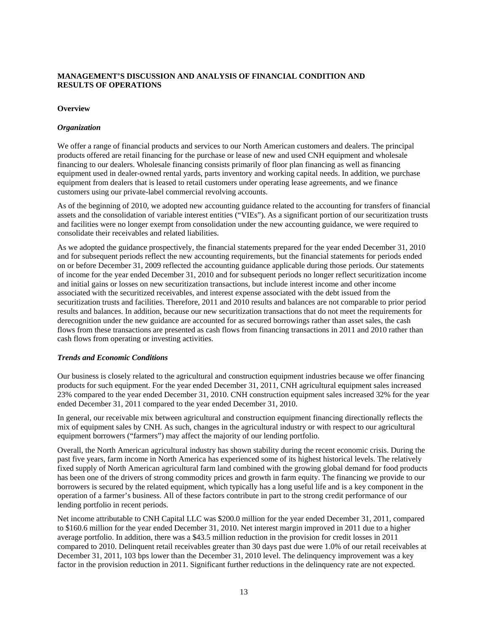# **MANAGEMENT'S DISCUSSION AND ANALYSIS OF FINANCIAL CONDITION AND RESULTS OF OPERATIONS**

# **Overview**

### *Organization*

We offer a range of financial products and services to our North American customers and dealers. The principal products offered are retail financing for the purchase or lease of new and used CNH equipment and wholesale financing to our dealers. Wholesale financing consists primarily of floor plan financing as well as financing equipment used in dealer-owned rental yards, parts inventory and working capital needs. In addition, we purchase equipment from dealers that is leased to retail customers under operating lease agreements, and we finance customers using our private-label commercial revolving accounts.

As of the beginning of 2010, we adopted new accounting guidance related to the accounting for transfers of financial assets and the consolidation of variable interest entities ("VIEs"). As a significant portion of our securitization trusts and facilities were no longer exempt from consolidation under the new accounting guidance, we were required to consolidate their receivables and related liabilities.

As we adopted the guidance prospectively, the financial statements prepared for the year ended December 31, 2010 and for subsequent periods reflect the new accounting requirements, but the financial statements for periods ended on or before December 31, 2009 reflected the accounting guidance applicable during those periods. Our statements of income for the year ended December 31, 2010 and for subsequent periods no longer reflect securitization income and initial gains or losses on new securitization transactions, but include interest income and other income associated with the securitized receivables, and interest expense associated with the debt issued from the securitization trusts and facilities. Therefore, 2011 and 2010 results and balances are not comparable to prior period results and balances. In addition, because our new securitization transactions that do not meet the requirements for derecognition under the new guidance are accounted for as secured borrowings rather than asset sales, the cash flows from these transactions are presented as cash flows from financing transactions in 2011 and 2010 rather than cash flows from operating or investing activities.

#### *Trends and Economic Conditions*

Our business is closely related to the agricultural and construction equipment industries because we offer financing products for such equipment. For the year ended December 31, 2011, CNH agricultural equipment sales increased 23% compared to the year ended December 31, 2010. CNH construction equipment sales increased 32% for the year ended December 31, 2011 compared to the year ended December 31, 2010.

In general, our receivable mix between agricultural and construction equipment financing directionally reflects the mix of equipment sales by CNH. As such, changes in the agricultural industry or with respect to our agricultural equipment borrowers ("farmers") may affect the majority of our lending portfolio.

Overall, the North American agricultural industry has shown stability during the recent economic crisis. During the past five years, farm income in North America has experienced some of its highest historical levels. The relatively fixed supply of North American agricultural farm land combined with the growing global demand for food products has been one of the drivers of strong commodity prices and growth in farm equity. The financing we provide to our borrowers is secured by the related equipment, which typically has a long useful life and is a key component in the operation of a farmer's business. All of these factors contribute in part to the strong credit performance of our lending portfolio in recent periods.

Net income attributable to CNH Capital LLC was \$200.0 million for the year ended December 31, 2011, compared to \$160.6 million for the year ended December 31, 2010. Net interest margin improved in 2011 due to a higher average portfolio. In addition, there was a \$43.5 million reduction in the provision for credit losses in 2011 compared to 2010. Delinquent retail receivables greater than 30 days past due were 1.0% of our retail receivables at December 31, 2011, 103 bps lower than the December 31, 2010 level. The delinquency improvement was a key factor in the provision reduction in 2011. Significant further reductions in the delinquency rate are not expected.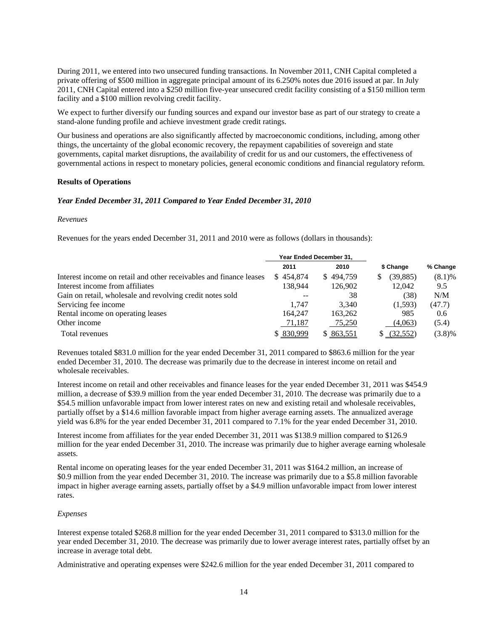During 2011, we entered into two unsecured funding transactions. In November 2011, CNH Capital completed a private offering of \$500 million in aggregate principal amount of its 6.250% notes due 2016 issued at par. In July 2011, CNH Capital entered into a \$250 million five-year unsecured credit facility consisting of a \$150 million term facility and a \$100 million revolving credit facility.

We expect to further diversify our funding sources and expand our investor base as part of our strategy to create a stand-alone funding profile and achieve investment grade credit ratings.

Our business and operations are also significantly affected by macroeconomic conditions, including, among other things, the uncertainty of the global economic recovery, the repayment capabilities of sovereign and state governments, capital market disruptions, the availability of credit for us and our customers, the effectiveness of governmental actions in respect to monetary policies, general economic conditions and financial regulatory reform.

#### **Results of Operations**

#### *Year Ended December 31, 2011 Compared to Year Ended December 31, 2010*

#### *Revenues*

Revenues for the years ended December 31, 2011 and 2010 were as follows (dollars in thousands):

|                                                                    |            | Year Ended December 31, |                |           |
|--------------------------------------------------------------------|------------|-------------------------|----------------|-----------|
|                                                                    | 2011       | 2010                    | \$ Change      | % Change  |
| Interest income on retail and other receivables and finance leases | \$454,874  | \$494,759               | (39, 885)<br>S | $(8.1)\%$ |
| Interest income from affiliates                                    | 138.944    | 126,902                 | 12,042         | 9.5       |
| Gain on retail, wholesale and revolving credit notes sold          | $- -$      | 38                      | (38)           | N/M       |
| Servicing fee income                                               | 1.747      | 3.340                   | (1,593)        | (47.7)    |
| Rental income on operating leases                                  | 164,247    | 163,262                 | 985            | 0.6       |
| Other income                                                       | 71,187     | 75,250                  | (4,063)        | (5.4)     |
| Total revenues                                                     | \$ 830,999 | \$863,551               | (32, 552)      | $(3.8)\%$ |

Revenues totaled \$831.0 million for the year ended December 31, 2011 compared to \$863.6 million for the year ended December 31, 2010. The decrease was primarily due to the decrease in interest income on retail and wholesale receivables.

Interest income on retail and other receivables and finance leases for the year ended December 31, 2011 was \$454.9 million, a decrease of \$39.9 million from the year ended December 31, 2010. The decrease was primarily due to a \$54.5 million unfavorable impact from lower interest rates on new and existing retail and wholesale receivables, partially offset by a \$14.6 million favorable impact from higher average earning assets. The annualized average yield was 6.8% for the year ended December 31, 2011 compared to 7.1% for the year ended December 31, 2010.

Interest income from affiliates for the year ended December 31, 2011 was \$138.9 million compared to \$126.9 million for the year ended December 31, 2010. The increase was primarily due to higher average earning wholesale assets.

Rental income on operating leases for the year ended December 31, 2011 was \$164.2 million, an increase of \$0.9 million from the year ended December 31, 2010. The increase was primarily due to a \$5.8 million favorable impact in higher average earning assets, partially offset by a \$4.9 million unfavorable impact from lower interest rates.

#### *Expenses*

Interest expense totaled \$268.8 million for the year ended December 31, 2011 compared to \$313.0 million for the year ended December 31, 2010. The decrease was primarily due to lower average interest rates, partially offset by an increase in average total debt.

Administrative and operating expenses were \$242.6 million for the year ended December 31, 2011 compared to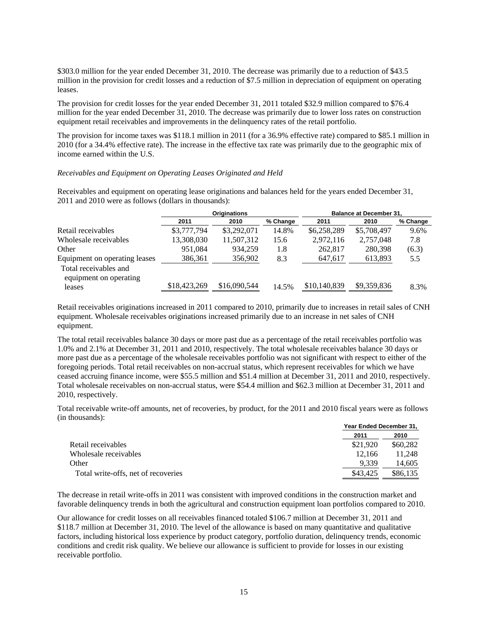\$303.0 million for the year ended December 31, 2010. The decrease was primarily due to a reduction of \$43.5 million in the provision for credit losses and a reduction of \$7.5 million in depreciation of equipment on operating leases.

The provision for credit losses for the year ended December 31, 2011 totaled \$32.9 million compared to \$76.4 million for the year ended December 31, 2010. The decrease was primarily due to lower loss rates on construction equipment retail receivables and improvements in the delinquency rates of the retail portfolio.

The provision for income taxes was \$118.1 million in 2011 (for a 36.9% effective rate) compared to \$85.1 million in 2010 (for a 34.4% effective rate). The increase in the effective tax rate was primarily due to the geographic mix of income earned within the U.S.

#### *Receivables and Equipment on Operating Leases Originated and Held*

Receivables and equipment on operating lease originations and balances held for the years ended December 31, 2011 and 2010 were as follows (dollars in thousands):

|                                                 | <b>Originations</b> |              |          |              | <b>Balance at December 31.</b> |          |
|-------------------------------------------------|---------------------|--------------|----------|--------------|--------------------------------|----------|
|                                                 | 2011                | 2010         | % Change | 2011         | 2010                           | % Change |
| Retail receivables                              | \$3,777,794         | \$3,292,071  | 14.8%    | \$6,258,289  | \$5,708,497                    | 9.6%     |
| Wholesale receivables                           | 13,308,030          | 11,507,312   | 15.6     | 2,972,116    | 2,757,048                      | 7.8      |
| Other                                           | 951.084             | 934,259      | 1.8      | 262,817      | 280,398                        | (6.3)    |
| Equipment on operating leases                   | 386,361             | 356.902      | 8.3      | 647.617      | 613,893                        | 5.5      |
| Total receivables and<br>equipment on operating |                     |              |          |              |                                |          |
| leases                                          | \$18,423,269        | \$16,090,544 | 14.5%    | \$10,140,839 | \$9,359,836                    | 8.3%     |

Retail receivables originations increased in 2011 compared to 2010, primarily due to increases in retail sales of CNH equipment. Wholesale receivables originations increased primarily due to an increase in net sales of CNH equipment.

The total retail receivables balance 30 days or more past due as a percentage of the retail receivables portfolio was 1.0% and 2.1% at December 31, 2011 and 2010, respectively. The total wholesale receivables balance 30 days or more past due as a percentage of the wholesale receivables portfolio was not significant with respect to either of the foregoing periods. Total retail receivables on non-accrual status, which represent receivables for which we have ceased accruing finance income, were \$55.5 million and \$51.4 million at December 31, 2011 and 2010, respectively. Total wholesale receivables on non-accrual status, were \$54.4 million and \$62.3 million at December 31, 2011 and 2010, respectively.

Total receivable write-off amounts, net of recoveries, by product, for the 2011 and 2010 fiscal years were as follows (in thousands):

|                                     |          | Year Ended December 31, |  |  |  |
|-------------------------------------|----------|-------------------------|--|--|--|
|                                     | 2011     | 2010                    |  |  |  |
| Retail receivables                  | \$21.920 | \$60,282                |  |  |  |
| Wholesale receivables               | 12.166   | 11.248                  |  |  |  |
| Other                               | 9.339    | 14.605                  |  |  |  |
| Total write-offs, net of recoveries | \$43,425 | \$86,135                |  |  |  |

The decrease in retail write-offs in 2011 was consistent with improved conditions in the construction market and favorable delinquency trends in both the agricultural and construction equipment loan portfolios compared to 2010.

Our allowance for credit losses on all receivables financed totaled \$106.7 million at December 31, 2011 and \$118.7 million at December 31, 2010. The level of the allowance is based on many quantitative and qualitative factors, including historical loss experience by product category, portfolio duration, delinquency trends, economic conditions and credit risk quality. We believe our allowance is sufficient to provide for losses in our existing receivable portfolio.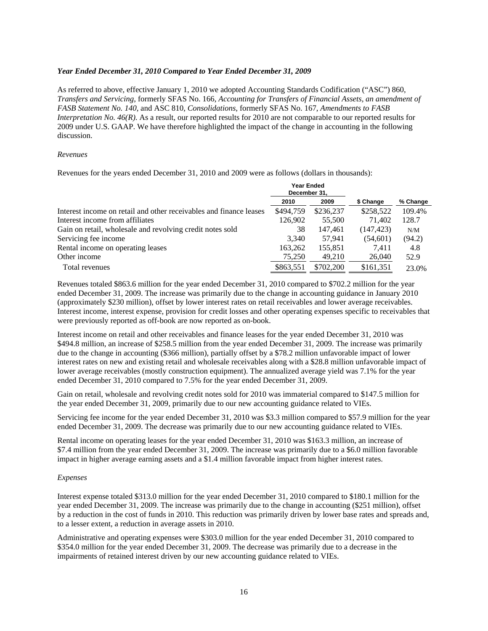#### *Year Ended December 31, 2010 Compared to Year Ended December 31, 2009*

As referred to above, effective January 1, 2010 we adopted Accounting Standards Codification ("ASC") 860, *Transfers and Servicing*, formerly SFAS No. 166, *Accounting for Transfers of Financial Assets, an amendment of FASB Statement No. 140*, and ASC 810, *Consolidations*, formerly SFAS No. 167, *Amendments to FASB Interpretation No. 46(R)*. As a result, our reported results for 2010 are not comparable to our reported results for 2009 under U.S. GAAP. We have therefore highlighted the impact of the change in accounting in the following discussion.

#### *Revenues*

Revenues for the years ended December 31, 2010 and 2009 were as follows (dollars in thousands):

|                                                                    | <b>Year Ended</b><br>December 31, |           |            |          |  |
|--------------------------------------------------------------------|-----------------------------------|-----------|------------|----------|--|
|                                                                    | 2010                              | 2009      | \$ Change  | % Change |  |
| Interest income on retail and other receivables and finance leases | \$494,759                         | \$236,237 | \$258,522  | 109.4%   |  |
| Interest income from affiliates                                    | 126,902                           | 55,500    | 71.402     | 128.7    |  |
| Gain on retail, wholesale and revolving credit notes sold          | 38                                | 147.461   | (147, 423) | N/M      |  |
| Servicing fee income                                               | 3,340                             | 57.941    | (54,601)   | (94.2)   |  |
| Rental income on operating leases                                  | 163,262                           | 155,851   | 7.411      | 4.8      |  |
| Other income                                                       | 75,250                            | 49,210    | 26,040     | 52.9     |  |
| Total revenues                                                     | \$863,551                         | \$702,200 | \$161,351  | 23.0%    |  |

Revenues totaled \$863.6 million for the year ended December 31, 2010 compared to \$702.2 million for the year ended December 31, 2009. The increase was primarily due to the change in accounting guidance in January 2010 (approximately \$230 million), offset by lower interest rates on retail receivables and lower average receivables. Interest income, interest expense, provision for credit losses and other operating expenses specific to receivables that were previously reported as off-book are now reported as on-book.

Interest income on retail and other receivables and finance leases for the year ended December 31, 2010 was \$494.8 million, an increase of \$258.5 million from the year ended December 31, 2009. The increase was primarily due to the change in accounting (\$366 million), partially offset by a \$78.2 million unfavorable impact of lower interest rates on new and existing retail and wholesale receivables along with a \$28.8 million unfavorable impact of lower average receivables (mostly construction equipment). The annualized average yield was 7.1% for the year ended December 31, 2010 compared to 7.5% for the year ended December 31, 2009.

Gain on retail, wholesale and revolving credit notes sold for 2010 was immaterial compared to \$147.5 million for the year ended December 31, 2009, primarily due to our new accounting guidance related to VIEs.

Servicing fee income for the year ended December 31, 2010 was \$3.3 million compared to \$57.9 million for the year ended December 31, 2009. The decrease was primarily due to our new accounting guidance related to VIEs.

Rental income on operating leases for the year ended December 31, 2010 was \$163.3 million, an increase of \$7.4 million from the year ended December 31, 2009. The increase was primarily due to a \$6.0 million favorable impact in higher average earning assets and a \$1.4 million favorable impact from higher interest rates.

#### *Expenses*

Interest expense totaled \$313.0 million for the year ended December 31, 2010 compared to \$180.1 million for the year ended December 31, 2009. The increase was primarily due to the change in accounting (\$251 million), offset by a reduction in the cost of funds in 2010. This reduction was primarily driven by lower base rates and spreads and, to a lesser extent, a reduction in average assets in 2010.

Administrative and operating expenses were \$303.0 million for the year ended December 31, 2010 compared to \$354.0 million for the year ended December 31, 2009. The decrease was primarily due to a decrease in the impairments of retained interest driven by our new accounting guidance related to VIEs.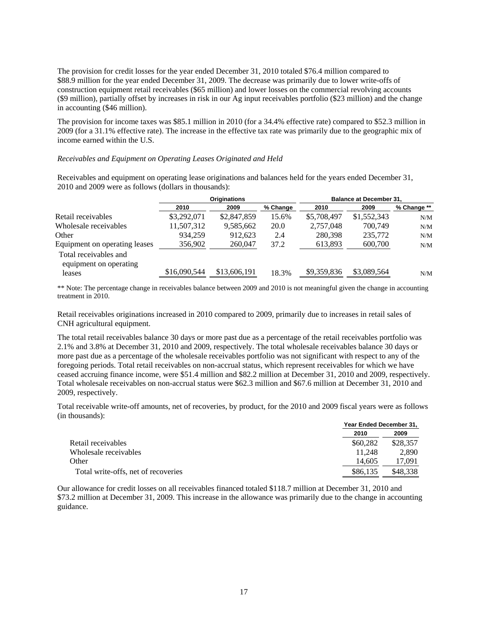The provision for credit losses for the year ended December 31, 2010 totaled \$76.4 million compared to \$88.9 million for the year ended December 31, 2009. The decrease was primarily due to lower write-offs of construction equipment retail receivables (\$65 million) and lower losses on the commercial revolving accounts (\$9 million), partially offset by increases in risk in our Ag input receivables portfolio (\$23 million) and the change in accounting (\$46 million).

The provision for income taxes was \$85.1 million in 2010 (for a 34.4% effective rate) compared to \$52.3 million in 2009 (for a 31.1% effective rate). The increase in the effective tax rate was primarily due to the geographic mix of income earned within the U.S.

# *Receivables and Equipment on Operating Leases Originated and Held*

Receivables and equipment on operating lease originations and balances held for the years ended December 31, 2010 and 2009 were as follows (dollars in thousands):

|                                                 | <b>Originations</b> |              | <b>Balance at December 31.</b> |             |             |             |
|-------------------------------------------------|---------------------|--------------|--------------------------------|-------------|-------------|-------------|
|                                                 | 2010                | 2009         | % Change                       | 2010        | 2009        | % Change ** |
| Retail receivables                              | \$3,292,071         | \$2,847,859  | 15.6%                          | \$5,708,497 | \$1,552,343 | N/M         |
| Wholesale receivables                           | 11,507,312          | 9,585,662    | 20.0                           | 2,757,048   | 700,749     | N/M         |
| Other                                           | 934.259             | 912.623      | 2.4                            | 280,398     | 235,772     | N/M         |
| Equipment on operating leases                   | 356,902             | 260,047      | 37.2                           | 613,893     | 600,700     | N/M         |
| Total receivables and<br>equipment on operating |                     |              |                                |             |             |             |
| leases                                          | \$16,090,544        | \$13,606,191 | 18.3%                          | \$9,359,836 | \$3,089,564 | N/M         |

\*\* Note: The percentage change in receivables balance between 2009 and 2010 is not meaningful given the change in accounting treatment in 2010.

Retail receivables originations increased in 2010 compared to 2009, primarily due to increases in retail sales of CNH agricultural equipment.

The total retail receivables balance 30 days or more past due as a percentage of the retail receivables portfolio was 2.1% and 3.8% at December 31, 2010 and 2009, respectively. The total wholesale receivables balance 30 days or more past due as a percentage of the wholesale receivables portfolio was not significant with respect to any of the foregoing periods. Total retail receivables on non-accrual status, which represent receivables for which we have ceased accruing finance income, were \$51.4 million and \$82.2 million at December 31, 2010 and 2009, respectively. Total wholesale receivables on non-accrual status were \$62.3 million and \$67.6 million at December 31, 2010 and 2009, respectively.

Total receivable write-off amounts, net of recoveries, by product, for the 2010 and 2009 fiscal years were as follows (in thousands):

|                                     |          | Year Ended December 31, |  |  |  |
|-------------------------------------|----------|-------------------------|--|--|--|
|                                     | 2010     | 2009                    |  |  |  |
| Retail receivables                  | \$60,282 | \$28,357                |  |  |  |
| Wholesale receivables               | 11.248   | 2,890                   |  |  |  |
| Other                               | 14.605   | 17.091                  |  |  |  |
| Total write-offs, net of recoveries | \$86,135 | \$48,338                |  |  |  |

Our allowance for credit losses on all receivables financed totaled \$118.7 million at December 31, 2010 and \$73.2 million at December 31, 2009. This increase in the allowance was primarily due to the change in accounting guidance.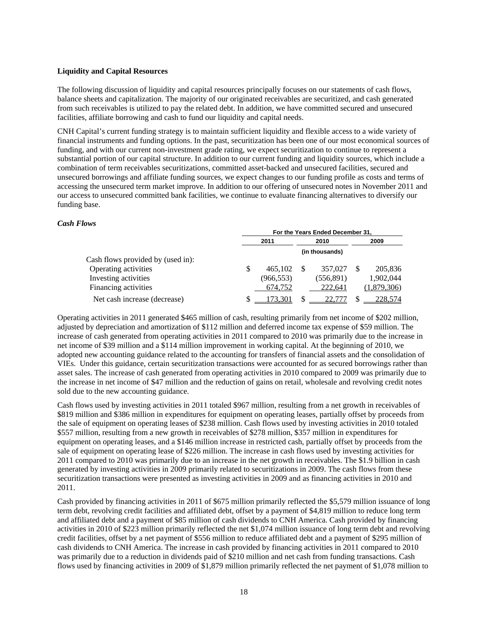#### **Liquidity and Capital Resources**

The following discussion of liquidity and capital resources principally focuses on our statements of cash flows, balance sheets and capitalization. The majority of our originated receivables are securitized, and cash generated from such receivables is utilized to pay the related debt. In addition, we have committed secured and unsecured facilities, affiliate borrowing and cash to fund our liquidity and capital needs.

CNH Capital's current funding strategy is to maintain sufficient liquidity and flexible access to a wide variety of financial instruments and funding options. In the past, securitization has been one of our most economical sources of funding, and with our current non-investment grade rating, we expect securitization to continue to represent a substantial portion of our capital structure. In addition to our current funding and liquidity sources, which include a combination of term receivables securitizations, committed asset-backed and unsecured facilities, secured and unsecured borrowings and affiliate funding sources, we expect changes to our funding profile as costs and terms of accessing the unsecured term market improve. In addition to our offering of unsecured notes in November 2011 and our access to unsecured committed bank facilities, we continue to evaluate financing alternatives to diversify our funding base.

# *Cash Flows*

|                                   | For the Years Ended December 31, |            |  |                |  |             |
|-----------------------------------|----------------------------------|------------|--|----------------|--|-------------|
|                                   |                                  | 2011       |  | 2010           |  | 2009        |
|                                   |                                  |            |  | (in thousands) |  |             |
| Cash flows provided by (used in): |                                  |            |  |                |  |             |
| Operating activities              | \$                               | 465.102    |  | 357,027        |  | 205,836     |
| Investing activities              |                                  | (966, 553) |  | (556,891)      |  | 1,902,044   |
| Financing activities              |                                  | 674,752    |  | 222.641        |  | (1,879,306) |
| Net cash increase (decrease)      |                                  | 173.301    |  |                |  | 228.574     |

Operating activities in 2011 generated \$465 million of cash, resulting primarily from net income of \$202 million, adjusted by depreciation and amortization of \$112 million and deferred income tax expense of \$59 million. The increase of cash generated from operating activities in 2011 compared to 2010 was primarily due to the increase in net income of \$39 million and a \$114 million improvement in working capital. At the beginning of 2010, we adopted new accounting guidance related to the accounting for transfers of financial assets and the consolidation of VIEs. Under this guidance, certain securitization transactions were accounted for as secured borrowings rather than asset sales. The increase of cash generated from operating activities in 2010 compared to 2009 was primarily due to the increase in net income of \$47 million and the reduction of gains on retail, wholesale and revolving credit notes sold due to the new accounting guidance.

Cash flows used by investing activities in 2011 totaled \$967 million, resulting from a net growth in receivables of \$819 million and \$386 million in expenditures for equipment on operating leases, partially offset by proceeds from the sale of equipment on operating leases of \$238 million. Cash flows used by investing activities in 2010 totaled \$557 million, resulting from a new growth in receivables of \$278 million, \$357 million in expenditures for equipment on operating leases, and a \$146 million increase in restricted cash, partially offset by proceeds from the sale of equipment on operating lease of \$226 million. The increase in cash flows used by investing activities for 2011 compared to 2010 was primarily due to an increase in the net growth in receivables. The \$1.9 billion in cash generated by investing activities in 2009 primarily related to securitizations in 2009. The cash flows from these securitization transactions were presented as investing activities in 2009 and as financing activities in 2010 and 2011.

Cash provided by financing activities in 2011 of \$675 million primarily reflected the \$5,579 million issuance of long term debt, revolving credit facilities and affiliated debt, offset by a payment of \$4,819 million to reduce long term and affiliated debt and a payment of \$85 million of cash dividends to CNH America. Cash provided by financing activities in 2010 of \$223 million primarily reflected the net \$1,074 million issuance of long term debt and revolving credit facilities, offset by a net payment of \$556 million to reduce affiliated debt and a payment of \$295 million of cash dividends to CNH America. The increase in cash provided by financing activities in 2011 compared to 2010 was primarily due to a reduction in dividends paid of \$210 million and net cash from funding transactions. Cash flows used by financing activities in 2009 of \$1,879 million primarily reflected the net payment of \$1,078 million to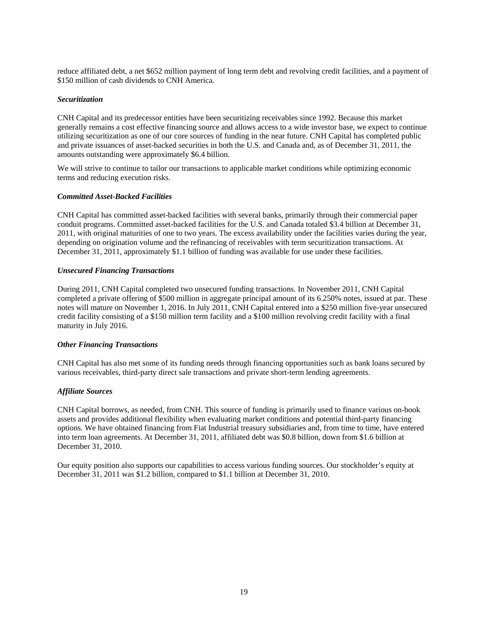reduce affiliated debt, a net \$652 million payment of long term debt and revolving credit facilities, and a payment of \$150 million of cash dividends to CNH America.

# *Securitization*

CNH Capital and its predecessor entities have been securitizing receivables since 1992. Because this market generally remains a cost effective financing source and allows access to a wide investor base, we expect to continue utilizing securitization as one of our core sources of funding in the near future. CNH Capital has completed public and private issuances of asset-backed securities in both the U.S. and Canada and, as of December 31, 2011, the amounts outstanding were approximately \$6.4 billion.

We will strive to continue to tailor our transactions to applicable market conditions while optimizing economic terms and reducing execution risks.

#### *Committed Asset-Backed Facilities*

CNH Capital has committed asset-backed facilities with several banks, primarily through their commercial paper conduit programs. Committed asset-backed facilities for the U.S. and Canada totaled \$3.4 billion at December 31, 2011, with original maturities of one to two years. The excess availability under the facilities varies during the year, depending on origination volume and the refinancing of receivables with term securitization transactions. At December 31, 2011, approximately \$1.1 billion of funding was available for use under these facilities.

#### *Unsecured Financing Transactions*

During 2011, CNH Capital completed two unsecured funding transactions. In November 2011, CNH Capital completed a private offering of \$500 million in aggregate principal amount of its 6.250% notes, issued at par. These notes will mature on November 1, 2016. In July 2011, CNH Capital entered into a \$250 million five-year unsecured credit facility consisting of a \$150 million term facility and a \$100 million revolving credit facility with a final maturity in July 2016.

#### *Other Financing Transactions*

CNH Capital has also met some of its funding needs through financing opportunities such as bank loans secured by various receivables, third-party direct sale transactions and private short-term lending agreements.

#### *Affiliate Sources*

CNH Capital borrows, as needed, from CNH. This source of funding is primarily used to finance various on-book assets and provides additional flexibility when evaluating market conditions and potential third-party financing options. We have obtained financing from Fiat Industrial treasury subsidiaries and, from time to time, have entered into term loan agreements. At December 31, 2011, affiliated debt was \$0.8 billion, down from \$1.6 billion at December 31, 2010.

Our equity position also supports our capabilities to access various funding sources. Our stockholder's equity at December 31, 2011 was \$1.2 billion, compared to \$1.1 billion at December 31, 2010.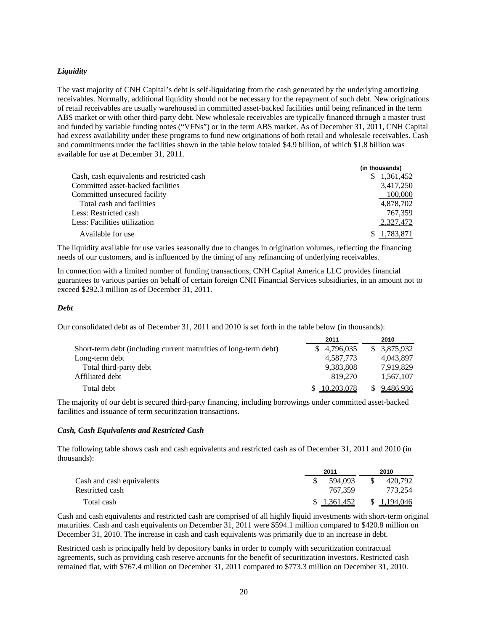# *Liquidity*

The vast majority of CNH Capital's debt is self-liquidating from the cash generated by the underlying amortizing receivables. Normally, additional liquidity should not be necessary for the repayment of such debt. New originations of retail receivables are usually warehoused in committed asset-backed facilities until being refinanced in the term ABS market or with other third-party debt. New wholesale receivables are typically financed through a master trust and funded by variable funding notes ("VFNs") or in the term ABS market. As of December 31, 2011, CNH Capital had excess availability under these programs to fund new originations of both retail and wholesale receivables. Cash and commitments under the facilities shown in the table below totaled \$4.9 billion, of which \$1.8 billion was available for use at December 31, 2011.

|                                            | (in thousands) |
|--------------------------------------------|----------------|
| Cash, cash equivalents and restricted cash | \$1,361,452    |
| Committed asset-backed facilities          | 3,417,250      |
| Committed unsecured facility               | 100,000        |
| Total cash and facilities                  | 4,878,702      |
| Less: Restricted cash                      | 767.359        |
| Less: Facilities utilization               | 2,327,472      |
| Available for use                          | \$1.783.871    |

The liquidity available for use varies seasonally due to changes in origination volumes, reflecting the financing needs of our customers, and is influenced by the timing of any refinancing of underlying receivables.

In connection with a limited number of funding transactions, CNH Capital America LLC provides financial guarantees to various parties on behalf of certain foreign CNH Financial Services subsidiaries, in an amount not to exceed \$292.3 million as of December 31, 2011.

# *Debt*

Our consolidated debt as of December 31, 2011 and 2010 is set forth in the table below (in thousands):

|                                                                  | 2011        | 2010         |
|------------------------------------------------------------------|-------------|--------------|
| Short-term debt (including current maturities of long-term debt) | \$4,796,035 | \$ 3,875,932 |
| Long-term debt                                                   | 4,587,773   | 4,043,897    |
| Total third-party debt                                           | 9,383,808   | 7.919.829    |
| Affiliated debt                                                  | 819.270     | 1,567,107    |
| Total debt                                                       | 10.203.078  | 9,486,936    |

The majority of our debt is secured third-party financing, including borrowings under committed asset-backed facilities and issuance of term securitization transactions.

#### *Cash, Cash Equivalents and Restricted Cash*

The following table shows cash and cash equivalents and restricted cash as of December 31, 2011 and 2010 (in thousands):

|                           |  | 2011         |     | 2010         |  |
|---------------------------|--|--------------|-----|--------------|--|
| Cash and cash equivalents |  | 594.093      | -SS | 420.792      |  |
| Restricted cash           |  | 767.359      |     | 773.254      |  |
| Total cash                |  | \$ 1.361.452 |     | \$ 1,194,046 |  |

Cash and cash equivalents and restricted cash are comprised of all highly liquid investments with short-term original maturities. Cash and cash equivalents on December 31, 2011 were \$594.1 million compared to \$420.8 million on December 31, 2010. The increase in cash and cash equivalents was primarily due to an increase in debt.

Restricted cash is principally held by depository banks in order to comply with securitization contractual agreements, such as providing cash reserve accounts for the benefit of securitization investors. Restricted cash remained flat, with \$767.4 million on December 31, 2011 compared to \$773.3 million on December 31, 2010.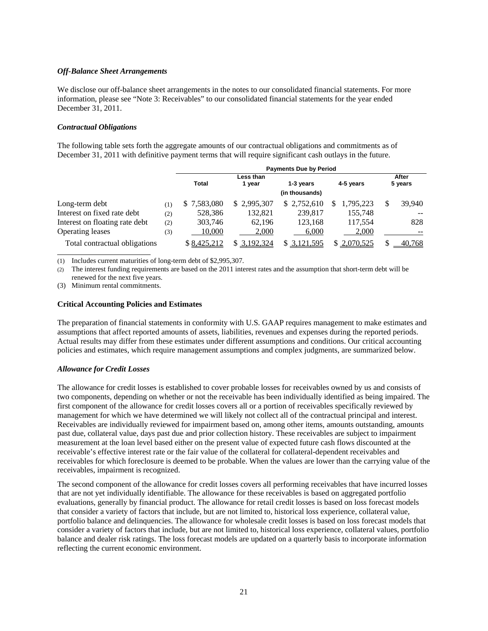# *Off-Balance Sheet Arrangements*

We disclose our off-balance sheet arrangements in the notes to our consolidated financial statements. For more information, please see "Note 3: Receivables" to our consolidated financial statements for the year ended December 31, 2011.

# *Contractual Obligations*

The following table sets forth the aggregate amounts of our contractual obligations and commitments as of December 31, 2011 with definitive payment terms that will require significant cash outlays in the future.

|                                |     | <b>Payments Due by Period</b> |              |                        |                |         |        |
|--------------------------------|-----|-------------------------------|--------------|------------------------|----------------|---------|--------|
|                                |     | Less than                     |              |                        |                | After   |        |
|                                |     | <b>Total</b>                  | 1 year       | 4-5 years<br>1-3 years |                | 5 years |        |
|                                |     |                               |              | (in thousands)         |                |         |        |
| Long-term debt                 | (1) | \$7.583,080                   | \$2.995.307  | \$2,752,610            | 1.795.223<br>S |         | 39,940 |
| Interest on fixed rate debt    | (2) | 528,386                       | 132.821      | 239,817                | 155,748        |         |        |
| Interest on floating rate debt | (2) | 303,746                       | 62.196       | 123,168                | 117,554        |         | 828    |
| Operating leases               | (3) | 10,000                        | 2,000        | 6,000                  | 2,000          |         |        |
| Total contractual obligations  |     | \$8,425,212                   | \$ 3,192,324 | 3,121,595<br>S.        | 2,070,525      |         | 40,768 |

(1) Includes current maturities of long-term debt of \$2,995,307.

(2) The interest funding requirements are based on the 2011 interest rates and the assumption that short-term debt will be renewed for the next five years.

(3) Minimum rental commitments.

# **Critical Accounting Policies and Estimates**

The preparation of financial statements in conformity with U.S. GAAP requires management to make estimates and assumptions that affect reported amounts of assets, liabilities, revenues and expenses during the reported periods. Actual results may differ from these estimates under different assumptions and conditions. Our critical accounting policies and estimates, which require management assumptions and complex judgments, are summarized below.

# *Allowance for Credit Losses*

The allowance for credit losses is established to cover probable losses for receivables owned by us and consists of two components, depending on whether or not the receivable has been individually identified as being impaired. The first component of the allowance for credit losses covers all or a portion of receivables specifically reviewed by management for which we have determined we will likely not collect all of the contractual principal and interest. Receivables are individually reviewed for impairment based on, among other items, amounts outstanding, amounts past due, collateral value, days past due and prior collection history. These receivables are subject to impairment measurement at the loan level based either on the present value of expected future cash flows discounted at the receivable's effective interest rate or the fair value of the collateral for collateral-dependent receivables and receivables for which foreclosure is deemed to be probable. When the values are lower than the carrying value of the receivables, impairment is recognized.

The second component of the allowance for credit losses covers all performing receivables that have incurred losses that are not yet individually identifiable. The allowance for these receivables is based on aggregated portfolio evaluations, generally by financial product. The allowance for retail credit losses is based on loss forecast models that consider a variety of factors that include, but are not limited to, historical loss experience, collateral value, portfolio balance and delinquencies. The allowance for wholesale credit losses is based on loss forecast models that consider a variety of factors that include, but are not limited to, historical loss experience, collateral values, portfolio balance and dealer risk ratings. The loss forecast models are updated on a quarterly basis to incorporate information reflecting the current economic environment.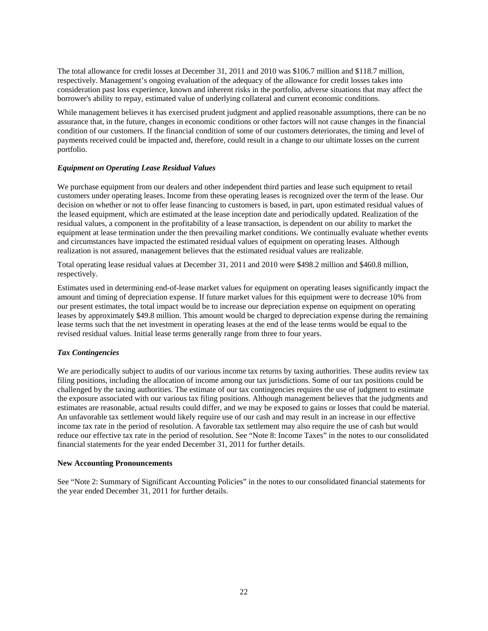The total allowance for credit losses at December 31, 2011 and 2010 was \$106.7 million and \$118.7 million, respectively. Management's ongoing evaluation of the adequacy of the allowance for credit losses takes into consideration past loss experience, known and inherent risks in the portfolio, adverse situations that may affect the borrower's ability to repay, estimated value of underlying collateral and current economic conditions.

While management believes it has exercised prudent judgment and applied reasonable assumptions, there can be no assurance that, in the future, changes in economic conditions or other factors will not cause changes in the financial condition of our customers. If the financial condition of some of our customers deteriorates, the timing and level of payments received could be impacted and, therefore, could result in a change to our ultimate losses on the current portfolio.

# *Equipment on Operating Lease Residual Values*

We purchase equipment from our dealers and other independent third parties and lease such equipment to retail customers under operating leases. Income from these operating leases is recognized over the term of the lease. Our decision on whether or not to offer lease financing to customers is based, in part, upon estimated residual values of the leased equipment, which are estimated at the lease inception date and periodically updated. Realization of the residual values, a component in the profitability of a lease transaction, is dependent on our ability to market the equipment at lease termination under the then prevailing market conditions. We continually evaluate whether events and circumstances have impacted the estimated residual values of equipment on operating leases. Although realization is not assured, management believes that the estimated residual values are realizable.

Total operating lease residual values at December 31, 2011 and 2010 were \$498.2 million and \$460.8 million, respectively.

Estimates used in determining end-of-lease market values for equipment on operating leases significantly impact the amount and timing of depreciation expense. If future market values for this equipment were to decrease 10% from our present estimates, the total impact would be to increase our depreciation expense on equipment on operating leases by approximately \$49.8 million. This amount would be charged to depreciation expense during the remaining lease terms such that the net investment in operating leases at the end of the lease terms would be equal to the revised residual values. Initial lease terms generally range from three to four years.

#### *Tax Contingencies*

We are periodically subject to audits of our various income tax returns by taxing authorities. These audits review tax filing positions, including the allocation of income among our tax jurisdictions. Some of our tax positions could be challenged by the taxing authorities. The estimate of our tax contingencies requires the use of judgment to estimate the exposure associated with our various tax filing positions. Although management believes that the judgments and estimates are reasonable, actual results could differ, and we may be exposed to gains or losses that could be material. An unfavorable tax settlement would likely require use of our cash and may result in an increase in our effective income tax rate in the period of resolution. A favorable tax settlement may also require the use of cash but would reduce our effective tax rate in the period of resolution. See "Note 8: Income Taxes" in the notes to our consolidated financial statements for the year ended December 31, 2011 for further details.

#### **New Accounting Pronouncements**

See "Note 2: Summary of Significant Accounting Policies" in the notes to our consolidated financial statements for the year ended December 31, 2011 for further details.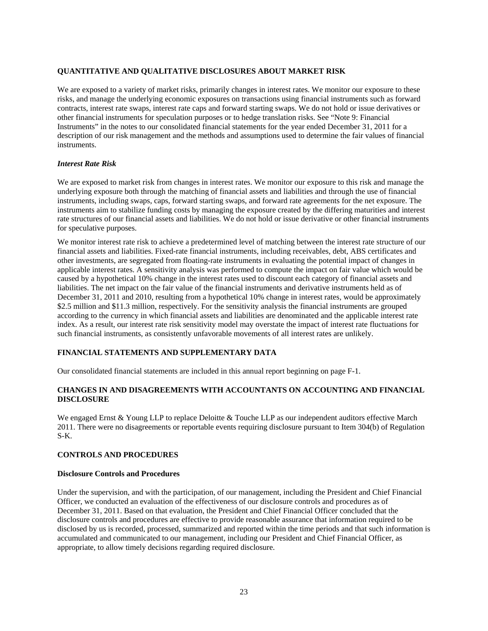# **QUANTITATIVE AND QUALITATIVE DISCLOSURES ABOUT MARKET RISK**

We are exposed to a variety of market risks, primarily changes in interest rates. We monitor our exposure to these risks, and manage the underlying economic exposures on transactions using financial instruments such as forward contracts, interest rate swaps, interest rate caps and forward starting swaps. We do not hold or issue derivatives or other financial instruments for speculation purposes or to hedge translation risks. See "Note 9: Financial Instruments" in the notes to our consolidated financial statements for the year ended December 31, 2011 for a description of our risk management and the methods and assumptions used to determine the fair values of financial instruments.

# *Interest Rate Risk*

We are exposed to market risk from changes in interest rates. We monitor our exposure to this risk and manage the underlying exposure both through the matching of financial assets and liabilities and through the use of financial instruments, including swaps, caps, forward starting swaps, and forward rate agreements for the net exposure. The instruments aim to stabilize funding costs by managing the exposure created by the differing maturities and interest rate structures of our financial assets and liabilities. We do not hold or issue derivative or other financial instruments for speculative purposes.

We monitor interest rate risk to achieve a predetermined level of matching between the interest rate structure of our financial assets and liabilities. Fixed-rate financial instruments, including receivables, debt, ABS certificates and other investments, are segregated from floating-rate instruments in evaluating the potential impact of changes in applicable interest rates. A sensitivity analysis was performed to compute the impact on fair value which would be caused by a hypothetical 10% change in the interest rates used to discount each category of financial assets and liabilities. The net impact on the fair value of the financial instruments and derivative instruments held as of December 31, 2011 and 2010, resulting from a hypothetical 10% change in interest rates, would be approximately \$2.5 million and \$11.3 million, respectively. For the sensitivity analysis the financial instruments are grouped according to the currency in which financial assets and liabilities are denominated and the applicable interest rate index. As a result, our interest rate risk sensitivity model may overstate the impact of interest rate fluctuations for such financial instruments, as consistently unfavorable movements of all interest rates are unlikely.

# **FINANCIAL STATEMENTS AND SUPPLEMENTARY DATA**

Our consolidated financial statements are included in this annual report beginning on page F-1.

# **CHANGES IN AND DISAGREEMENTS WITH ACCOUNTANTS ON ACCOUNTING AND FINANCIAL DISCLOSURE**

We engaged Ernst & Young LLP to replace Deloitte & Touche LLP as our independent auditors effective March 2011. There were no disagreements or reportable events requiring disclosure pursuant to Item 304(b) of Regulation S-K.

# **CONTROLS AND PROCEDURES**

### **Disclosure Controls and Procedures**

Under the supervision, and with the participation, of our management, including the President and Chief Financial Officer, we conducted an evaluation of the effectiveness of our disclosure controls and procedures as of December 31, 2011. Based on that evaluation, the President and Chief Financial Officer concluded that the disclosure controls and procedures are effective to provide reasonable assurance that information required to be disclosed by us is recorded, processed, summarized and reported within the time periods and that such information is accumulated and communicated to our management, including our President and Chief Financial Officer, as appropriate, to allow timely decisions regarding required disclosure.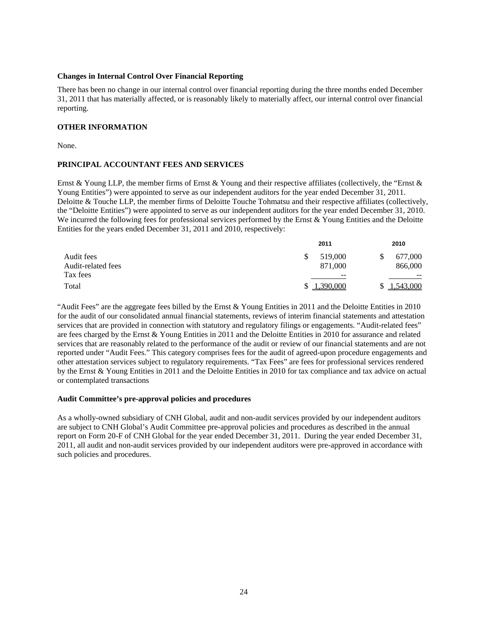#### **Changes in Internal Control Over Financial Reporting**

There has been no change in our internal control over financial reporting during the three months ended December 31, 2011 that has materially affected, or is reasonably likely to materially affect, our internal control over financial reporting.

# **OTHER INFORMATION**

None.

# **PRINCIPAL ACCOUNTANT FEES AND SERVICES**

Ernst & Young LLP, the member firms of Ernst & Young and their respective affiliates (collectively, the "Ernst & Young Entities") were appointed to serve as our independent auditors for the year ended December 31, 2011. Deloitte & Touche LLP, the member firms of Deloitte Touche Tohmatsu and their respective affiliates (collectively, the "Deloitte Entities") were appointed to serve as our independent auditors for the year ended December 31, 2010. We incurred the following fees for professional services performed by the Ernst & Young Entities and the Deloitte Entities for the years ended December 31, 2011 and 2010, respectively:

| Audit fees         | 2011          | 2010      |  |  |
|--------------------|---------------|-----------|--|--|
|                    | 519,000<br>\$ | 677,000   |  |  |
| Audit-related fees | 871,000       | 866,000   |  |  |
| Tax fees           | $- -$         | $- -$     |  |  |
| Total              | 1,390,000     | 1,543,000 |  |  |

"Audit Fees" are the aggregate fees billed by the Ernst & Young Entities in 2011 and the Deloitte Entities in 2010 for the audit of our consolidated annual financial statements, reviews of interim financial statements and attestation services that are provided in connection with statutory and regulatory filings or engagements. "Audit-related fees" are fees charged by the Ernst & Young Entities in 2011 and the Deloitte Entities in 2010 for assurance and related services that are reasonably related to the performance of the audit or review of our financial statements and are not reported under "Audit Fees." This category comprises fees for the audit of agreed-upon procedure engagements and other attestation services subject to regulatory requirements. "Tax Fees" are fees for professional services rendered by the Ernst & Young Entities in 2011 and the Deloitte Entities in 2010 for tax compliance and tax advice on actual or contemplated transactions

#### **Audit Committee's pre-approval policies and procedures**

As a wholly-owned subsidiary of CNH Global, audit and non-audit services provided by our independent auditors are subject to CNH Global's Audit Committee pre-approval policies and procedures as described in the annual report on Form 20-F of CNH Global for the year ended December 31, 2011. During the year ended December 31, 2011, all audit and non-audit services provided by our independent auditors were pre-approved in accordance with such policies and procedures.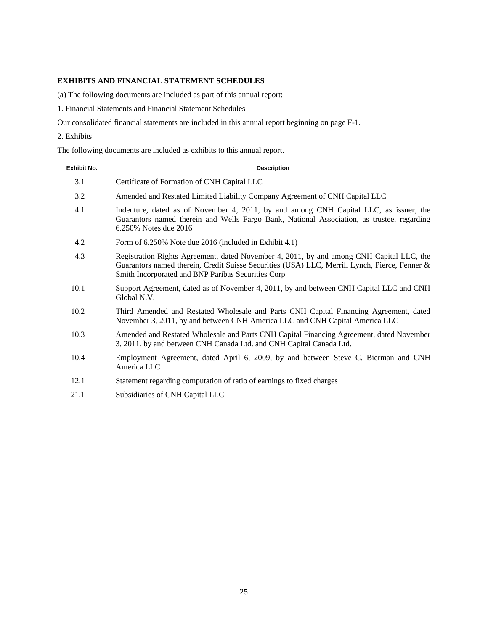# **EXHIBITS AND FINANCIAL STATEMENT SCHEDULES**

(a) The following documents are included as part of this annual report:

1. Financial Statements and Financial Statement Schedules

Our consolidated financial statements are included in this annual report beginning on page F-1.

2. Exhibits

The following documents are included as exhibits to this annual report.

| <b>Exhibit No.</b> | <b>Description</b>                                                                                                                                                                                                                              |
|--------------------|-------------------------------------------------------------------------------------------------------------------------------------------------------------------------------------------------------------------------------------------------|
| 3.1                | Certificate of Formation of CNH Capital LLC                                                                                                                                                                                                     |
| 3.2                | Amended and Restated Limited Liability Company Agreement of CNH Capital LLC                                                                                                                                                                     |
| 4.1                | Indenture, dated as of November 4, 2011, by and among CNH Capital LLC, as issuer, the<br>Guarantors named therein and Wells Fargo Bank, National Association, as trustee, regarding<br>6.250% Notes due 2016                                    |
| 4.2                | Form of 6.250% Note due 2016 (included in Exhibit 4.1)                                                                                                                                                                                          |
| 4.3                | Registration Rights Agreement, dated November 4, 2011, by and among CNH Capital LLC, the<br>Guarantors named therein, Credit Suisse Securities (USA) LLC, Merrill Lynch, Pierce, Fenner &<br>Smith Incorporated and BNP Paribas Securities Corp |
| 10.1               | Support Agreement, dated as of November 4, 2011, by and between CNH Capital LLC and CNH<br>Global N.V.                                                                                                                                          |
| 10.2               | Third Amended and Restated Wholesale and Parts CNH Capital Financing Agreement, dated<br>November 3, 2011, by and between CNH America LLC and CNH Capital America LLC                                                                           |
| 10.3               | Amended and Restated Wholesale and Parts CNH Capital Financing Agreement, dated November<br>3, 2011, by and between CNH Canada Ltd. and CNH Capital Canada Ltd.                                                                                 |
| 10.4               | Employment Agreement, dated April 6, 2009, by and between Steve C. Bierman and CNH<br>America LLC                                                                                                                                               |
| 12.1               | Statement regarding computation of ratio of earnings to fixed charges                                                                                                                                                                           |
| 21.1               | Subsidiaries of CNH Capital LLC                                                                                                                                                                                                                 |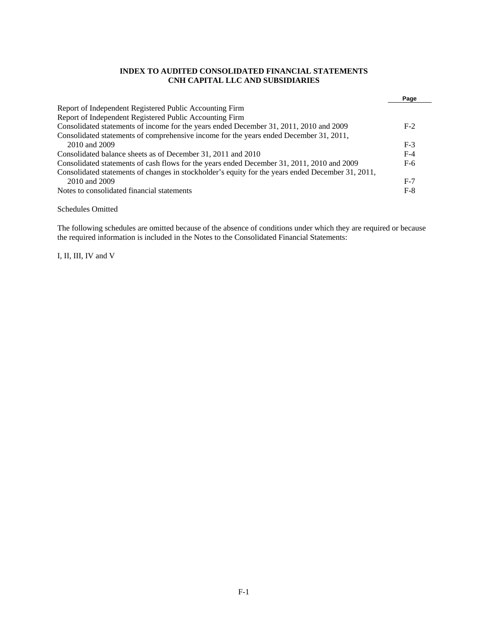# **INDEX TO AUDITED CONSOLIDATED FINANCIAL STATEMENTS CNH CAPITAL LLC AND SUBSIDIARIES**

|                                                                                                   | Page  |
|---------------------------------------------------------------------------------------------------|-------|
| Report of Independent Registered Public Accounting Firm                                           |       |
| Report of Independent Registered Public Accounting Firm                                           |       |
| Consolidated statements of income for the years ended December 31, 2011, 2010 and 2009            | $F-2$ |
| Consolidated statements of comprehensive income for the years ended December 31, 2011,            |       |
| 2010 and 2009                                                                                     | $F-3$ |
| Consolidated balance sheets as of December 31, 2011 and 2010                                      | $F-4$ |
| Consolidated statements of cash flows for the years ended December 31, 2011, 2010 and 2009        | $F-6$ |
| Consolidated statements of changes in stockholder's equity for the years ended December 31, 2011, |       |
| 2010 and 2009                                                                                     | $F-7$ |
| Notes to consolidated financial statements                                                        | $F-8$ |

Schedules Omitted

The following schedules are omitted because of the absence of conditions under which they are required or because the required information is included in the Notes to the Consolidated Financial Statements:

I, II, III, IV and V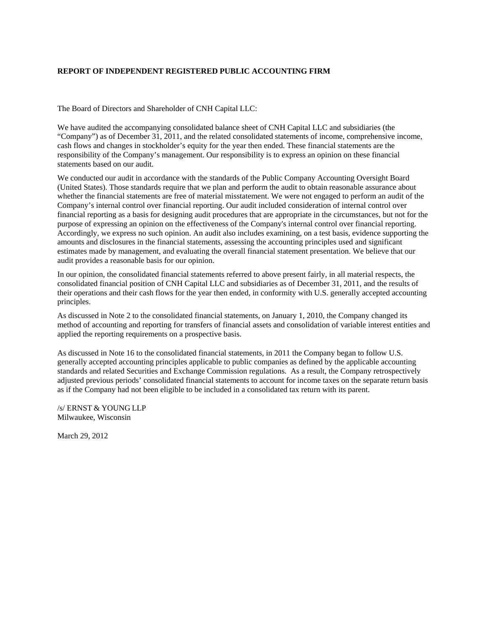# **REPORT OF INDEPENDENT REGISTERED PUBLIC ACCOUNTING FIRM**

The Board of Directors and Shareholder of CNH Capital LLC:

We have audited the accompanying consolidated balance sheet of CNH Capital LLC and subsidiaries (the "Company") as of December 31, 2011, and the related consolidated statements of income, comprehensive income, cash flows and changes in stockholder's equity for the year then ended. These financial statements are the responsibility of the Company's management. Our responsibility is to express an opinion on these financial statements based on our audit.

We conducted our audit in accordance with the standards of the Public Company Accounting Oversight Board (United States). Those standards require that we plan and perform the audit to obtain reasonable assurance about whether the financial statements are free of material misstatement. We were not engaged to perform an audit of the Company's internal control over financial reporting. Our audit included consideration of internal control over financial reporting as a basis for designing audit procedures that are appropriate in the circumstances, but not for the purpose of expressing an opinion on the effectiveness of the Company's internal control over financial reporting. Accordingly, we express no such opinion. An audit also includes examining, on a test basis, evidence supporting the amounts and disclosures in the financial statements, assessing the accounting principles used and significant estimates made by management, and evaluating the overall financial statement presentation. We believe that our audit provides a reasonable basis for our opinion.

In our opinion, the consolidated financial statements referred to above present fairly, in all material respects, the consolidated financial position of CNH Capital LLC and subsidiaries as of December 31, 2011, and the results of their operations and their cash flows for the year then ended, in conformity with U.S. generally accepted accounting principles.

As discussed in Note 2 to the consolidated financial statements, on January 1, 2010, the Company changed its method of accounting and reporting for transfers of financial assets and consolidation of variable interest entities and applied the reporting requirements on a prospective basis.

As discussed in Note 16 to the consolidated financial statements, in 2011 the Company began to follow U.S. generally accepted accounting principles applicable to public companies as defined by the applicable accounting standards and related Securities and Exchange Commission regulations. As a result, the Company retrospectively adjusted previous periods' consolidated financial statements to account for income taxes on the separate return basis as if the Company had not been eligible to be included in a consolidated tax return with its parent.

/s/ ERNST & YOUNG LLP Milwaukee, Wisconsin

March 29, 2012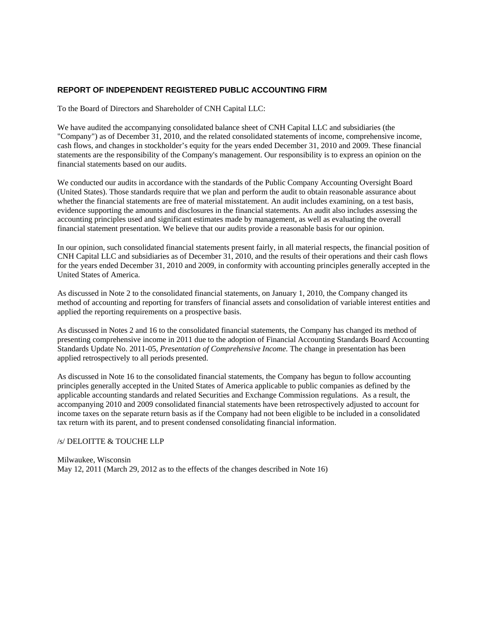# **REPORT OF INDEPENDENT REGISTERED PUBLIC ACCOUNTING FIRM**

To the Board of Directors and Shareholder of CNH Capital LLC:

We have audited the accompanying consolidated balance sheet of CNH Capital LLC and subsidiaries (the "Company") as of December 31, 2010, and the related consolidated statements of income, comprehensive income, cash flows, and changes in stockholder's equity for the years ended December 31, 2010 and 2009. These financial statements are the responsibility of the Company's management. Our responsibility is to express an opinion on the financial statements based on our audits.

We conducted our audits in accordance with the standards of the Public Company Accounting Oversight Board (United States). Those standards require that we plan and perform the audit to obtain reasonable assurance about whether the financial statements are free of material misstatement. An audit includes examining, on a test basis, evidence supporting the amounts and disclosures in the financial statements. An audit also includes assessing the accounting principles used and significant estimates made by management, as well as evaluating the overall financial statement presentation. We believe that our audits provide a reasonable basis for our opinion.

In our opinion, such consolidated financial statements present fairly, in all material respects, the financial position of CNH Capital LLC and subsidiaries as of December 31, 2010, and the results of their operations and their cash flows for the years ended December 31, 2010 and 2009, in conformity with accounting principles generally accepted in the United States of America.

As discussed in Note 2 to the consolidated financial statements, on January 1, 2010, the Company changed its method of accounting and reporting for transfers of financial assets and consolidation of variable interest entities and applied the reporting requirements on a prospective basis.

As discussed in Notes 2 and 16 to the consolidated financial statements, the Company has changed its method of presenting comprehensive income in 2011 due to the adoption of Financial Accounting Standards Board Accounting Standards Update No. 2011-05, *Presentation of Comprehensive Income.* The change in presentation has been applied retrospectively to all periods presented.

As discussed in Note 16 to the consolidated financial statements, the Company has begun to follow accounting principles generally accepted in the United States of America applicable to public companies as defined by the applicable accounting standards and related Securities and Exchange Commission regulations. As a result, the accompanying 2010 and 2009 consolidated financial statements have been retrospectively adjusted to account for income taxes on the separate return basis as if the Company had not been eligible to be included in a consolidated tax return with its parent, and to present condensed consolidating financial information.

#### /s/ DELOITTE & TOUCHE LLP

Milwaukee, Wisconsin May 12, 2011 (March 29, 2012 as to the effects of the changes described in Note 16)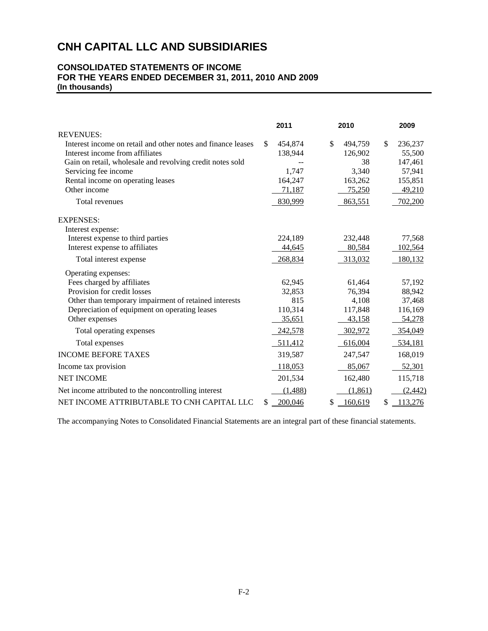# **CONSOLIDATED STATEMENTS OF INCOME FOR THE YEARS ENDED DECEMBER 31, 2011, 2010 AND 2009 (In thousands)**

|                                                              | 2011          | 2010          |     | 2009     |
|--------------------------------------------------------------|---------------|---------------|-----|----------|
| <b>REVENUES:</b>                                             |               |               |     |          |
| Interest income on retail and other notes and finance leases | \$<br>454,874 | \$<br>494,759 | \$. | 236,237  |
| Interest income from affiliates                              | 138,944       | 126,902       |     | 55,500   |
| Gain on retail, wholesale and revolving credit notes sold    |               | 38            |     | 147,461  |
| Servicing fee income                                         | 1,747         | 3,340         |     | 57,941   |
| Rental income on operating leases                            | 164,247       | 163,262       |     | 155,851  |
| Other income                                                 | 71,187        | 75,250        |     | 49,210   |
| Total revenues                                               | 830,999       | 863,551       |     | 702,200  |
| <b>EXPENSES:</b>                                             |               |               |     |          |
| Interest expense:                                            |               |               |     |          |
| Interest expense to third parties                            | 224,189       | 232,448       |     | 77,568   |
| Interest expense to affiliates                               | 44,645        | 80,584        |     | 102,564  |
| Total interest expense                                       | 268,834       | 313,032       |     | 180,132  |
| Operating expenses:                                          |               |               |     |          |
| Fees charged by affiliates                                   | 62,945        | 61,464        |     | 57,192   |
| Provision for credit losses                                  | 32,853        | 76,394        |     | 88,942   |
| Other than temporary impairment of retained interests        | 815           | 4,108         |     | 37,468   |
| Depreciation of equipment on operating leases                | 110,314       | 117,848       |     | 116,169  |
| Other expenses                                               | 35,651        | 43,158        |     | 54,278   |
| Total operating expenses                                     | 242,578       | 302,972       |     | 354,049  |
| Total expenses                                               | 511,412       | 616,004       |     | 534,181  |
| <b>INCOME BEFORE TAXES</b>                                   | 319,587       | 247,547       |     | 168,019  |
| Income tax provision                                         | 118,053       | 85,067        |     | 52,301   |
| <b>NET INCOME</b>                                            | 201,534       | 162,480       |     | 115,718  |
| Net income attributed to the noncontrolling interest         | (1,488)       | (1,861)       |     | (2, 442) |
| NET INCOME ATTRIBUTABLE TO CNH CAPITAL LLC                   | \$<br>200,046 | \$<br>160,619 | \$  | 113,276  |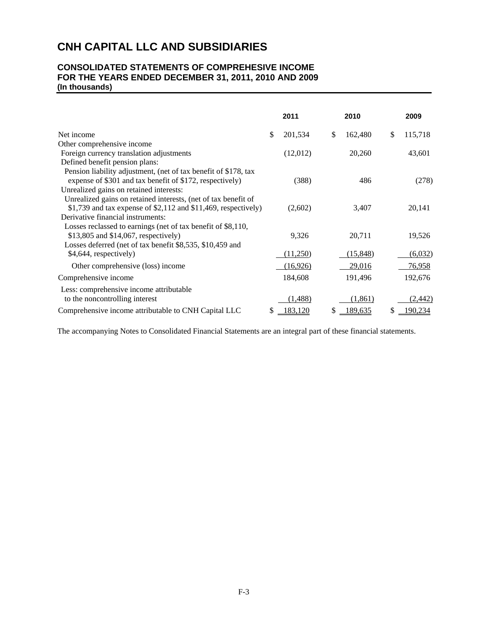# **CONSOLIDATED STATEMENTS OF COMPREHESIVE INCOME FOR THE YEARS ENDED DECEMBER 31, 2011, 2010 AND 2009 (In thousands)**

|                                                                                                                                                                   |     | 2011      |    | 2010     | 2009          |
|-------------------------------------------------------------------------------------------------------------------------------------------------------------------|-----|-----------|----|----------|---------------|
| Net income                                                                                                                                                        | \$  | 201,534   | \$ | 162,480  | \$<br>115,718 |
| Other comprehensive income                                                                                                                                        |     |           |    |          |               |
| Foreign currency translation adjustments                                                                                                                          |     | (12,012)  |    | 20,260   | 43,601        |
| Defined benefit pension plans:                                                                                                                                    |     |           |    |          |               |
| Pension liability adjustment, (net of tax benefit of \$178, tax<br>expense of \$301 and tax benefit of \$172, respectively)                                       |     | (388)     |    | 486      | (278)         |
| Unrealized gains on retained interests:                                                                                                                           |     |           |    |          |               |
| Unrealized gains on retained interests, (net of tax benefit of<br>$$1,739$ and tax expense of $$2,112$ and $$11,469$ , respectively)                              |     | (2,602)   |    | 3,407    | 20,141        |
| Derivative financial instruments:                                                                                                                                 |     |           |    |          |               |
| Losses reclassed to earnings (net of tax benefit of \$8,110,<br>\$13,805 and \$14,067, respectively)<br>Losses deferred (net of tax benefit \$8,535, \$10,459 and |     | 9,326     |    | 20,711   | 19,526        |
| \$4,644, respectively)                                                                                                                                            |     | (11,250)  |    | (15,848) | (6,032)       |
| Other comprehensive (loss) income                                                                                                                                 |     | (16, 926) |    | 29,016   | 76,958        |
| Comprehensive income                                                                                                                                              |     | 184,608   |    | 191,496  | 192,676       |
| Less: comprehensive income attributable<br>to the noncontrolling interest                                                                                         |     | (1, 488)  |    | (1, 861) | (2, 442)      |
| Comprehensive income attributable to CNH Capital LLC                                                                                                              | \$. | 183,120   | S  | 189,635  | \$<br>190,234 |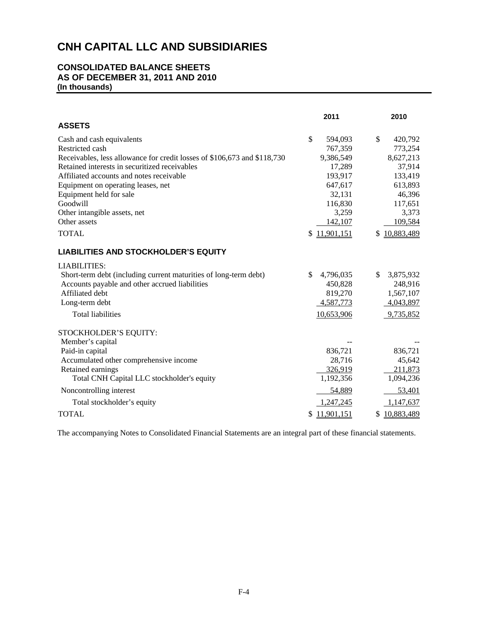# **CONSOLIDATED BALANCE SHEETS AS OF DECEMBER 31, 2011 AND 2010 (In thousands)**

|                                                                          | 2011             | 2010             |
|--------------------------------------------------------------------------|------------------|------------------|
| <b>ASSETS</b>                                                            |                  |                  |
| Cash and cash equivalents                                                | \$<br>594,093    | \$<br>420,792    |
| Restricted cash                                                          | 767,359          | 773,254          |
| Receivables, less allowance for credit losses of \$106,673 and \$118,730 | 9,386,549        | 8,627,213        |
| Retained interests in securitized receivables                            | 17,289           | 37,914           |
| Affiliated accounts and notes receivable                                 | 193,917          | 133,419          |
| Equipment on operating leases, net                                       | 647,617          | 613,893          |
| Equipment held for sale                                                  | 32,131           | 46,396           |
| Goodwill                                                                 | 116,830          | 117,651          |
| Other intangible assets, net                                             | 3,259            | 3,373            |
| Other assets                                                             | 142,107          | 109,584          |
| <b>TOTAL</b>                                                             | 11,901,151<br>\$ | 10,883,489<br>\$ |
| <b>LIABILITIES AND STOCKHOLDER'S EQUITY</b>                              |                  |                  |
| <b>LIABILITIES:</b>                                                      |                  |                  |
| Short-term debt (including current maturities of long-term debt)         | \$.<br>4,796,035 | \$<br>3,875,932  |
| Accounts payable and other accrued liabilities                           | 450,828          | 248,916          |
| Affiliated debt                                                          | 819,270          | 1,567,107        |
| Long-term debt                                                           | 4,587,773        | 4,043,897        |
| <b>Total liabilities</b>                                                 | 10,653,906       | 9,735,852        |
| STOCKHOLDER'S EQUITY:                                                    |                  |                  |
| Member's capital                                                         |                  |                  |
| Paid-in capital                                                          | 836,721          | 836,721          |
| Accumulated other comprehensive income                                   | 28,716           | 45,642           |
| Retained earnings                                                        | 326,919          | 211,873          |
| Total CNH Capital LLC stockholder's equity                               | 1,192,356        | 1,094,236        |
| Noncontrolling interest                                                  | 54,889           | 53,401           |
| Total stockholder's equity                                               | 1,247,245        | 1,147,637        |
| <b>TOTAL</b>                                                             | 11,901,151       | 10,883,489<br>\$ |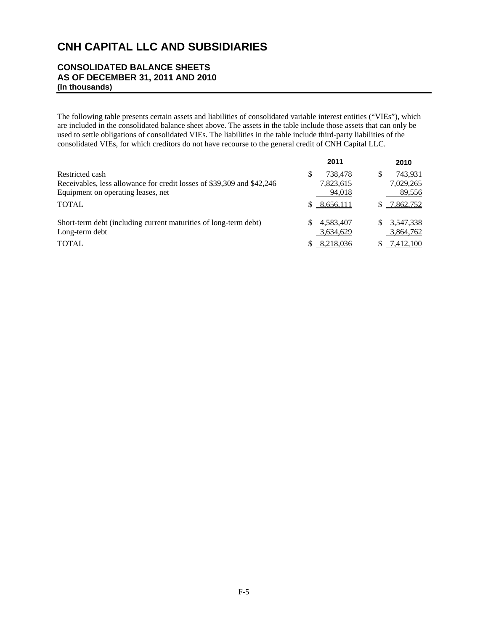# **CONSOLIDATED BALANCE SHEETS AS OF DECEMBER 31, 2011 AND 2010 (In thousands)**

The following table presents certain assets and liabilities of consolidated variable interest entities ("VIEs"), which are included in the consolidated balance sheet above. The assets in the table include those assets that can only be used to settle obligations of consolidated VIEs. The liabilities in the table include third-party liabilities of the consolidated VIEs, for which creditors do not have recourse to the general credit of CNH Capital LLC.

|                                                                        | 2011           | 2010            |
|------------------------------------------------------------------------|----------------|-----------------|
| Restricted cash                                                        | 738.478<br>S   | 743,931<br>S    |
| Receivables, less allowance for credit losses of \$39,309 and \$42,246 | 7,823,615      | 7,029,265       |
| Equipment on operating leases, net                                     | 94,018         | 89,556          |
| <b>TOTAL</b>                                                           | \$8,656,111    | \$7,862,752     |
| Short-term debt (including current maturities of long-term debt)       | 4,583,407<br>S | 3.547.338<br>S. |
| Long-term debt                                                         | 3,634,629      | 3,864,762       |
| <b>TOTAL</b>                                                           | 8,218,036      | \$7,412,100     |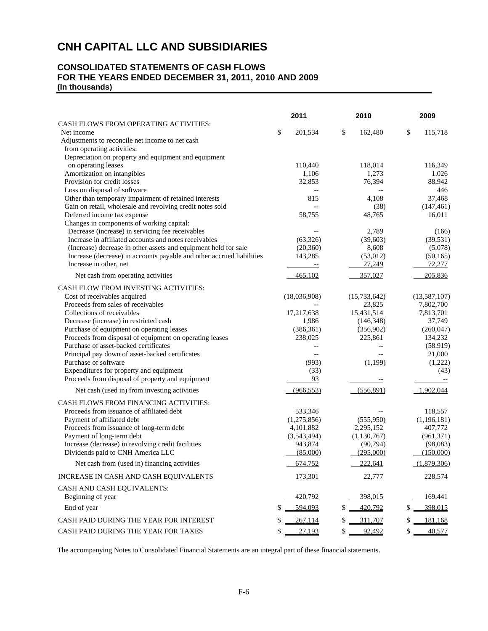# **CONSOLIDATED STATEMENTS OF CASH FLOWS FOR THE YEARS ENDED DECEMBER 31, 2011, 2010 AND 2009 (In thousands)**

|                                                                                                      | 2011                                                 | 2010           | 2009                 |  |
|------------------------------------------------------------------------------------------------------|------------------------------------------------------|----------------|----------------------|--|
| CASH FLOWS FROM OPERATING ACTIVITIES:                                                                |                                                      |                |                      |  |
| Net income                                                                                           | \$<br>201,534                                        | \$<br>162,480  | \$<br>115,718        |  |
| Adjustments to reconcile net income to net cash<br>from operating activities:                        |                                                      |                |                      |  |
| Depreciation on property and equipment and equipment                                                 |                                                      |                |                      |  |
| on operating leases                                                                                  | 110,440                                              | 118,014        | 116,349              |  |
| Amortization on intangibles                                                                          | 1,106                                                | 1,273          | 1,026                |  |
| Provision for credit losses                                                                          | 32,853                                               | 76,394         | 88,942               |  |
| Loss on disposal of software                                                                         | $-$                                                  |                | 446                  |  |
| Other than temporary impairment of retained interests                                                | 815                                                  | 4,108          | 37,468               |  |
| Gain on retail, wholesale and revolving credit notes sold                                            | $\overline{\phantom{a}}$                             | (38)           | (147, 461)           |  |
| Deferred income tax expense                                                                          | 58,755                                               | 48,765         | 16,011               |  |
| Changes in components of working capital:                                                            |                                                      |                |                      |  |
| Decrease (increase) in servicing fee receivables                                                     | $-$                                                  | 2,789          | (166)                |  |
| Increase in affiliated accounts and notes receivables                                                | (63, 326)                                            | (39,603)       | (39, 531)            |  |
| (Increase) decrease in other assets and equipment held for sale                                      | (20, 360)                                            | 8,608          | (5,078)              |  |
| Increase (decrease) in accounts payable and other accrued liabilities                                | 143,285                                              | (53,012)       | (50, 165)            |  |
| Increase in other, net                                                                               | $\equiv$                                             | 27,249         | 72,277               |  |
| Net cash from operating activities                                                                   | 465,102                                              | 357,027        | 205,836              |  |
|                                                                                                      |                                                      |                |                      |  |
| CASH FLOW FROM INVESTING ACTIVITIES:                                                                 |                                                      |                |                      |  |
| Cost of receivables acquired                                                                         | (18,036,908)                                         | (15, 733, 642) | (13, 587, 107)       |  |
| Proceeds from sales of receivables                                                                   |                                                      | 23,825         | 7,802,700            |  |
| Collections of receivables                                                                           | 17,217,638                                           | 15,431,514     | 7,813,701            |  |
| Decrease (increase) in restricted cash                                                               | 1,986                                                | (146, 348)     | 37,749               |  |
| Purchase of equipment on operating leases<br>Proceeds from disposal of equipment on operating leases | (386, 361)<br>238,025                                | (356,902)      | (260, 047)           |  |
| Purchase of asset-backed certificates                                                                |                                                      | 225,861        | 134,232<br>(58, 919) |  |
| Principal pay down of asset-backed certificates                                                      | $\overline{\phantom{a}}$<br>$\overline{\phantom{a}}$ |                | 21,000               |  |
| Purchase of software                                                                                 | (993)                                                | (1,199)        | (1,222)              |  |
| Expenditures for property and equipment                                                              | (33)                                                 |                | (43)                 |  |
| Proceeds from disposal of property and equipment                                                     | 93                                                   |                |                      |  |
|                                                                                                      |                                                      |                |                      |  |
| Net cash (used in) from investing activities                                                         | (966, 553)                                           | (556, 891)     | 1,902,044            |  |
| CASH FLOWS FROM FINANCING ACTIVITIES:                                                                |                                                      |                |                      |  |
| Proceeds from issuance of affiliated debt                                                            | 533,346                                              |                | 118,557              |  |
| Payment of affiliated debt                                                                           | (1,275,856)                                          | (555,950)      | (1,196,181)          |  |
| Proceeds from issuance of long-term debt                                                             | 4,101,882                                            | 2,295,152      | 407,772              |  |
| Payment of long-term debt                                                                            | (3,543,494)                                          | (1, 130, 767)  | (961, 371)           |  |
| Increase (decrease) in revolving credit facilities                                                   | 943,874                                              | (90, 794)      | (98,083)             |  |
| Dividends paid to CNH America LLC                                                                    | (85,000)                                             | (295,000)      | (150,000)            |  |
| Net cash from (used in) financing activities                                                         | 674,752                                              | 222,641        | (1,879,306)          |  |
| INCREASE IN CASH AND CASH EQUIVALENTS                                                                | 173,301                                              | 22,777         | 228,574              |  |
| CASH AND CASH EQUIVALENTS:                                                                           |                                                      |                |                      |  |
| Beginning of year                                                                                    | 420,792                                              | 398,015        | 169,441              |  |
| End of year                                                                                          | \$<br>594,093                                        | 420,792<br>\$  | 398,015<br>\$        |  |
| CASH PAID DURING THE YEAR FOR INTEREST                                                               | \$<br>267,114                                        | \$<br>311,707  | 181,168              |  |
| CASH PAID DURING THE YEAR FOR TAXES                                                                  | \$<br>27,193                                         | \$<br>92,492   | \$<br>40,577         |  |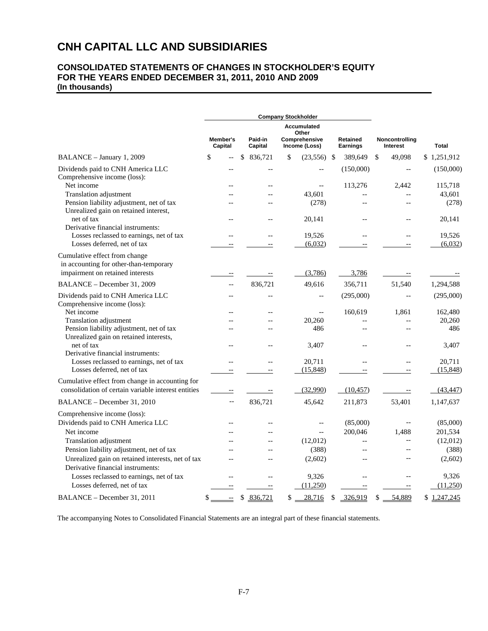# **CNH CAPITAL LLC AND SUBSIDIARIES**

# **CONSOLIDATED STATEMENTS OF CHANGES IN STOCKHOLDER'S EQUITY FOR THE YEARS ENDED DECEMBER 31, 2011, 2010 AND 2009 (In thousands)**

|                                                                                                             |                                |     |                    | <b>Company Stockholder</b>                             |                             |                |                            |                          |                   |
|-------------------------------------------------------------------------------------------------------------|--------------------------------|-----|--------------------|--------------------------------------------------------|-----------------------------|----------------|----------------------------|--------------------------|-------------------|
|                                                                                                             | Member's<br>Capital            |     | Paid-in<br>Capital | Accumulated<br>Other<br>Comprehensive<br>Income (Loss) | Retained<br><b>Earnings</b> |                | Noncontrolling<br>Interest |                          | <b>Total</b>      |
| BALANCE - January 1, 2009                                                                                   | \$                             | \$. | 836,721            | \$<br>(23, 556)                                        | -S                          | 389,649        | \$                         | 49,098                   | \$1,251,912       |
| Dividends paid to CNH America LLC<br>Comprehensive income (loss):                                           |                                |     | Ξ.                 |                                                        |                             | (150,000)      |                            | $\overline{\phantom{a}}$ | (150,000)         |
| Net income                                                                                                  |                                |     | --                 | $\overline{\phantom{a}}$                               |                             | 113,276        |                            | 2,442                    | 115,718           |
| Translation adjustment<br>Pension liability adjustment, net of tax<br>Unrealized gain on retained interest, |                                |     | $-$                | 43,601<br>(278)                                        |                             | $-$            |                            | $\overline{a}$           | 43,601<br>(278)   |
| net of tax<br>Derivative financial instruments:                                                             |                                |     | --                 | 20,141                                                 |                             |                |                            |                          | 20,141            |
| Losses reclassed to earnings, net of tax<br>Losses deferred, net of tax                                     |                                |     | $-$                | 19,526<br>(6,032)                                      |                             | $-$            |                            | $\overline{a}$           | 19,526<br>(6,032) |
| Cumulative effect from change<br>in accounting for other-than-temporary<br>impairment on retained interests |                                |     |                    | (3,786)                                                |                             | 3,786          |                            |                          |                   |
| BALANCE - December 31, 2009                                                                                 | $-1$                           |     | 836,721            | 49,616                                                 |                             | 356,711        |                            | 51,540                   | 1,294,588         |
| Dividends paid to CNH America LLC<br>Comprehensive income (loss):                                           | $-$                            |     |                    | $-$                                                    |                             | (295,000)      |                            |                          | (295,000)         |
| Net income                                                                                                  |                                |     |                    | $-$                                                    |                             | 160,619        |                            | 1,861                    | 162,480           |
| Translation adjustment                                                                                      |                                |     |                    | 20,260                                                 |                             |                |                            |                          | 20,260            |
| Pension liability adjustment, net of tax<br>Unrealized gain on retained interests,<br>net of tax            |                                |     | $-$                | 486<br>3,407                                           |                             | $-$            |                            | $\overline{a}$           | 486<br>3,407      |
| Derivative financial instruments:                                                                           |                                |     |                    |                                                        |                             |                |                            |                          |                   |
| Losses reclassed to earnings, net of tax                                                                    |                                |     | $\overline{a}$     | 20,711                                                 |                             | $-$            |                            | $\overline{a}$           | 20,711            |
| Losses deferred, net of tax                                                                                 |                                |     |                    | (15, 848)                                              |                             | --             |                            |                          | (15, 848)         |
| Cumulative effect from change in accounting for<br>consolidation of certain variable interest entities      |                                |     |                    | (32,990)                                               |                             | (10, 457)      |                            |                          | (43, 447)         |
| BALANCE - December 31, 2010                                                                                 | $-$                            |     | 836,721            | 45,642                                                 |                             | 211,873        |                            | 53,401                   | 1,147,637         |
| Comprehensive income (loss):<br>Dividends paid to CNH America LLC                                           |                                |     |                    |                                                        |                             | (85,000)       |                            |                          | (85,000)          |
| Net income                                                                                                  |                                |     |                    | $-$                                                    |                             | 200,046        |                            | 1,488                    | 201,534           |
| <b>Translation adjustment</b>                                                                               |                                |     |                    | (12,012)                                               |                             |                |                            |                          | (12,012)          |
| Pension liability adjustment, net of tax                                                                    |                                |     | $\overline{a}$     | (388)                                                  |                             | $-$            |                            | $\overline{a}$           | (388)             |
| Unrealized gain on retained interests, net of tax<br>Derivative financial instruments:                      |                                |     | $=$                | (2,602)                                                |                             | $\overline{a}$ |                            |                          | (2,602)           |
| Losses reclassed to earnings, net of tax                                                                    |                                |     |                    | 9,326                                                  |                             |                |                            |                          | 9,326             |
| Losses deferred, net of tax                                                                                 |                                |     |                    | (11,250)                                               |                             |                |                            |                          | (11,250)          |
| BALANCE - December 31, 2011                                                                                 | \$<br>$\overline{\phantom{a}}$ | \$  | 836,721            | \$<br>28,716                                           | \$                          | 326,919        | \$                         | 54,889                   | \$<br>1,247,245   |

The accompanying Notes to Consolidated Financial Statements are an integral part of these financial statements.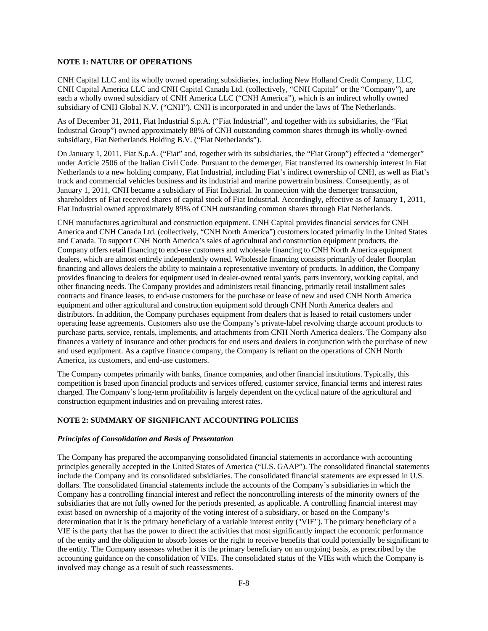# **NOTE 1: NATURE OF OPERATIONS**

CNH Capital LLC and its wholly owned operating subsidiaries, including New Holland Credit Company, LLC, CNH Capital America LLC and CNH Capital Canada Ltd. (collectively, "CNH Capital" or the "Company"), are each a wholly owned subsidiary of CNH America LLC ("CNH America"), which is an indirect wholly owned subsidiary of CNH Global N.V. ("CNH"). CNH is incorporated in and under the laws of The Netherlands.

As of December 31, 2011, Fiat Industrial S.p.A. ("Fiat Industrial", and together with its subsidiaries, the "Fiat Industrial Group") owned approximately 88% of CNH outstanding common shares through its wholly-owned subsidiary, Fiat Netherlands Holding B.V. ("Fiat Netherlands").

On January 1, 2011, Fiat S.p.A. ("Fiat" and, together with its subsidiaries, the "Fiat Group") effected a "demerger" under Article 2506 of the Italian Civil Code. Pursuant to the demerger, Fiat transferred its ownership interest in Fiat Netherlands to a new holding company, Fiat Industrial, including Fiat's indirect ownership of CNH, as well as Fiat's truck and commercial vehicles business and its industrial and marine powertrain business. Consequently, as of January 1, 2011, CNH became a subsidiary of Fiat Industrial. In connection with the demerger transaction, shareholders of Fiat received shares of capital stock of Fiat Industrial. Accordingly, effective as of January 1, 2011, Fiat Industrial owned approximately 89% of CNH outstanding common shares through Fiat Netherlands.

CNH manufactures agricultural and construction equipment. CNH Capital provides financial services for CNH America and CNH Canada Ltd. (collectively, "CNH North America") customers located primarily in the United States and Canada. To support CNH North America's sales of agricultural and construction equipment products, the Company offers retail financing to end-use customers and wholesale financing to CNH North America equipment dealers, which are almost entirely independently owned. Wholesale financing consists primarily of dealer floorplan financing and allows dealers the ability to maintain a representative inventory of products. In addition, the Company provides financing to dealers for equipment used in dealer-owned rental yards, parts inventory, working capital, and other financing needs. The Company provides and administers retail financing, primarily retail installment sales contracts and finance leases, to end-use customers for the purchase or lease of new and used CNH North America equipment and other agricultural and construction equipment sold through CNH North America dealers and distributors. In addition, the Company purchases equipment from dealers that is leased to retail customers under operating lease agreements. Customers also use the Company's private-label revolving charge account products to purchase parts, service, rentals, implements, and attachments from CNH North America dealers. The Company also finances a variety of insurance and other products for end users and dealers in conjunction with the purchase of new and used equipment. As a captive finance company, the Company is reliant on the operations of CNH North America, its customers, and end-use customers.

The Company competes primarily with banks, finance companies, and other financial institutions. Typically, this competition is based upon financial products and services offered, customer service, financial terms and interest rates charged. The Company's long-term profitability is largely dependent on the cyclical nature of the agricultural and construction equipment industries and on prevailing interest rates.

# **NOTE 2: SUMMARY OF SIGNIFICANT ACCOUNTING POLICIES**

#### *Principles of Consolidation and Basis of Presentation*

The Company has prepared the accompanying consolidated financial statements in accordance with accounting principles generally accepted in the United States of America ("U.S. GAAP"). The consolidated financial statements include the Company and its consolidated subsidiaries. The consolidated financial statements are expressed in U.S. dollars. The consolidated financial statements include the accounts of the Company's subsidiaries in which the Company has a controlling financial interest and reflect the noncontrolling interests of the minority owners of the subsidiaries that are not fully owned for the periods presented, as applicable. A controlling financial interest may exist based on ownership of a majority of the voting interest of a subsidiary, or based on the Company's determination that it is the primary beneficiary of a variable interest entity ("VIE"). The primary beneficiary of a VIE is the party that has the power to direct the activities that most significantly impact the economic performance of the entity and the obligation to absorb losses or the right to receive benefits that could potentially be significant to the entity. The Company assesses whether it is the primary beneficiary on an ongoing basis, as prescribed by the accounting guidance on the consolidation of VIEs. The consolidated status of the VIEs with which the Company is involved may change as a result of such reassessments.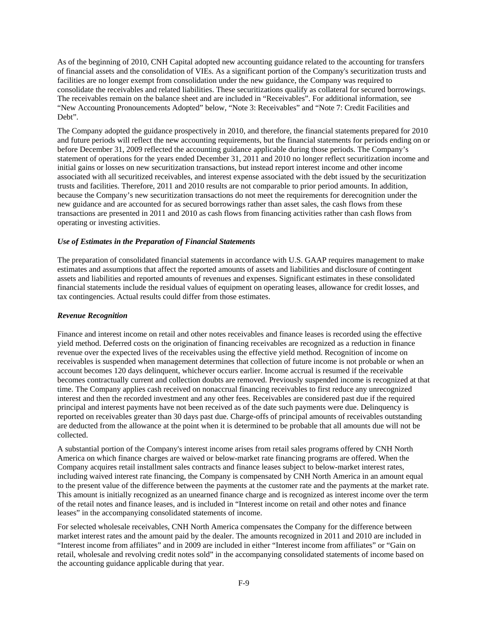As of the beginning of 2010, CNH Capital adopted new accounting guidance related to the accounting for transfers of financial assets and the consolidation of VIEs. As a significant portion of the Company's securitization trusts and facilities are no longer exempt from consolidation under the new guidance, the Company was required to consolidate the receivables and related liabilities. These securitizations qualify as collateral for secured borrowings. The receivables remain on the balance sheet and are included in "Receivables". For additional information, see "New Accounting Pronouncements Adopted" below, "Note 3: Receivables" and "Note 7: Credit Facilities and Debt".

The Company adopted the guidance prospectively in 2010, and therefore, the financial statements prepared for 2010 and future periods will reflect the new accounting requirements, but the financial statements for periods ending on or before December 31, 2009 reflected the accounting guidance applicable during those periods. The Company's statement of operations for the years ended December 31, 2011 and 2010 no longer reflect securitization income and initial gains or losses on new securitization transactions, but instead report interest income and other income associated with all securitized receivables, and interest expense associated with the debt issued by the securitization trusts and facilities. Therefore, 2011 and 2010 results are not comparable to prior period amounts. In addition, because the Company's new securitization transactions do not meet the requirements for derecognition under the new guidance and are accounted for as secured borrowings rather than asset sales, the cash flows from these transactions are presented in 2011 and 2010 as cash flows from financing activities rather than cash flows from operating or investing activities.

# *Use of Estimates in the Preparation of Financial Statements*

The preparation of consolidated financial statements in accordance with U.S. GAAP requires management to make estimates and assumptions that affect the reported amounts of assets and liabilities and disclosure of contingent assets and liabilities and reported amounts of revenues and expenses. Significant estimates in these consolidated financial statements include the residual values of equipment on operating leases, allowance for credit losses, and tax contingencies. Actual results could differ from those estimates.

### *Revenue Recognition*

Finance and interest income on retail and other notes receivables and finance leases is recorded using the effective yield method. Deferred costs on the origination of financing receivables are recognized as a reduction in finance revenue over the expected lives of the receivables using the effective yield method. Recognition of income on receivables is suspended when management determines that collection of future income is not probable or when an account becomes 120 days delinquent, whichever occurs earlier. Income accrual is resumed if the receivable becomes contractually current and collection doubts are removed. Previously suspended income is recognized at that time. The Company applies cash received on nonaccrual financing receivables to first reduce any unrecognized interest and then the recorded investment and any other fees. Receivables are considered past due if the required principal and interest payments have not been received as of the date such payments were due. Delinquency is reported on receivables greater than 30 days past due. Charge-offs of principal amounts of receivables outstanding are deducted from the allowance at the point when it is determined to be probable that all amounts due will not be collected.

A substantial portion of the Company's interest income arises from retail sales programs offered by CNH North America on which finance charges are waived or below-market rate financing programs are offered. When the Company acquires retail installment sales contracts and finance leases subject to below-market interest rates, including waived interest rate financing, the Company is compensated by CNH North America in an amount equal to the present value of the difference between the payments at the customer rate and the payments at the market rate. This amount is initially recognized as an unearned finance charge and is recognized as interest income over the term of the retail notes and finance leases, and is included in "Interest income on retail and other notes and finance leases" in the accompanying consolidated statements of income.

For selected wholesale receivables, CNH North America compensates the Company for the difference between market interest rates and the amount paid by the dealer. The amounts recognized in 2011 and 2010 are included in "Interest income from affiliates" and in 2009 are included in either "Interest income from affiliates" or "Gain on retail, wholesale and revolving credit notes sold" in the accompanying consolidated statements of income based on the accounting guidance applicable during that year.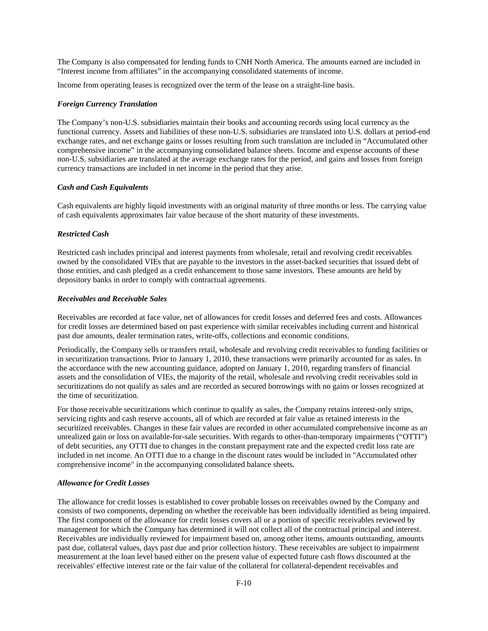The Company is also compensated for lending funds to CNH North America. The amounts earned are included in "Interest income from affiliates" in the accompanying consolidated statements of income.

Income from operating leases is recognized over the term of the lease on a straight-line basis.

### *Foreign Currency Translation*

The Company's non-U.S. subsidiaries maintain their books and accounting records using local currency as the functional currency. Assets and liabilities of these non-U.S. subsidiaries are translated into U.S. dollars at period-end exchange rates, and net exchange gains or losses resulting from such translation are included in "Accumulated other comprehensive income" in the accompanying consolidated balance sheets. Income and expense accounts of these non-U.S. subsidiaries are translated at the average exchange rates for the period, and gains and losses from foreign currency transactions are included in net income in the period that they arise.

### *Cash and Cash Equivalents*

Cash equivalents are highly liquid investments with an original maturity of three months or less. The carrying value of cash equivalents approximates fair value because of the short maturity of these investments.

# *Restricted Cash*

Restricted cash includes principal and interest payments from wholesale, retail and revolving credit receivables owned by the consolidated VIEs that are payable to the investors in the asset-backed securities that issued debt of those entities, and cash pledged as a credit enhancement to those same investors. These amounts are held by depository banks in order to comply with contractual agreements.

## *Receivables and Receivable Sales*

Receivables are recorded at face value, net of allowances for credit losses and deferred fees and costs. Allowances for credit losses are determined based on past experience with similar receivables including current and historical past due amounts, dealer termination rates, write-offs, collections and economic conditions.

Periodically, the Company sells or transfers retail, wholesale and revolving credit receivables to funding facilities or in securitization transactions. Prior to January 1, 2010, these transactions were primarily accounted for as sales. In the accordance with the new accounting guidance, adopted on January 1, 2010, regarding transfers of financial assets and the consolidation of VIEs, the majority of the retail, wholesale and revolving credit receivables sold in securitizations do not qualify as sales and are recorded as secured borrowings with no gains or losses recognized at the time of securitization.

For those receivable securitizations which continue to qualify as sales, the Company retains interest-only strips, servicing rights and cash reserve accounts, all of which are recorded at fair value as retained interests in the securitized receivables. Changes in these fair values are recorded in other accumulated comprehensive income as an unrealized gain or loss on available-for-sale securities. With regards to other-than-temporary impairments ("OTTI") of debt securities, any OTTI due to changes in the constant prepayment rate and the expected credit loss rate are included in net income. An OTTI due to a change in the discount rates would be included in "Accumulated other comprehensive income" in the accompanying consolidated balance sheets.

#### *Allowance for Credit Losses*

The allowance for credit losses is established to cover probable losses on receivables owned by the Company and consists of two components, depending on whether the receivable has been individually identified as being impaired. The first component of the allowance for credit losses covers all or a portion of specific receivables reviewed by management for which the Company has determined it will not collect all of the contractual principal and interest. Receivables are individually reviewed for impairment based on, among other items, amounts outstanding, amounts past due, collateral values, days past due and prior collection history. These receivables are subject to impairment measurement at the loan level based either on the present value of expected future cash flows discounted at the receivables' effective interest rate or the fair value of the collateral for collateral-dependent receivables and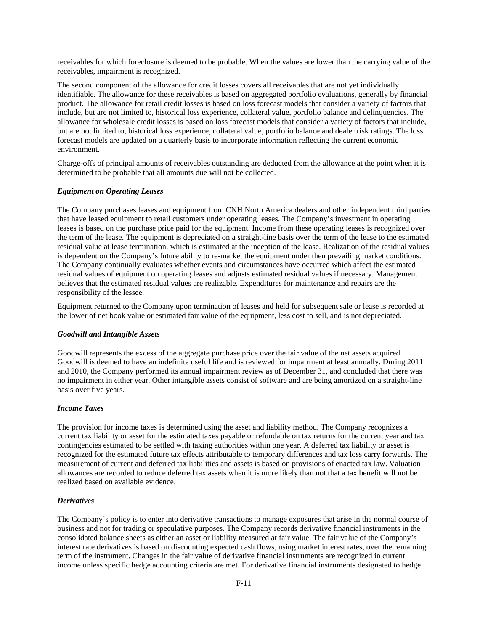receivables for which foreclosure is deemed to be probable. When the values are lower than the carrying value of the receivables, impairment is recognized.

The second component of the allowance for credit losses covers all receivables that are not yet individually identifiable. The allowance for these receivables is based on aggregated portfolio evaluations, generally by financial product. The allowance for retail credit losses is based on loss forecast models that consider a variety of factors that include, but are not limited to, historical loss experience, collateral value, portfolio balance and delinquencies. The allowance for wholesale credit losses is based on loss forecast models that consider a variety of factors that include, but are not limited to, historical loss experience, collateral value, portfolio balance and dealer risk ratings. The loss forecast models are updated on a quarterly basis to incorporate information reflecting the current economic environment.

Charge-offs of principal amounts of receivables outstanding are deducted from the allowance at the point when it is determined to be probable that all amounts due will not be collected.

### *Equipment on Operating Leases*

The Company purchases leases and equipment from CNH North America dealers and other independent third parties that have leased equipment to retail customers under operating leases. The Company's investment in operating leases is based on the purchase price paid for the equipment. Income from these operating leases is recognized over the term of the lease. The equipment is depreciated on a straight-line basis over the term of the lease to the estimated residual value at lease termination, which is estimated at the inception of the lease. Realization of the residual values is dependent on the Company's future ability to re-market the equipment under then prevailing market conditions. The Company continually evaluates whether events and circumstances have occurred which affect the estimated residual values of equipment on operating leases and adjusts estimated residual values if necessary. Management believes that the estimated residual values are realizable. Expenditures for maintenance and repairs are the responsibility of the lessee.

Equipment returned to the Company upon termination of leases and held for subsequent sale or lease is recorded at the lower of net book value or estimated fair value of the equipment, less cost to sell, and is not depreciated.

### *Goodwill and Intangible Assets*

Goodwill represents the excess of the aggregate purchase price over the fair value of the net assets acquired. Goodwill is deemed to have an indefinite useful life and is reviewed for impairment at least annually. During 2011 and 2010, the Company performed its annual impairment review as of December 31, and concluded that there was no impairment in either year. Other intangible assets consist of software and are being amortized on a straight-line basis over five years.

# *Income Taxes*

The provision for income taxes is determined using the asset and liability method. The Company recognizes a current tax liability or asset for the estimated taxes payable or refundable on tax returns for the current year and tax contingencies estimated to be settled with taxing authorities within one year. A deferred tax liability or asset is recognized for the estimated future tax effects attributable to temporary differences and tax loss carry forwards. The measurement of current and deferred tax liabilities and assets is based on provisions of enacted tax law. Valuation allowances are recorded to reduce deferred tax assets when it is more likely than not that a tax benefit will not be realized based on available evidence.

### *Derivatives*

The Company's policy is to enter into derivative transactions to manage exposures that arise in the normal course of business and not for trading or speculative purposes. The Company records derivative financial instruments in the consolidated balance sheets as either an asset or liability measured at fair value. The fair value of the Company's interest rate derivatives is based on discounting expected cash flows, using market interest rates, over the remaining term of the instrument. Changes in the fair value of derivative financial instruments are recognized in current income unless specific hedge accounting criteria are met. For derivative financial instruments designated to hedge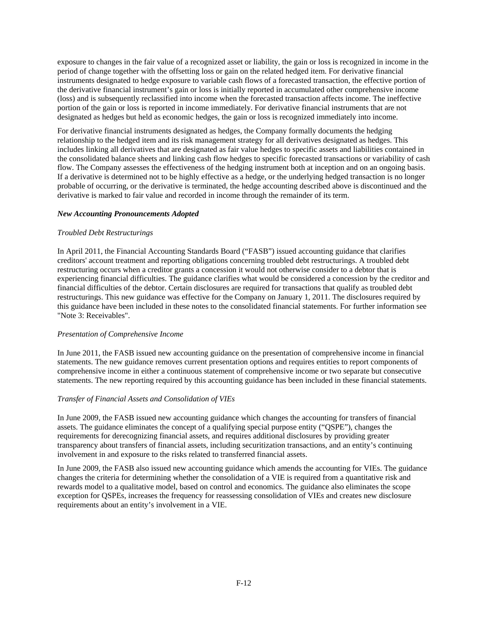exposure to changes in the fair value of a recognized asset or liability, the gain or loss is recognized in income in the period of change together with the offsetting loss or gain on the related hedged item. For derivative financial instruments designated to hedge exposure to variable cash flows of a forecasted transaction, the effective portion of the derivative financial instrument's gain or loss is initially reported in accumulated other comprehensive income (loss) and is subsequently reclassified into income when the forecasted transaction affects income. The ineffective portion of the gain or loss is reported in income immediately. For derivative financial instruments that are not designated as hedges but held as economic hedges, the gain or loss is recognized immediately into income.

For derivative financial instruments designated as hedges, the Company formally documents the hedging relationship to the hedged item and its risk management strategy for all derivatives designated as hedges. This includes linking all derivatives that are designated as fair value hedges to specific assets and liabilities contained in the consolidated balance sheets and linking cash flow hedges to specific forecasted transactions or variability of cash flow. The Company assesses the effectiveness of the hedging instrument both at inception and on an ongoing basis. If a derivative is determined not to be highly effective as a hedge, or the underlying hedged transaction is no longer probable of occurring, or the derivative is terminated, the hedge accounting described above is discontinued and the derivative is marked to fair value and recorded in income through the remainder of its term.

# *New Accounting Pronouncements Adopted*

# *Troubled Debt Restructurings*

In April 2011, the Financial Accounting Standards Board ("FASB") issued accounting guidance that clarifies creditors' account treatment and reporting obligations concerning troubled debt restructurings. A troubled debt restructuring occurs when a creditor grants a concession it would not otherwise consider to a debtor that is experiencing financial difficulties. The guidance clarifies what would be considered a concession by the creditor and financial difficulties of the debtor. Certain disclosures are required for transactions that qualify as troubled debt restructurings. This new guidance was effective for the Company on January 1, 2011. The disclosures required by this guidance have been included in these notes to the consolidated financial statements. For further information see "Note 3: Receivables".

### *Presentation of Comprehensive Income*

In June 2011, the FASB issued new accounting guidance on the presentation of comprehensive income in financial statements. The new guidance removes current presentation options and requires entities to report components of comprehensive income in either a continuous statement of comprehensive income or two separate but consecutive statements. The new reporting required by this accounting guidance has been included in these financial statements.

# *Transfer of Financial Assets and Consolidation of VIEs*

In June 2009, the FASB issued new accounting guidance which changes the accounting for transfers of financial assets. The guidance eliminates the concept of a qualifying special purpose entity ("QSPE"), changes the requirements for derecognizing financial assets, and requires additional disclosures by providing greater transparency about transfers of financial assets, including securitization transactions, and an entity's continuing involvement in and exposure to the risks related to transferred financial assets.

In June 2009, the FASB also issued new accounting guidance which amends the accounting for VIEs. The guidance changes the criteria for determining whether the consolidation of a VIE is required from a quantitative risk and rewards model to a qualitative model, based on control and economics. The guidance also eliminates the scope exception for QSPEs, increases the frequency for reassessing consolidation of VIEs and creates new disclosure requirements about an entity's involvement in a VIE.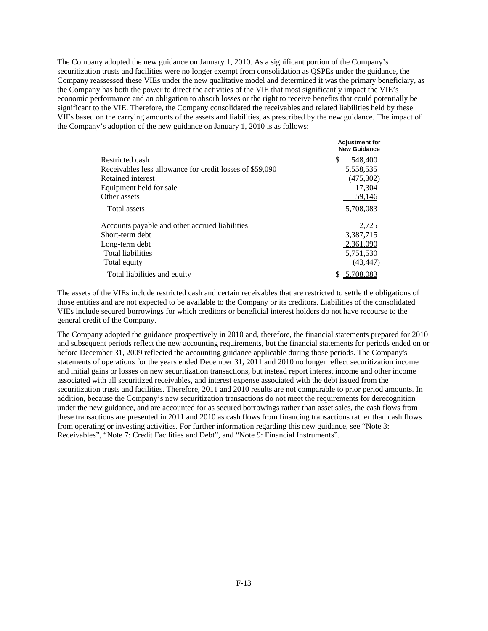The Company adopted the new guidance on January 1, 2010. As a significant portion of the Company's securitization trusts and facilities were no longer exempt from consolidation as QSPEs under the guidance, the Company reassessed these VIEs under the new qualitative model and determined it was the primary beneficiary, as the Company has both the power to direct the activities of the VIE that most significantly impact the VIE's economic performance and an obligation to absorb losses or the right to receive benefits that could potentially be significant to the VIE. Therefore, the Company consolidated the receivables and related liabilities held by these VIEs based on the carrying amounts of the assets and liabilities, as prescribed by the new guidance. The impact of the Company's adoption of the new guidance on January 1, 2010 is as follows:

|                                                          | <b>Adjustment for</b><br><b>New Guidance</b> |
|----------------------------------------------------------|----------------------------------------------|
| Restricted cash                                          | S<br>548,400                                 |
| Receivables less allowance for credit losses of \$59,090 | 5,558,535                                    |
| Retained interest                                        | (475,302)                                    |
| Equipment held for sale                                  | 17,304                                       |
| Other assets                                             | 59,146                                       |
| Total assets                                             | 5,708,083                                    |
| Accounts payable and other accrued liabilities           | 2.725                                        |
| Short-term debt                                          | 3,387,715                                    |
| Long-term debt                                           | 2,361,090                                    |
| <b>Total liabilities</b>                                 | 5,751,530                                    |
| Total equity                                             | (43, 447)                                    |
| Total liabilities and equity                             | 5,708,083                                    |

The assets of the VIEs include restricted cash and certain receivables that are restricted to settle the obligations of those entities and are not expected to be available to the Company or its creditors. Liabilities of the consolidated VIEs include secured borrowings for which creditors or beneficial interest holders do not have recourse to the general credit of the Company.

The Company adopted the guidance prospectively in 2010 and, therefore, the financial statements prepared for 2010 and subsequent periods reflect the new accounting requirements, but the financial statements for periods ended on or before December 31, 2009 reflected the accounting guidance applicable during those periods. The Company's statements of operations for the years ended December 31, 2011 and 2010 no longer reflect securitization income and initial gains or losses on new securitization transactions, but instead report interest income and other income associated with all securitized receivables, and interest expense associated with the debt issued from the securitization trusts and facilities. Therefore, 2011 and 2010 results are not comparable to prior period amounts. In addition, because the Company's new securitization transactions do not meet the requirements for derecognition under the new guidance, and are accounted for as secured borrowings rather than asset sales, the cash flows from these transactions are presented in 2011 and 2010 as cash flows from financing transactions rather than cash flows from operating or investing activities. For further information regarding this new guidance, see "Note 3: Receivables", "Note 7: Credit Facilities and Debt", and "Note 9: Financial Instruments".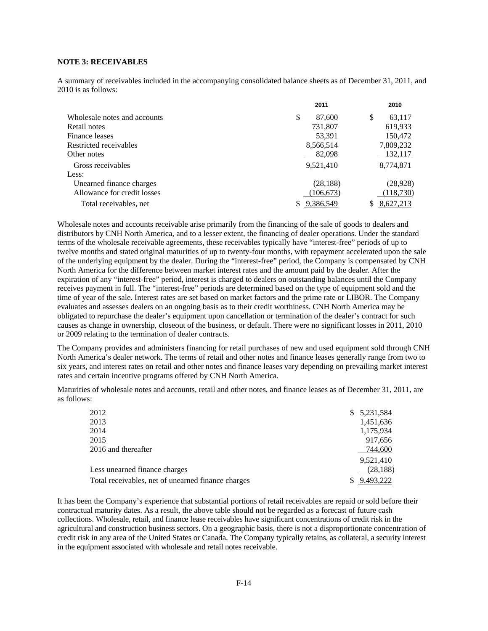# **NOTE 3: RECEIVABLES**

A summary of receivables included in the accompanying consolidated balance sheets as of December 31, 2011, and 2010 is as follows:

|                              | 2011         | 2010        |
|------------------------------|--------------|-------------|
| Wholesale notes and accounts | \$<br>87,600 | S<br>63,117 |
| Retail notes                 | 731,807      | 619,933     |
| Finance leases               | 53,391       | 150,472     |
| Restricted receivables       | 8,566,514    | 7,809,232   |
| Other notes                  | 82,098       | 132,117     |
| Gross receivables            | 9,521,410    | 8,774,871   |
| Less:                        |              |             |
| Unearned finance charges     | (28, 188)    | (28, 928)   |
| Allowance for credit losses  | (106, 673)   | (118,730)   |
| Total receivables, net       | 9,386,549    | 8,627,213   |

Wholesale notes and accounts receivable arise primarily from the financing of the sale of goods to dealers and distributors by CNH North America, and to a lesser extent, the financing of dealer operations. Under the standard terms of the wholesale receivable agreements, these receivables typically have "interest-free" periods of up to twelve months and stated original maturities of up to twenty-four months, with repayment accelerated upon the sale of the underlying equipment by the dealer. During the "interest-free" period, the Company is compensated by CNH North America for the difference between market interest rates and the amount paid by the dealer. After the expiration of any "interest-free" period, interest is charged to dealers on outstanding balances until the Company receives payment in full. The "interest-free" periods are determined based on the type of equipment sold and the time of year of the sale. Interest rates are set based on market factors and the prime rate or LIBOR. The Company evaluates and assesses dealers on an ongoing basis as to their credit worthiness. CNH North America may be obligated to repurchase the dealer's equipment upon cancellation or termination of the dealer's contract for such causes as change in ownership, closeout of the business, or default. There were no significant losses in 2011, 2010 or 2009 relating to the termination of dealer contracts.

The Company provides and administers financing for retail purchases of new and used equipment sold through CNH North America's dealer network. The terms of retail and other notes and finance leases generally range from two to six years, and interest rates on retail and other notes and finance leases vary depending on prevailing market interest rates and certain incentive programs offered by CNH North America.

Maturities of wholesale notes and accounts, retail and other notes, and finance leases as of December 31, 2011, are as follows:

| 2012                                               | \$5,231,584 |
|----------------------------------------------------|-------------|
| 2013                                               | 1,451,636   |
| 2014                                               | 1,175,934   |
| 2015                                               | 917,656     |
| 2016 and thereafter                                | 744,600     |
|                                                    | 9.521.410   |
| Less unearned finance charges                      | (28, 188)   |
| Total receivables, net of unearned finance charges | 9,493,222   |
|                                                    |             |

It has been the Company's experience that substantial portions of retail receivables are repaid or sold before their contractual maturity dates. As a result, the above table should not be regarded as a forecast of future cash collections. Wholesale, retail, and finance lease receivables have significant concentrations of credit risk in the agricultural and construction business sectors. On a geographic basis, there is not a disproportionate concentration of credit risk in any area of the United States or Canada. The Company typically retains, as collateral, a security interest in the equipment associated with wholesale and retail notes receivable.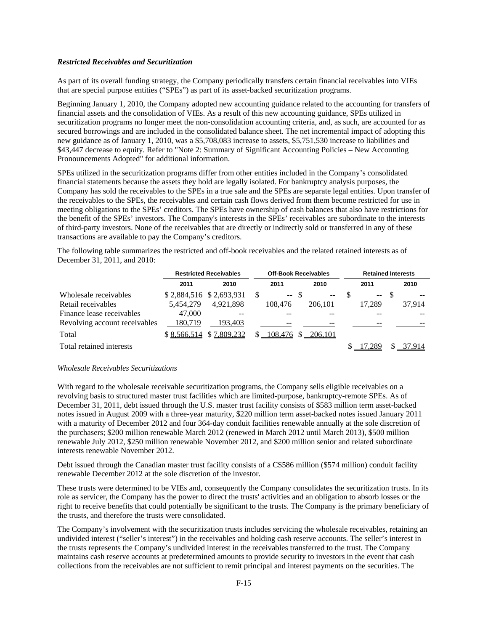### *Restricted Receivables and Securitization*

As part of its overall funding strategy, the Company periodically transfers certain financial receivables into VIEs that are special purpose entities ("SPEs") as part of its asset-backed securitization programs.

Beginning January 1, 2010, the Company adopted new accounting guidance related to the accounting for transfers of financial assets and the consolidation of VIEs. As a result of this new accounting guidance, SPEs utilized in securitization programs no longer meet the non-consolidation accounting criteria, and, as such, are accounted for as secured borrowings and are included in the consolidated balance sheet. The net incremental impact of adopting this new guidance as of January 1, 2010, was a \$5,708,083 increase to assets, \$5,751,530 increase to liabilities and \$43,447 decrease to equity. Refer to "Note 2: Summary of Significant Accounting Policies – New Accounting Pronouncements Adopted" for additional information.

SPEs utilized in the securitization programs differ from other entities included in the Company's consolidated financial statements because the assets they hold are legally isolated. For bankruptcy analysis purposes, the Company has sold the receivables to the SPEs in a true sale and the SPEs are separate legal entities. Upon transfer of the receivables to the SPEs, the receivables and certain cash flows derived from them become restricted for use in meeting obligations to the SPEs' creditors. The SPEs have ownership of cash balances that also have restrictions for the benefit of the SPEs' investors. The Company's interests in the SPEs' receivables are subordinate to the interests of third-party investors. None of the receivables that are directly or indirectly sold or transferred in any of these transactions are available to pay the Company's creditors.

The following table summarizes the restricted and off-book receivables and the related retained interests as of December 31, 2011, and 2010:

|                               |           | <b>Restricted Receivables</b> |   | <b>Off-Book Receivables</b> |     |                          | <b>Retained Interests</b> |        |  |        |  |
|-------------------------------|-----------|-------------------------------|---|-----------------------------|-----|--------------------------|---------------------------|--------|--|--------|--|
|                               | 2011      | 2010                          |   | 2011                        |     | 2010                     |                           | 2011   |  | 2010   |  |
| Wholesale receivables         |           | \$2,884,516 \$2,693,931       | S | $\mathcal{L}_{\mathcal{F}}$ | -\$ | $\overline{\phantom{m}}$ |                           | $--$   |  | $- -$  |  |
| Retail receivables            | 5.454,279 | 4.921.898                     |   | 108,476                     |     | 206,101                  |                           | 17.289 |  | 37,914 |  |
| Finance lease receivables     | 47,000    |                               |   |                             |     |                          |                           |        |  |        |  |
| Revolving account receivables | 180.719   | 193.403                       |   | --                          |     |                          |                           |        |  |        |  |
| Total                         |           | \$8,566,514 \$7,809,232       |   | $$108,476$ $$206,101$       |     |                          |                           |        |  |        |  |
| Total retained interests      |           |                               |   |                             |     |                          |                           | 289    |  | 37.914 |  |

### *Wholesale Receivables Securitizations*

With regard to the wholesale receivable securitization programs, the Company sells eligible receivables on a revolving basis to structured master trust facilities which are limited-purpose, bankruptcy-remote SPEs. As of December 31, 2011, debt issued through the U.S. master trust facility consists of \$583 million term asset-backed notes issued in August 2009 with a three-year maturity, \$220 million term asset-backed notes issued January 2011 with a maturity of December 2012 and four 364-day conduit facilities renewable annually at the sole discretion of the purchasers; \$200 million renewable March 2012 (renewed in March 2012 until March 2013), \$500 million renewable July 2012, \$250 million renewable November 2012, and \$200 million senior and related subordinate interests renewable November 2012.

Debt issued through the Canadian master trust facility consists of a C\$586 million (\$574 million) conduit facility renewable December 2012 at the sole discretion of the investor.

These trusts were determined to be VIEs and, consequently the Company consolidates the securitization trusts. In its role as servicer, the Company has the power to direct the trusts' activities and an obligation to absorb losses or the right to receive benefits that could potentially be significant to the trusts. The Company is the primary beneficiary of the trusts, and therefore the trusts were consolidated.

The Company's involvement with the securitization trusts includes servicing the wholesale receivables, retaining an undivided interest ("seller's interest") in the receivables and holding cash reserve accounts. The seller's interest in the trusts represents the Company's undivided interest in the receivables transferred to the trust. The Company maintains cash reserve accounts at predetermined amounts to provide security to investors in the event that cash collections from the receivables are not sufficient to remit principal and interest payments on the securities. The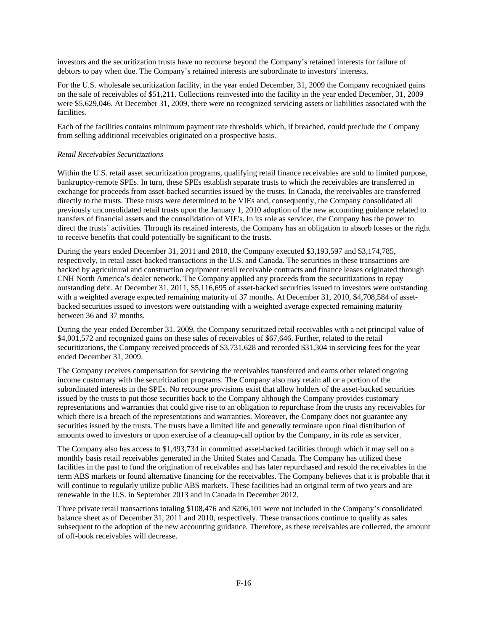investors and the securitization trusts have no recourse beyond the Company's retained interests for failure of debtors to pay when due. The Company's retained interests are subordinate to investors' interests.

For the U.S. wholesale securitization facility, in the year ended December, 31, 2009 the Company recognized gains on the sale of receivables of \$51,211. Collections reinvested into the facility in the year ended December, 31, 2009 were \$5,629,046. At December 31, 2009, there were no recognized servicing assets or liabilities associated with the facilities.

Each of the facilities contains minimum payment rate thresholds which, if breached, could preclude the Company from selling additional receivables originated on a prospective basis.

### *Retail Receivables Securitizations*

Within the U.S. retail asset securitization programs, qualifying retail finance receivables are sold to limited purpose, bankruptcy-remote SPEs. In turn, these SPEs establish separate trusts to which the receivables are transferred in exchange for proceeds from asset-backed securities issued by the trusts. In Canada, the receivables are transferred directly to the trusts. These trusts were determined to be VIEs and, consequently, the Company consolidated all previously unconsolidated retail trusts upon the January 1, 2010 adoption of the new accounting guidance related to transfers of financial assets and the consolidation of VIE's. In its role as servicer, the Company has the power to direct the trusts' activities. Through its retained interests, the Company has an obligation to absorb losses or the right to receive benefits that could potentially be significant to the trusts.

During the years ended December 31, 2011 and 2010, the Company executed \$3,193,597 and \$3,174,785, respectively, in retail asset-backed transactions in the U.S. and Canada. The securities in these transactions are backed by agricultural and construction equipment retail receivable contracts and finance leases originated through CNH North America's dealer network. The Company applied any proceeds from the securitizations to repay outstanding debt. At December 31, 2011, \$5,116,695 of asset-backed securities issued to investors were outstanding with a weighted average expected remaining maturity of 37 months. At December 31, 2010, \$4,708,584 of assetbacked securities issued to investors were outstanding with a weighted average expected remaining maturity between 36 and 37 months.

During the year ended December 31, 2009, the Company securitized retail receivables with a net principal value of \$4,001,572 and recognized gains on these sales of receivables of \$67,646. Further, related to the retail securitizations, the Company received proceeds of \$3,731,628 and recorded \$31,304 in servicing fees for the year ended December 31, 2009.

The Company receives compensation for servicing the receivables transferred and earns other related ongoing income customary with the securitization programs. The Company also may retain all or a portion of the subordinated interests in the SPEs. No recourse provisions exist that allow holders of the asset-backed securities issued by the trusts to put those securities back to the Company although the Company provides customary representations and warranties that could give rise to an obligation to repurchase from the trusts any receivables for which there is a breach of the representations and warranties. Moreover, the Company does not guarantee any securities issued by the trusts. The trusts have a limited life and generally terminate upon final distribution of amounts owed to investors or upon exercise of a cleanup-call option by the Company, in its role as servicer.

The Company also has access to \$1,493,734 in committed asset-backed facilities through which it may sell on a monthly basis retail receivables generated in the United States and Canada. The Company has utilized these facilities in the past to fund the origination of receivables and has later repurchased and resold the receivables in the term ABS markets or found alternative financing for the receivables. The Company believes that it is probable that it will continue to regularly utilize public ABS markets. These facilities had an original term of two years and are renewable in the U.S. in September 2013 and in Canada in December 2012.

Three private retail transactions totaling \$108,476 and \$206,101 were not included in the Company's consolidated balance sheet as of December 31, 2011 and 2010, respectively. These transactions continue to qualify as sales subsequent to the adoption of the new accounting guidance. Therefore, as these receivables are collected, the amount of off-book receivables will decrease.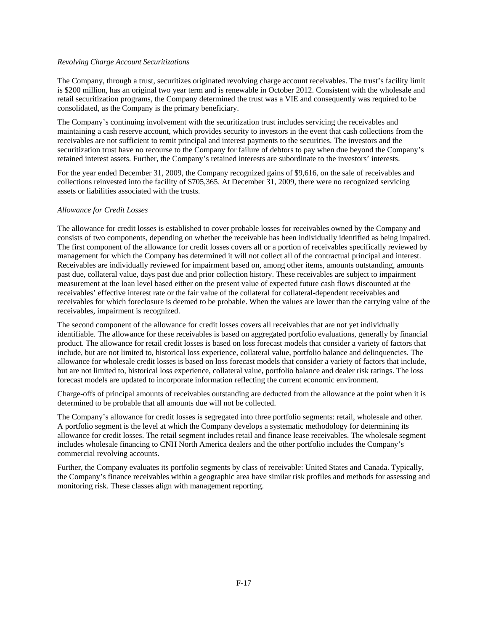### *Revolving Charge Account Securitizations*

The Company, through a trust, securitizes originated revolving charge account receivables. The trust's facility limit is \$200 million, has an original two year term and is renewable in October 2012. Consistent with the wholesale and retail securitization programs, the Company determined the trust was a VIE and consequently was required to be consolidated, as the Company is the primary beneficiary.

The Company's continuing involvement with the securitization trust includes servicing the receivables and maintaining a cash reserve account, which provides security to investors in the event that cash collections from the receivables are not sufficient to remit principal and interest payments to the securities. The investors and the securitization trust have no recourse to the Company for failure of debtors to pay when due beyond the Company's retained interest assets. Further, the Company's retained interests are subordinate to the investors' interests.

For the year ended December 31, 2009, the Company recognized gains of \$9,616, on the sale of receivables and collections reinvested into the facility of \$705,365. At December 31, 2009, there were no recognized servicing assets or liabilities associated with the trusts.

### *Allowance for Credit Losses*

The allowance for credit losses is established to cover probable losses for receivables owned by the Company and consists of two components, depending on whether the receivable has been individually identified as being impaired. The first component of the allowance for credit losses covers all or a portion of receivables specifically reviewed by management for which the Company has determined it will not collect all of the contractual principal and interest. Receivables are individually reviewed for impairment based on, among other items, amounts outstanding, amounts past due, collateral value, days past due and prior collection history. These receivables are subject to impairment measurement at the loan level based either on the present value of expected future cash flows discounted at the receivables' effective interest rate or the fair value of the collateral for collateral-dependent receivables and receivables for which foreclosure is deemed to be probable. When the values are lower than the carrying value of the receivables, impairment is recognized.

The second component of the allowance for credit losses covers all receivables that are not yet individually identifiable. The allowance for these receivables is based on aggregated portfolio evaluations, generally by financial product. The allowance for retail credit losses is based on loss forecast models that consider a variety of factors that include, but are not limited to, historical loss experience, collateral value, portfolio balance and delinquencies. The allowance for wholesale credit losses is based on loss forecast models that consider a variety of factors that include, but are not limited to, historical loss experience, collateral value, portfolio balance and dealer risk ratings. The loss forecast models are updated to incorporate information reflecting the current economic environment.

Charge-offs of principal amounts of receivables outstanding are deducted from the allowance at the point when it is determined to be probable that all amounts due will not be collected.

The Company's allowance for credit losses is segregated into three portfolio segments: retail, wholesale and other. A portfolio segment is the level at which the Company develops a systematic methodology for determining its allowance for credit losses. The retail segment includes retail and finance lease receivables. The wholesale segment includes wholesale financing to CNH North America dealers and the other portfolio includes the Company's commercial revolving accounts.

Further, the Company evaluates its portfolio segments by class of receivable: United States and Canada. Typically, the Company's finance receivables within a geographic area have similar risk profiles and methods for assessing and monitoring risk. These classes align with management reporting.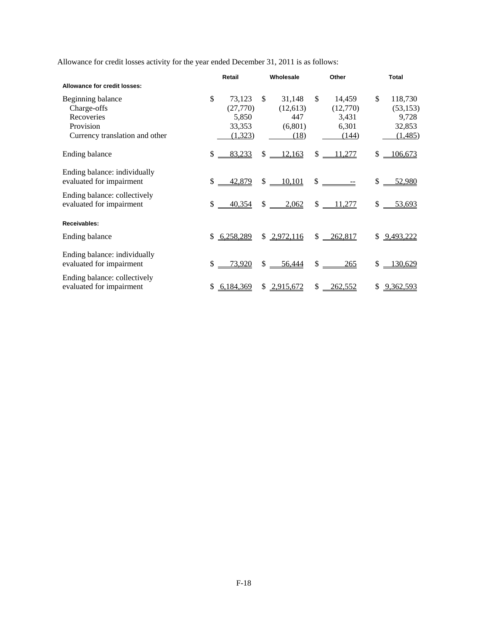Allowance for credit losses activity for the year ended December 31, 2011 is as follows:

|                                                                                               |              | Retail                                           |     | Wholesale                                    | Other                                               | <b>Total</b>                                             |
|-----------------------------------------------------------------------------------------------|--------------|--------------------------------------------------|-----|----------------------------------------------|-----------------------------------------------------|----------------------------------------------------------|
| Allowance for credit losses:                                                                  |              |                                                  |     |                                              |                                                     |                                                          |
| Beginning balance<br>Charge-offs<br>Recoveries<br>Provision<br>Currency translation and other | \$           | 73,123<br>(27,770)<br>5,850<br>33,353<br>(1,323) | \$. | 31,148<br>(12,613)<br>447<br>(6,801)<br>(18) | \$<br>14,459<br>(12,770)<br>3,431<br>6,301<br>(144) | \$<br>118,730<br>(53, 153)<br>9,728<br>32,853<br>(1,485) |
| Ending balance                                                                                | \$           | 83,233                                           |     | $$ -12,163$                                  | \$<br>$-11,277$                                     | \$<br>106,673                                            |
| Ending balance: individually<br>evaluated for impairment                                      | $\mathbb{S}$ | <u>42,879</u>                                    |     | $$ -10,101$                                  |                                                     | \$<br>52,980                                             |
| Ending balance: collectively<br>evaluated for impairment                                      | \$           | 40,354                                           | \$  | 2,062                                        | \$<br>11,277                                        | \$<br>53,693                                             |
| Receivables:                                                                                  |              |                                                  |     |                                              |                                                     |                                                          |
| Ending balance                                                                                |              | \$6,258,289                                      |     | \$2,972,116                                  | $$ -262,817$                                        | \$<br>9,493,222                                          |
| Ending balance: individually<br>evaluated for impairment                                      | $\mathbb{S}$ | <u>73,920</u>                                    |     | $$ -56,444$                                  | $\frac{\text{S}}{\text{S}}$<br>265                  | \$<br>130,629                                            |
| Ending balance: collectively<br>evaluated for impairment                                      | \$           | 6,184,369                                        |     | \$2,915,672                                  | \$<br>262,552                                       | \$<br>9,362,593                                          |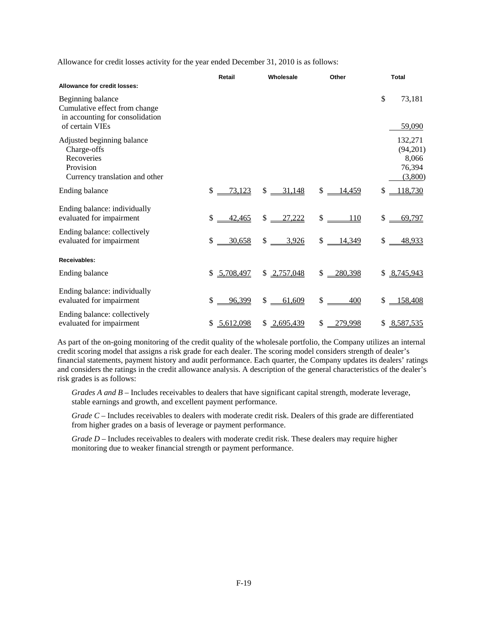Allowance for credit losses activity for the year ended December 31, 2010 is as follows:

|                                                                                                          | Retail                 | Wholesale              | Other                              | <b>Total</b>                                      |
|----------------------------------------------------------------------------------------------------------|------------------------|------------------------|------------------------------------|---------------------------------------------------|
| <b>Allowance for credit losses:</b>                                                                      |                        |                        |                                    |                                                   |
| Beginning balance<br>Cumulative effect from change<br>in accounting for consolidation<br>of certain VIEs |                        |                        |                                    | \$<br>73,181<br>59,090                            |
| Adjusted beginning balance<br>Charge-offs<br>Recoveries<br>Provision<br>Currency translation and other   |                        |                        |                                    | 132,271<br>(94,201)<br>8,066<br>76,394<br>(3,800) |
| Ending balance                                                                                           | $\mathbb{S}$<br>73,123 | $$ -31,148$            | $$ -14,459$                        | 118,730<br>\$                                     |
| Ending balance: individually<br>evaluated for impairment                                                 | \$<br>42,465           | \$<br>27,222           | $\frac{\text{S}}{\text{S}}$<br>110 | \$<br>69,797                                      |
| Ending balance: collectively<br>evaluated for impairment                                                 | \$<br>30,658           | $\frac{1}{2}$<br>3,926 | $$ -14,349$                        | \$<br>48,933                                      |
| Receivables:                                                                                             |                        |                        |                                    |                                                   |
| Ending balance                                                                                           | \$5,708,497            | \$2,757,048            | $$ -280,398$                       | \$8,745,943                                       |
| Ending balance: individually<br>evaluated for impairment                                                 | \$<br>96,399           | \$<br>61,609           | $\frac{\text{S}}{\text{S}}$<br>400 | 158,408<br>\$                                     |
| Ending balance: collectively<br>evaluated for impairment                                                 | 5,612,098<br>\$        | \$2,695,439            | \$<br>279,998                      | \$8,587,535                                       |

As part of the on-going monitoring of the credit quality of the wholesale portfolio, the Company utilizes an internal credit scoring model that assigns a risk grade for each dealer. The scoring model considers strength of dealer's financial statements, payment history and audit performance. Each quarter, the Company updates its dealers' ratings and considers the ratings in the credit allowance analysis. A description of the general characteristics of the dealer's risk grades is as follows:

*Grades A and B* – Includes receivables to dealers that have significant capital strength, moderate leverage, stable earnings and growth, and excellent payment performance.

*Grade C* – Includes receivables to dealers with moderate credit risk. Dealers of this grade are differentiated from higher grades on a basis of leverage or payment performance.

*Grade D* – Includes receivables to dealers with moderate credit risk. These dealers may require higher monitoring due to weaker financial strength or payment performance.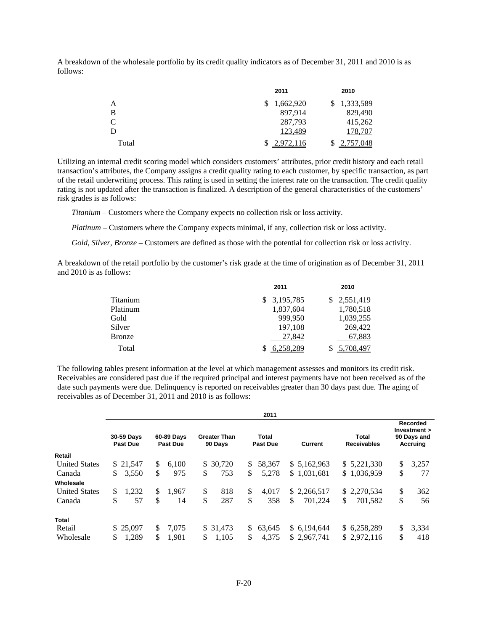A breakdown of the wholesale portfolio by its credit quality indicators as of December 31, 2011 and 2010 is as follows:

|       | 2011      | 2010        |
|-------|-----------|-------------|
| A     | 1,662,920 | \$1,333,589 |
| B     | 897,914   | 829,490     |
| C.    | 287,793   | 415,262     |
| D     | 123,489   | 178,707     |
| Total | 2,972,116 | 2,757,048   |

Utilizing an internal credit scoring model which considers customers' attributes, prior credit history and each retail transaction's attributes, the Company assigns a credit quality rating to each customer, by specific transaction, as part of the retail underwriting process. This rating is used in setting the interest rate on the transaction. The credit quality rating is not updated after the transaction is finalized. A description of the general characteristics of the customers' risk grades is as follows:

*Titanium* – Customers where the Company expects no collection risk or loss activity.

*Platinum* – Customers where the Company expects minimal, if any, collection risk or loss activity.

*Gold, Silver, Bronze* – Customers are defined as those with the potential for collection risk or loss activity.

A breakdown of the retail portfolio by the customer's risk grade at the time of origination as of December 31, 2011 and 2010 is as follows:

|          | 2011        | 2010        |
|----------|-------------|-------------|
| Titanium | \$3,195,785 | \$2,551,419 |
| Platinum | 1,837,604   | 1,780,518   |
| Gold     | 999.950     | 1,039,255   |
| Silver   | 197,108     | 269,422     |
| Bronze   | 27,842      | 67,883      |
| Total    | 6,258,289   | \$5,708,497 |

The following tables present information at the level at which management assesses and monitors its credit risk. Receivables are considered past due if the required principal and interest payments have not been received as of the date such payments were due. Delinquency is reported on receivables greater than 30 days past due. The aging of receivables as of December 31, 2011 and 2010 is as follows:

|                      |    |                                                                |     |       |                                |    | 2011                     |               |                             |                                                                   |       |  |
|----------------------|----|----------------------------------------------------------------|-----|-------|--------------------------------|----|--------------------------|---------------|-----------------------------|-------------------------------------------------------------------|-------|--|
|                      |    | 30-59 Days<br>60-89 Days<br><b>Past Due</b><br><b>Past Due</b> |     |       | <b>Greater Than</b><br>90 Days |    | Total<br><b>Past Due</b> | Current       | Total<br><b>Receivables</b> | <b>Recorded</b><br>Investment ><br>90 Days and<br><b>Accruing</b> |       |  |
| Retail               |    |                                                                |     |       |                                |    |                          |               |                             |                                                                   |       |  |
| <b>United States</b> |    | \$21,547                                                       | \$  | 6,100 | \$ 30,720                      | S. | 58,367                   | \$5,162,963   | \$ 5,221,330                | \$                                                                | 3,257 |  |
| Canada               | S. | 3,550                                                          | \$  | 975   | \$<br>753                      | \$ | 5,278                    | \$1,031,681   | \$1,036,959                 | \$                                                                | 77    |  |
| Wholesale            |    |                                                                |     |       |                                |    |                          |               |                             |                                                                   |       |  |
| <b>United States</b> | \$ | 1,232                                                          | \$  | 1,967 | \$<br>818                      | \$ | 4.017                    | \$2,266,517   | \$ 2,270,534                | \$                                                                | 362   |  |
| Canada               | \$ | 57                                                             | \$  | 14    | \$<br>287                      | \$ | 358                      | \$<br>701.224 | \$<br>701.582               | \$                                                                | 56    |  |
| Total                |    |                                                                |     |       |                                |    |                          |               |                             |                                                                   |       |  |
| Retail               |    | \$25,097                                                       | \$. | 7.075 | \$ 31.473                      | S. | 63.645                   | \$ 6.194,644  | \$6,258,289                 | \$                                                                | 3,334 |  |
| Wholesale            | \$ | 1,289                                                          | \$  | 1,981 | \$<br>1,105                    | \$ | 4,375                    | \$2,967,741   | \$2,972,116                 | \$                                                                | 418   |  |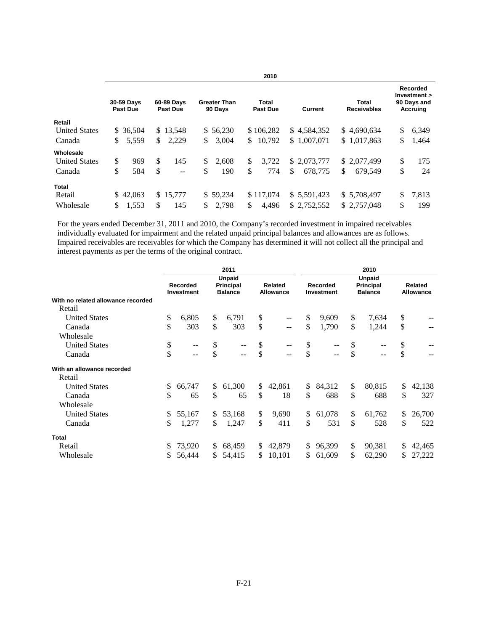|                      |                                                                |           |               |          |                                |                                            | 2010         |    |                             |                                                            |    |       |
|----------------------|----------------------------------------------------------------|-----------|---------------|----------|--------------------------------|--------------------------------------------|--------------|----|-----------------------------|------------------------------------------------------------|----|-------|
|                      | 30-59 Days<br>60-89 Days<br><b>Past Due</b><br><b>Past Due</b> |           |               |          | <b>Greater Than</b><br>90 Days | Total<br><b>Past Due</b><br><b>Current</b> |              |    | Total<br><b>Receivables</b> | <b>Recorded</b><br>Investment ><br>90 Days and<br>Accruing |    |       |
| Retail               |                                                                |           |               |          |                                |                                            |              |    |                             |                                                            |    |       |
| <b>United States</b> |                                                                | \$ 36,504 |               | \$13,548 |                                | \$56,230                                   | \$106,282    |    | \$4,584,352                 | \$4,690,634                                                | \$ | 6,349 |
| Canada               | \$                                                             | 5,559     | \$            | 2,229    | \$                             | 3,004                                      | \$<br>10,792 |    | \$1,007,071                 | \$1,017,863                                                | \$ | 1,464 |
| Wholesale            |                                                                |           |               |          |                                |                                            |              |    |                             |                                                            |    |       |
| <b>United States</b> | \$                                                             | 969       | <sup>\$</sup> | 145      | \$                             | 2.608                                      | \$<br>3.722  |    | \$2,073,777                 | \$2,077,499                                                | \$ | 175   |
| Canada               | \$                                                             | 584       | \$            | --       | \$                             | 190                                        | \$<br>774    | \$ | 678,775                     | \$<br>679.549                                              | \$ | 24    |
| Total                |                                                                |           |               |          |                                |                                            |              |    |                             |                                                            |    |       |
| Retail               |                                                                | \$42,063  |               | \$15,777 |                                | \$59,234                                   | \$117,074    |    | \$ 5,591,423                | \$ 5,708,497                                               | \$ | 7,813 |
| Wholesale            | \$                                                             | 1,553     | \$            | 145      | S.                             | 2.798                                      | \$<br>4.496  |    | \$2.752.552                 | \$2.757,048                                                | \$ | 199   |

For the years ended December 31, 2011 and 2010, the Company's recorded investment in impaired receivables individually evaluated for impairment and the related unpaid principal balances and allowances are as follows. Impaired receivables are receivables for which the Company has determined it will not collect all the principal and interest payments as per the terms of the original contract.

|                                    |     |                               |     | 2011                                                |              |                             | 2010 |                               |                                              |        |                             |        |  |  |
|------------------------------------|-----|-------------------------------|-----|-----------------------------------------------------|--------------|-----------------------------|------|-------------------------------|----------------------------------------------|--------|-----------------------------|--------|--|--|
|                                    |     | <b>Recorded</b><br>Investment |     | <b>Unpaid</b><br><b>Principal</b><br><b>Balance</b> |              | Related<br><b>Allowance</b> |      | Recorded<br><b>Investment</b> | <b>Unpaid</b><br>Principal<br><b>Balance</b> |        | Related<br><b>Allowance</b> |        |  |  |
| With no related allowance recorded |     |                               |     |                                                     |              |                             |      |                               |                                              |        |                             |        |  |  |
| Retail                             |     |                               |     |                                                     |              |                             |      |                               |                                              |        |                             |        |  |  |
| <b>United States</b>               | \$  | 6,805                         | \$  | 6,791                                               | \$           | --                          | \$   | 9,609                         | \$                                           | 7,634  | \$                          |        |  |  |
| Canada                             | \$  | 303                           | \$  | 303                                                 | \$           | $-$                         | \$   | 1,790                         | $\mathbb{S}$                                 | 1,244  | \$                          |        |  |  |
| Wholesale                          |     |                               |     |                                                     |              |                             |      |                               |                                              |        |                             |        |  |  |
| <b>United States</b>               | \$  | --                            | \$  | $-$                                                 | \$           | $-$                         | \$   |                               | \$                                           | --     | \$                          |        |  |  |
| Canada                             | \$  | $-1$                          | \$  | $- -$                                               | \$           | $-$                         | \$   |                               | \$                                           | $-$    | \$                          |        |  |  |
| With an allowance recorded         |     |                               |     |                                                     |              |                             |      |                               |                                              |        |                             |        |  |  |
| Retail                             |     |                               |     |                                                     |              |                             |      |                               |                                              |        |                             |        |  |  |
| <b>United States</b>               | \$. | 66,747                        | \$  | 61,300                                              | $\mathbb{S}$ | 42,861                      | \$   | 84,312                        | \$                                           | 80,815 | \$                          | 42,138 |  |  |
| Canada                             | \$  | 65                            | \$  | 65                                                  | \$           | 18                          | \$   | 688                           | \$                                           | 688    | \$                          | 327    |  |  |
| Wholesale                          |     |                               |     |                                                     |              |                             |      |                               |                                              |        |                             |        |  |  |
| <b>United States</b>               | S   | 55,167                        | \$. | 53,168                                              | \$           | 9,690                       | \$   | 61,078                        | \$                                           | 61,762 | \$                          | 26,700 |  |  |
| Canada                             | \$  | 1,277                         | \$  | 1,247                                               | \$           | 411                         | \$   | 531                           | \$                                           | 528    | \$                          | 522    |  |  |
| <b>Total</b>                       |     |                               |     |                                                     |              |                             |      |                               |                                              |        |                             |        |  |  |
| Retail                             | \$. | 73,920                        | \$. | 68,459                                              | S.           | 42,879                      | \$   | 96,399                        | \$                                           | 90,381 | \$                          | 42,465 |  |  |
| Wholesale                          |     | 56,444                        | \$  | 54,415                                              | \$           | 10,101                      | \$   | 61,609                        | \$                                           | 62,290 | \$                          | 27,222 |  |  |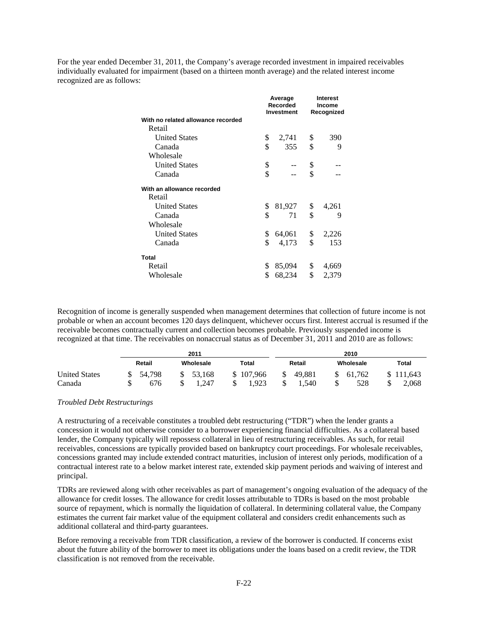For the year ended December 31, 2011, the Company's average recorded investment in impaired receivables individually evaluated for impairment (based on a thirteen month average) and the related interest income recognized are as follows:

|                                    | Average<br>Recorded<br>Investment |        | <b>Interest</b><br>Income<br>Recognized |       |
|------------------------------------|-----------------------------------|--------|-----------------------------------------|-------|
| With no related allowance recorded |                                   |        |                                         |       |
| Retail                             |                                   |        |                                         |       |
| <b>United States</b>               | \$                                | 2,741  | \$                                      | 390   |
| Canada                             | \$                                | 355    | \$                                      | 9     |
| Wholesale                          |                                   |        |                                         |       |
| <b>United States</b>               | \$                                |        | \$                                      |       |
| Canada                             | \$                                |        | \$                                      |       |
| With an allowance recorded         |                                   |        |                                         |       |
| Retail                             |                                   |        |                                         |       |
| <b>United States</b>               | \$                                | 81,927 | \$                                      | 4,261 |
| Canada                             | \$                                | 71     | \$                                      | 9     |
| Wholesale                          |                                   |        |                                         |       |
| <b>United States</b>               | \$                                | 64,061 | \$                                      | 2,226 |
| Canada                             | \$                                | 4,173  | \$                                      | 153   |
| Total                              |                                   |        |                                         |       |
| Retail                             | \$                                | 85,094 | \$                                      | 4,669 |
| Wholesale                          | \$                                | 68,234 | \$                                      | 2,379 |

Recognition of income is generally suspended when management determines that collection of future income is not probable or when an account becomes 120 days delinquent, whichever occurs first. Interest accrual is resumed if the receivable becomes contractually current and collection becomes probable. Previously suspended income is recognized at that time. The receivables on nonaccrual status as of December 31, 2011 and 2010 are as follows:

|                                | 2011          |                 |                       | 2010                  |                     |                    |  |
|--------------------------------|---------------|-----------------|-----------------------|-----------------------|---------------------|--------------------|--|
|                                | Retail        | Wholesale       | <b>Total</b>          | Retail                | Wholesale           | <b>Total</b>       |  |
| <b>United States</b><br>Canada | 54.798<br>676 | 53.168<br>1.247 | 107.966<br>\$<br>.923 | \$<br>49.881<br>1.540 | 61.762<br>S.<br>528 | \$111,643<br>2,068 |  |

## *Troubled Debt Restructurings*

A restructuring of a receivable constitutes a troubled debt restructuring ("TDR") when the lender grants a concession it would not otherwise consider to a borrower experiencing financial difficulties. As a collateral based lender, the Company typically will repossess collateral in lieu of restructuring receivables. As such, for retail receivables, concessions are typically provided based on bankruptcy court proceedings. For wholesale receivables, concessions granted may include extended contract maturities, inclusion of interest only periods, modification of a contractual interest rate to a below market interest rate, extended skip payment periods and waiving of interest and principal.

TDRs are reviewed along with other receivables as part of management's ongoing evaluation of the adequacy of the allowance for credit losses. The allowance for credit losses attributable to TDRs is based on the most probable source of repayment, which is normally the liquidation of collateral. In determining collateral value, the Company estimates the current fair market value of the equipment collateral and considers credit enhancements such as additional collateral and third-party guarantees.

Before removing a receivable from TDR classification, a review of the borrower is conducted. If concerns exist about the future ability of the borrower to meet its obligations under the loans based on a credit review, the TDR classification is not removed from the receivable.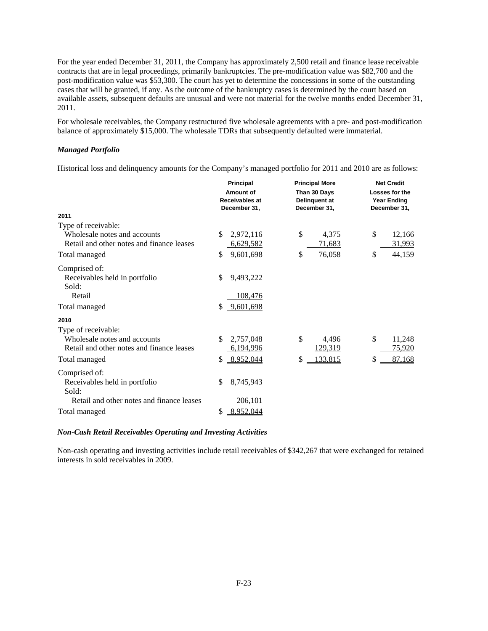For the year ended December 31, 2011, the Company has approximately 2,500 retail and finance lease receivable contracts that are in legal proceedings, primarily bankruptcies. The pre-modification value was \$82,700 and the post-modification value was \$53,300. The court has yet to determine the concessions in some of the outstanding cases that will be granted, if any. As the outcome of the bankruptcy cases is determined by the court based on available assets, subsequent defaults are unusual and were not material for the twelve months ended December 31, 2011.

For wholesale receivables, the Company restructured five wholesale agreements with a pre- and post-modification balance of approximately \$15,000. The wholesale TDRs that subsequently defaulted were immaterial.

# *Managed Portfolio*

Historical loss and delinquency amounts for the Company's managed portfolio for 2011 and 2010 are as follows:

|                                                                                                                   | <b>Principal</b><br>Amount of<br><b>Receivables at</b><br>December 31, | <b>Principal More</b><br>Than 30 Days<br>Delinquent at<br>December 31, | <b>Net Credit</b><br>Losses for the<br><b>Year Ending</b><br>December 31, |
|-------------------------------------------------------------------------------------------------------------------|------------------------------------------------------------------------|------------------------------------------------------------------------|---------------------------------------------------------------------------|
| 2011                                                                                                              |                                                                        |                                                                        |                                                                           |
| Type of receivable:<br>Wholesale notes and accounts<br>Retail and other notes and finance leases<br>Total managed | \$<br>2,972,116<br>6,629,582<br>9,601,698<br>\$                        | \$<br>4,375<br>71,683<br>76,058<br>\$                                  | \$<br>12,166<br>31,993<br>44,159<br>\$                                    |
| Comprised of:<br>Receivables held in portfolio<br>Sold:<br>Retail                                                 | \$<br>9,493,222<br>108,476                                             |                                                                        |                                                                           |
| Total managed                                                                                                     | \$<br>9,601,698                                                        |                                                                        |                                                                           |
| 2010<br>Type of receivable:<br>Wholesale notes and accounts<br>Retail and other notes and finance leases          | \$<br>2,757,048<br>6,194,996                                           | \$<br>4,496<br>129,319                                                 | \$<br>11,248<br>75,920                                                    |
| Total managed                                                                                                     | 8,952,044<br>\$                                                        | 133,815<br>\$                                                          | 87,168<br>\$                                                              |
| Comprised of:<br>Receivables held in portfolio<br>Sold:                                                           | \$<br>8,745,943                                                        |                                                                        |                                                                           |
| Retail and other notes and finance leases                                                                         | <u>206,101</u>                                                         |                                                                        |                                                                           |
| Total managed                                                                                                     | 8,952,044<br>\$                                                        |                                                                        |                                                                           |

## *Non-Cash Retail Receivables Operating and Investing Activities*

Non-cash operating and investing activities include retail receivables of \$342,267 that were exchanged for retained interests in sold receivables in 2009.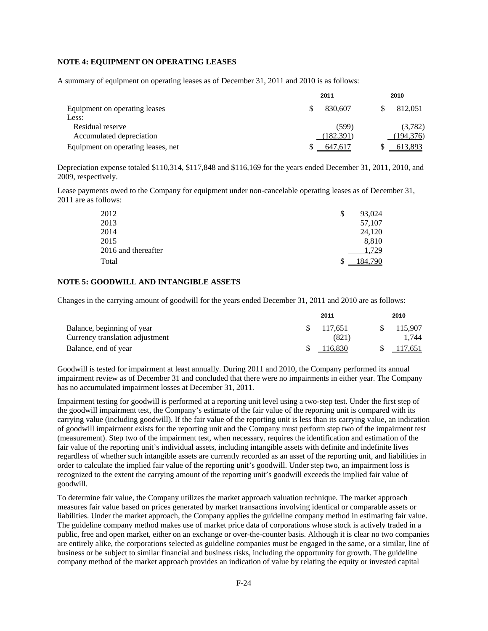# **NOTE 4: EQUIPMENT ON OPERATING LEASES**

A summary of equipment on operating leases as of December 31, 2011 and 2010 is as follows:

|                                    | 2011       | 2010       |  |
|------------------------------------|------------|------------|--|
| Equipment on operating leases      | 830.607    | 812,051    |  |
| Less:                              |            |            |  |
| Residual reserve                   | (599)      | (3,782)    |  |
| Accumulated depreciation           | (182, 391) | (194, 376) |  |
| Equipment on operating leases, net | 647.617    | 613.893    |  |

Depreciation expense totaled \$110,314, \$117,848 and \$116,169 for the years ended December 31, 2011, 2010, and 2009, respectively.

Lease payments owed to the Company for equipment under non-cancelable operating leases as of December 31, 2011 are as follows:

| 2012                | 93,024<br>\$ |
|---------------------|--------------|
| 2013                | 57,107       |
| 2014                | 24,120       |
| 2015                | 8,810        |
| 2016 and thereafter | .729         |
| Total               | .84.790      |

# **NOTE 5: GOODWILL AND INTANGIBLE ASSETS**

Changes in the carrying amount of goodwill for the years ended December 31, 2011 and 2010 are as follows:

|                                 | 2011       | 2010               |
|---------------------------------|------------|--------------------|
| Balance, beginning of year      | \$ 117.651 | 115.907            |
| Currency translation adjustment |            | l.744<br>(821)     |
| Balance, end of year            |            | 116,830<br>117,651 |

Goodwill is tested for impairment at least annually. During 2011 and 2010, the Company performed its annual impairment review as of December 31 and concluded that there were no impairments in either year. The Company has no accumulated impairment losses at December 31, 2011.

Impairment testing for goodwill is performed at a reporting unit level using a two-step test. Under the first step of the goodwill impairment test, the Company's estimate of the fair value of the reporting unit is compared with its carrying value (including goodwill). If the fair value of the reporting unit is less than its carrying value, an indication of goodwill impairment exists for the reporting unit and the Company must perform step two of the impairment test (measurement). Step two of the impairment test, when necessary, requires the identification and estimation of the fair value of the reporting unit's individual assets, including intangible assets with definite and indefinite lives regardless of whether such intangible assets are currently recorded as an asset of the reporting unit, and liabilities in order to calculate the implied fair value of the reporting unit's goodwill. Under step two, an impairment loss is recognized to the extent the carrying amount of the reporting unit's goodwill exceeds the implied fair value of goodwill.

To determine fair value, the Company utilizes the market approach valuation technique. The market approach measures fair value based on prices generated by market transactions involving identical or comparable assets or liabilities. Under the market approach, the Company applies the guideline company method in estimating fair value. The guideline company method makes use of market price data of corporations whose stock is actively traded in a public, free and open market, either on an exchange or over-the-counter basis. Although it is clear no two companies are entirely alike, the corporations selected as guideline companies must be engaged in the same, or a similar, line of business or be subject to similar financial and business risks, including the opportunity for growth. The guideline company method of the market approach provides an indication of value by relating the equity or invested capital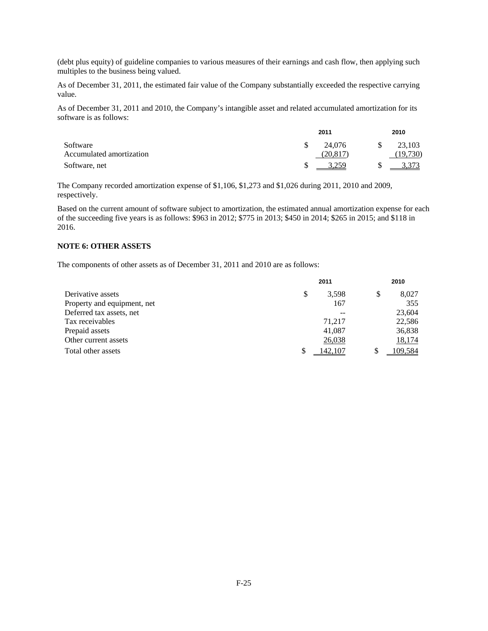(debt plus equity) of guideline companies to various measures of their earnings and cash flow, then applying such multiples to the business being valued.

As of December 31, 2011, the estimated fair value of the Company substantially exceeded the respective carrying value.

As of December 31, 2011 and 2010, the Company's intangible asset and related accumulated amortization for its software is as follows:

|                          | 2011     | 2010     |
|--------------------------|----------|----------|
| Software                 | 24,076   | 23,103   |
| Accumulated amortization | (20.817) | (19,730) |
| Software, net            | 3.259    | 3.373    |

The Company recorded amortization expense of \$1,106, \$1,273 and \$1,026 during 2011, 2010 and 2009, respectively.

Based on the current amount of software subject to amortization, the estimated annual amortization expense for each of the succeeding five years is as follows: \$963 in 2012; \$775 in 2013; \$450 in 2014; \$265 in 2015; and \$118 in 2016.

# **NOTE 6: OTHER ASSETS**

The components of other assets as of December 31, 2011 and 2010 are as follows:

|                             | 2011 |        |   | 2010    |  |
|-----------------------------|------|--------|---|---------|--|
| Derivative assets           | S    | 3.598  | S | 8,027   |  |
| Property and equipment, net |      | 167    |   | 355     |  |
| Deferred tax assets, net    |      | $ -$   |   | 23,604  |  |
| Tax receivables             |      | 71.217 |   | 22,586  |  |
| Prepaid assets              |      | 41,087 |   | 36,838  |  |
| Other current assets        |      | 26,038 |   | 18,174  |  |
| Total other assets          | \$   | 42.107 |   | 109.584 |  |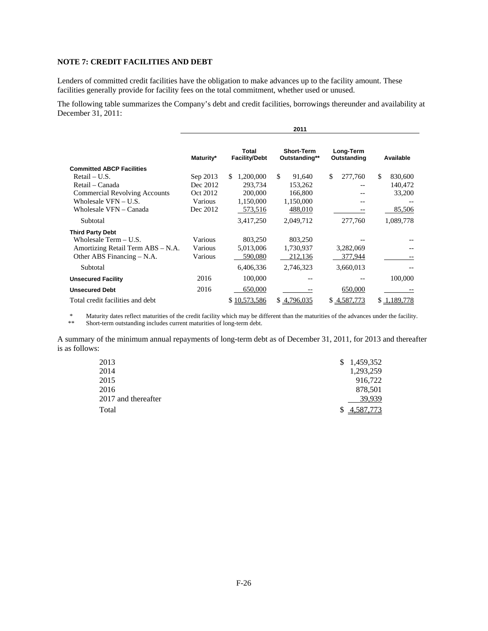# **NOTE 7: CREDIT FACILITIES AND DEBT**

Lenders of committed credit facilities have the obligation to make advances up to the facility amount. These facilities generally provide for facility fees on the total commitment, whether used or unused.

The following table summarizes the Company's debt and credit facilities, borrowings thereunder and availability at December 31, 2011:

|                                      | 2011      |                               |                                    |                          |                 |
|--------------------------------------|-----------|-------------------------------|------------------------------------|--------------------------|-----------------|
|                                      | Maturity* | Total<br><b>Facility/Debt</b> | <b>Short-Term</b><br>Outstanding** | Long-Term<br>Outstanding | Available       |
| <b>Committed ABCP Facilities</b>     |           |                               |                                    |                          |                 |
| Retail – U.S.                        | Sep 2013  | \$.<br>1,200,000              | \$.<br>91,640                      | \$<br>277,760            | \$<br>830,600   |
| Retail – Canada                      | Dec 2012  | 293.734                       | 153,262                            |                          | 140,472         |
| <b>Commercial Revolving Accounts</b> | Oct 2012  | 200,000                       | 166,800                            |                          | 33,200          |
| Wholesale VFN - U.S.                 | Various   | 1,150,000                     | 1,150,000                          |                          |                 |
| Wholesale VFN – Canada               | Dec 2012  | 573,516                       | 488,010                            |                          | 85,506          |
| Subtotal                             |           | 3,417,250                     | 2,049,712                          | 277,760                  | 1,089,778       |
| <b>Third Party Debt</b>              |           |                               |                                    |                          |                 |
| Wholesale Term - U.S.                | Various   | 803,250                       | 803,250                            |                          |                 |
| Amortizing Retail Term ABS – N.A.    | Various   | 5,013,006                     | 1,730,937                          | 3,282,069                |                 |
| Other ABS Financing – N.A.           | Various   | 590,080                       | 212,136                            | 377,944                  |                 |
| Subtotal                             |           | 6,406,336                     | 2,746,323                          | 3,660,013                |                 |
| <b>Unsecured Facility</b>            | 2016      | 100,000                       |                                    |                          | 100,000         |
| <b>Unsecured Debt</b>                | 2016      | 650,000                       |                                    | 650,000                  |                 |
| Total credit facilities and debt     |           | \$10,573,586                  | \$4,796,035                        | \$4,587,773              | \$<br>1.189.778 |

\* Maturity dates reflect maturities of the credit facility which may be different than the maturities of the advances under the facility.<br>Short-term outstanding includes current maturities of long-term debt

Short-term outstanding includes current maturities of long-term debt.

A summary of the minimum annual repayments of long-term debt as of December 31, 2011, for 2013 and thereafter is as follows:

| 2013                | \$1,459,352 |
|---------------------|-------------|
| 2014                | 1,293,259   |
| 2015                | 916,722     |
| 2016                | 878,501     |
| 2017 and thereafter | 39,939      |
| Total               | \$4,587,773 |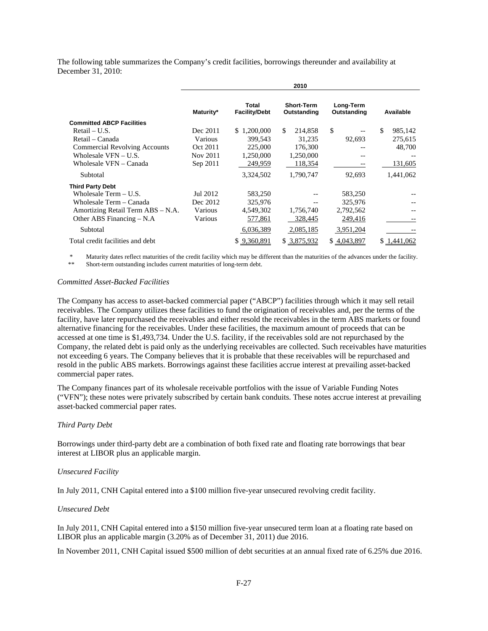The following table summarizes the Company's credit facilities, borrowings thereunder and availability at December 31, 2010:

|                                      |           |                               | 2010                             |                          |                |
|--------------------------------------|-----------|-------------------------------|----------------------------------|--------------------------|----------------|
|                                      | Maturity* | Total<br><b>Facility/Debt</b> | <b>Short-Term</b><br>Outstanding | Long-Term<br>Outstanding | Available      |
| <b>Committed ABCP Facilities</b>     |           |                               |                                  |                          |                |
| Retail – U.S.                        | Dec 2011  | \$1,200,000                   | \$.<br>214,858                   | \$                       | \$.<br>985,142 |
| Retail – Canada                      | Various   | 399,543                       | 31,235                           | 92,693                   | 275,615        |
| <b>Commercial Revolving Accounts</b> | Oct 2011  | 225,000                       | 176,300                          |                          | 48,700         |
| Wholesale $VFN - U.S.$               | Nov 2011  | 1,250,000                     | 1,250,000                        |                          |                |
| Wholesale VFN - Canada               | Sep 2011  | 249,959                       | 118,354                          |                          | 131,605        |
| Subtotal                             |           | 3,324,502                     | 1,790,747                        | 92,693                   | 1,441,062      |
| <b>Third Party Debt</b>              |           |                               |                                  |                          |                |
| Wholesale Term $- U.S.$              | Jul 2012  | 583,250                       |                                  | 583,250                  |                |
| Wholesale Term – Canada              | Dec 2012  | 325,976                       |                                  | 325,976                  |                |
| Amortizing Retail Term ABS – N.A.    | Various   | 4,549,302                     | 1,756,740                        | 2,792,562                |                |
| Other ABS Financing $- N.A$          | Various   | 577,861                       | 328,445                          | 249,416                  |                |
| Subtotal                             |           | 6,036,389                     | 2,085,185                        | 3,951,204                |                |
| Total credit facilities and debt     |           | \$9,360,891                   | \$ 3,875,932                     | \$4,043,897              | 1.441.062      |

Maturity dates reflect maturities of the credit facility which may be different than the maturities of the advances under the facility. Short-term outstanding includes current maturities of long-term debt.

### *Committed Asset-Backed Facilities*

The Company has access to asset-backed commercial paper ("ABCP") facilities through which it may sell retail receivables. The Company utilizes these facilities to fund the origination of receivables and, per the terms of the facility, have later repurchased the receivables and either resold the receivables in the term ABS markets or found alternative financing for the receivables. Under these facilities, the maximum amount of proceeds that can be accessed at one time is \$1,493,734. Under the U.S. facility, if the receivables sold are not repurchased by the Company, the related debt is paid only as the underlying receivables are collected. Such receivables have maturities not exceeding 6 years. The Company believes that it is probable that these receivables will be repurchased and resold in the public ABS markets. Borrowings against these facilities accrue interest at prevailing asset-backed commercial paper rates.

The Company finances part of its wholesale receivable portfolios with the issue of Variable Funding Notes ("VFN"); these notes were privately subscribed by certain bank conduits. These notes accrue interest at prevailing asset-backed commercial paper rates.

#### *Third Party Debt*

Borrowings under third-party debt are a combination of both fixed rate and floating rate borrowings that bear interest at LIBOR plus an applicable margin.

#### *Unsecured Facility*

In July 2011, CNH Capital entered into a \$100 million five-year unsecured revolving credit facility.

### *Unsecured Debt*

In July 2011, CNH Capital entered into a \$150 million five-year unsecured term loan at a floating rate based on LIBOR plus an applicable margin (3.20% as of December 31, 2011) due 2016.

In November 2011, CNH Capital issued \$500 million of debt securities at an annual fixed rate of 6.25% due 2016.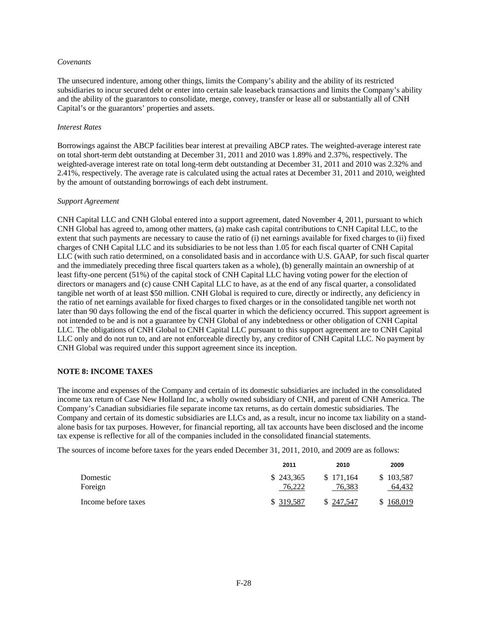### *Covenants*

The unsecured indenture, among other things, limits the Company's ability and the ability of its restricted subsidiaries to incur secured debt or enter into certain sale leaseback transactions and limits the Company's ability and the ability of the guarantors to consolidate, merge, convey, transfer or lease all or substantially all of CNH Capital's or the guarantors' properties and assets.

### *Interest Rates*

Borrowings against the ABCP facilities bear interest at prevailing ABCP rates. The weighted-average interest rate on total short-term debt outstanding at December 31, 2011 and 2010 was 1.89% and 2.37%, respectively. The weighted-average interest rate on total long-term debt outstanding at December 31, 2011 and 2010 was 2.32% and 2.41%, respectively. The average rate is calculated using the actual rates at December 31, 2011 and 2010, weighted by the amount of outstanding borrowings of each debt instrument.

### *Support Agreement*

CNH Capital LLC and CNH Global entered into a support agreement, dated November 4, 2011, pursuant to which CNH Global has agreed to, among other matters, (a) make cash capital contributions to CNH Capital LLC, to the extent that such payments are necessary to cause the ratio of (i) net earnings available for fixed charges to (ii) fixed charges of CNH Capital LLC and its subsidiaries to be not less than 1.05 for each fiscal quarter of CNH Capital LLC (with such ratio determined, on a consolidated basis and in accordance with U.S. GAAP, for such fiscal quarter and the immediately preceding three fiscal quarters taken as a whole), (b) generally maintain an ownership of at least fifty-one percent (51%) of the capital stock of CNH Capital LLC having voting power for the election of directors or managers and (c) cause CNH Capital LLC to have, as at the end of any fiscal quarter, a consolidated tangible net worth of at least \$50 million. CNH Global is required to cure, directly or indirectly, any deficiency in the ratio of net earnings available for fixed charges to fixed charges or in the consolidated tangible net worth not later than 90 days following the end of the fiscal quarter in which the deficiency occurred. This support agreement is not intended to be and is not a guarantee by CNH Global of any indebtedness or other obligation of CNH Capital LLC. The obligations of CNH Global to CNH Capital LLC pursuant to this support agreement are to CNH Capital LLC only and do not run to, and are not enforceable directly by, any creditor of CNH Capital LLC. No payment by CNH Global was required under this support agreement since its inception.

### **NOTE 8: INCOME TAXES**

The income and expenses of the Company and certain of its domestic subsidiaries are included in the consolidated income tax return of Case New Holland Inc, a wholly owned subsidiary of CNH, and parent of CNH America. The Company's Canadian subsidiaries file separate income tax returns, as do certain domestic subsidiaries. The Company and certain of its domestic subsidiaries are LLCs and, as a result, incur no income tax liability on a standalone basis for tax purposes. However, for financial reporting, all tax accounts have been disclosed and the income tax expense is reflective for all of the companies included in the consolidated financial statements.

The sources of income before taxes for the years ended December 31, 2011, 2010, and 2009 are as follows:

|                     | 2011                | 2010                | 2009                |
|---------------------|---------------------|---------------------|---------------------|
| Domestic<br>Foreign | \$243,365<br>76.222 | \$171.164<br>76,383 | \$103,587<br>64.432 |
| Income before taxes | \$ 319,587          | \$247,547           | \$168,019           |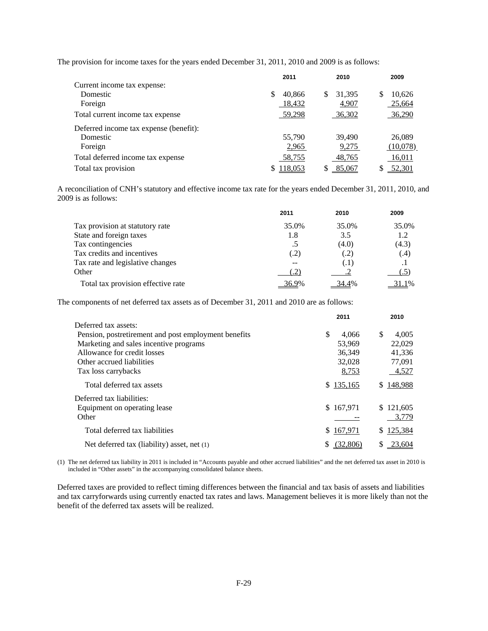The provision for income taxes for the years ended December 31, 2011, 2010 and 2009 is as follows:

|                                        |   | 2011    |     | 2010   |   | 2009          |
|----------------------------------------|---|---------|-----|--------|---|---------------|
| Current income tax expense:            |   |         |     |        |   |               |
| Domestic                               | S | 40,866  | \$. | 31,395 | S | 10,626        |
| Foreign                                |   | 18,432  |     | 4,907  |   | 25,664        |
| Total current income tax expense       |   | 59,298  |     | 36,302 |   | 36,290        |
| Deferred income tax expense (benefit): |   |         |     |        |   |               |
| Domestic                               |   | 55,790  |     | 39,490 |   | 26,089        |
| Foreign                                |   | 2,965   |     | 9,275  |   | (10,078)      |
| Total deferred income tax expense      |   | 58,755  |     | 48,765 |   | 16,011        |
| Total tax provision                    |   | 118,053 |     | 85,067 |   | <u>52,301</u> |

A reconciliation of CNH's statutory and effective income tax rate for the years ended December 31, 2011, 2010, and 2009 is as follows:

|                                    | 2011  | 2010  | 2009      |
|------------------------------------|-------|-------|-----------|
| Tax provision at statutory rate    | 35.0% | 35.0% | 35.0%     |
| State and foreign taxes            | 1.8   | 3.5   | 1.2       |
| Tax contingencies                  | .5    | (4.0) | (4.3)     |
| Tax credits and incentives         | (.2)  | (.2)  | (.4)      |
| Tax rate and legislative changes   | --    | (.1)  | $\cdot$ 1 |
| Other                              | .2'   |       |           |
| Total tax provision effective rate | 36.9% | 34.4% | 31.1%     |

The components of net deferred tax assets as of December 31, 2011 and 2010 are as follows:

|                                                      | 2011        | 2010         |
|------------------------------------------------------|-------------|--------------|
| Deferred tax assets:                                 |             |              |
| Pension, postretirement and post employment benefits | \$<br>4.066 | 4.005<br>\$. |
| Marketing and sales incentive programs               | 53,969      | 22,029       |
| Allowance for credit losses                          | 36.349      | 41,336       |
| Other accrued liabilities                            | 32.028      | 77,091       |
| Tax loss carrybacks                                  | 8,753       | 4,527        |
| Total deferred tax assets                            | \$135,165   | \$148,988    |
| Deferred tax liabilities:                            |             |              |
| Equipment on operating lease                         | \$167,971   | \$121,605    |
| Other                                                |             | 3,779        |
| Total deferred tax liabilities                       | \$167,971   | \$125,384    |
| Net deferred tax (liability) asset, net (1)          |             | 23.604       |
|                                                      |             |              |

(1) The net deferred tax liability in 2011 is included in "Accounts payable and other accrued liabilities" and the net deferred tax asset in 2010 is included in "Other assets" in the accompanying consolidated balance sheets.

Deferred taxes are provided to reflect timing differences between the financial and tax basis of assets and liabilities and tax carryforwards using currently enacted tax rates and laws. Management believes it is more likely than not the benefit of the deferred tax assets will be realized.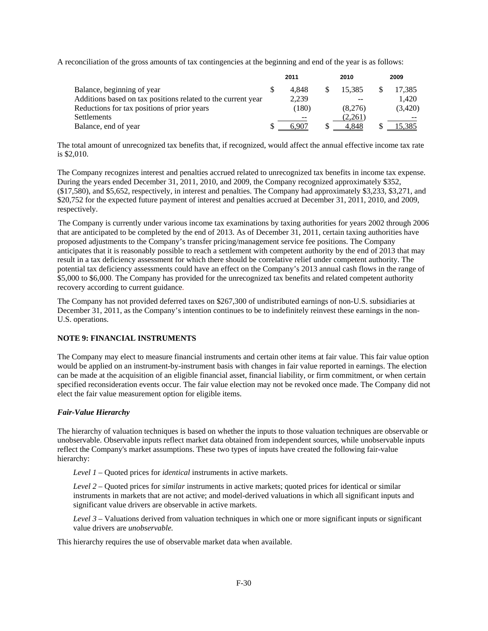A reconciliation of the gross amounts of tax contingencies at the beginning and end of the year is as follows:

|                                                              | 2011 |       |  | 2010    | 2009 |         |  |
|--------------------------------------------------------------|------|-------|--|---------|------|---------|--|
| Balance, beginning of year                                   |      | 4.848 |  | 15.385  |      | 17.385  |  |
| Additions based on tax positions related to the current year |      | 2.239 |  |         |      | 1.420   |  |
| Reductions for tax positions of prior years                  |      | (180) |  | (8.276) |      | (3,420) |  |
| <b>Settlements</b>                                           |      |       |  | (2.261) |      |         |  |
| Balance, end of year                                         |      |       |  | 4.848   |      | 15.385  |  |

The total amount of unrecognized tax benefits that, if recognized, would affect the annual effective income tax rate is \$2,010.

The Company recognizes interest and penalties accrued related to unrecognized tax benefits in income tax expense. During the years ended December 31, 2011, 2010, and 2009, the Company recognized approximately \$352, (\$17,580), and \$5,652, respectively, in interest and penalties. The Company had approximately \$3,233, \$3,271, and \$20,752 for the expected future payment of interest and penalties accrued at December 31, 2011, 2010, and 2009, respectively.

The Company is currently under various income tax examinations by taxing authorities for years 2002 through 2006 that are anticipated to be completed by the end of 2013. As of December 31, 2011, certain taxing authorities have proposed adjustments to the Company's transfer pricing/management service fee positions. The Company anticipates that it is reasonably possible to reach a settlement with competent authority by the end of 2013 that may result in a tax deficiency assessment for which there should be correlative relief under competent authority. The potential tax deficiency assessments could have an effect on the Company's 2013 annual cash flows in the range of \$5,000 to \$6,000. The Company has provided for the unrecognized tax benefits and related competent authority recovery according to current guidance.

The Company has not provided deferred taxes on \$267,300 of undistributed earnings of non-U.S. subsidiaries at December 31, 2011, as the Company's intention continues to be to indefinitely reinvest these earnings in the non-U.S. operations.

# **NOTE 9: FINANCIAL INSTRUMENTS**

The Company may elect to measure financial instruments and certain other items at fair value. This fair value option would be applied on an instrument-by-instrument basis with changes in fair value reported in earnings. The election can be made at the acquisition of an eligible financial asset, financial liability, or firm commitment, or when certain specified reconsideration events occur. The fair value election may not be revoked once made. The Company did not elect the fair value measurement option for eligible items.

# *Fair-Value Hierarchy*

The hierarchy of valuation techniques is based on whether the inputs to those valuation techniques are observable or unobservable. Observable inputs reflect market data obtained from independent sources, while unobservable inputs reflect the Company's market assumptions. These two types of inputs have created the following fair-value hierarchy:

*Level 1* – Quoted prices for *identical* instruments in active markets.

*Level 2* – Quoted prices for *similar* instruments in active markets; quoted prices for identical or similar instruments in markets that are not active; and model-derived valuations in which all significant inputs and significant value drivers are observable in active markets.

*Level 3* – Valuations derived from valuation techniques in which one or more significant inputs or significant value drivers are *unobservable.* 

This hierarchy requires the use of observable market data when available.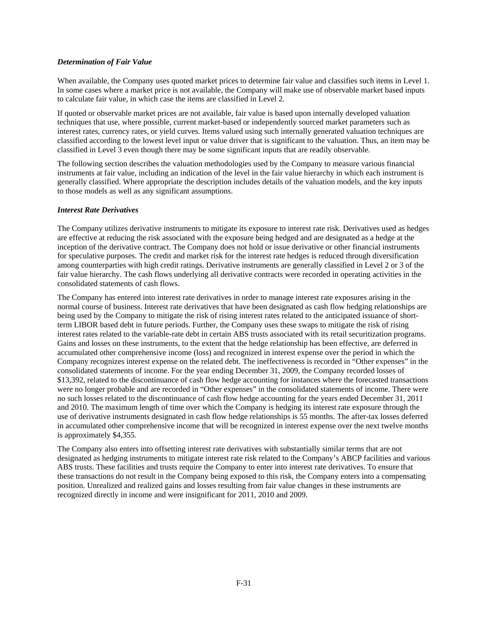# *Determination of Fair Value*

When available, the Company uses quoted market prices to determine fair value and classifies such items in Level 1. In some cases where a market price is not available, the Company will make use of observable market based inputs to calculate fair value, in which case the items are classified in Level 2.

If quoted or observable market prices are not available, fair value is based upon internally developed valuation techniques that use, where possible, current market-based or independently sourced market parameters such as interest rates, currency rates, or yield curves. Items valued using such internally generated valuation techniques are classified according to the lowest level input or value driver that is significant to the valuation. Thus, an item may be classified in Level 3 even though there may be some significant inputs that are readily observable.

The following section describes the valuation methodologies used by the Company to measure various financial instruments at fair value, including an indication of the level in the fair value hierarchy in which each instrument is generally classified. Where appropriate the description includes details of the valuation models, and the key inputs to those models as well as any significant assumptions.

# *Interest Rate Derivatives*

The Company utilizes derivative instruments to mitigate its exposure to interest rate risk. Derivatives used as hedges are effective at reducing the risk associated with the exposure being hedged and are designated as a hedge at the inception of the derivative contract. The Company does not hold or issue derivative or other financial instruments for speculative purposes. The credit and market risk for the interest rate hedges is reduced through diversification among counterparties with high credit ratings. Derivative instruments are generally classified in Level 2 or 3 of the fair value hierarchy. The cash flows underlying all derivative contracts were recorded in operating activities in the consolidated statements of cash flows.

The Company has entered into interest rate derivatives in order to manage interest rate exposures arising in the normal course of business. Interest rate derivatives that have been designated as cash flow hedging relationships are being used by the Company to mitigate the risk of rising interest rates related to the anticipated issuance of shortterm LIBOR based debt in future periods. Further, the Company uses these swaps to mitigate the risk of rising interest rates related to the variable-rate debt in certain ABS trusts associated with its retail securitization programs. Gains and losses on these instruments, to the extent that the hedge relationship has been effective, are deferred in accumulated other comprehensive income (loss) and recognized in interest expense over the period in which the Company recognizes interest expense on the related debt. The ineffectiveness is recorded in "Other expenses" in the consolidated statements of income. For the year ending December 31, 2009, the Company recorded losses of \$13,392, related to the discontinuance of cash flow hedge accounting for instances where the forecasted transactions were no longer probable and are recorded in "Other expenses" in the consolidated statements of income. There were no such losses related to the discontinuance of cash flow hedge accounting for the years ended December 31, 2011 and 2010. The maximum length of time over which the Company is hedging its interest rate exposure through the use of derivative instruments designated in cash flow hedge relationships is 55 months. The after-tax losses deferred in accumulated other comprehensive income that will be recognized in interest expense over the next twelve months is approximately \$4,355.

The Company also enters into offsetting interest rate derivatives with substantially similar terms that are not designated as hedging instruments to mitigate interest rate risk related to the Company's ABCP facilities and various ABS trusts. These facilities and trusts require the Company to enter into interest rate derivatives. To ensure that these transactions do not result in the Company being exposed to this risk, the Company enters into a compensating position. Unrealized and realized gains and losses resulting from fair value changes in these instruments are recognized directly in income and were insignificant for 2011, 2010 and 2009.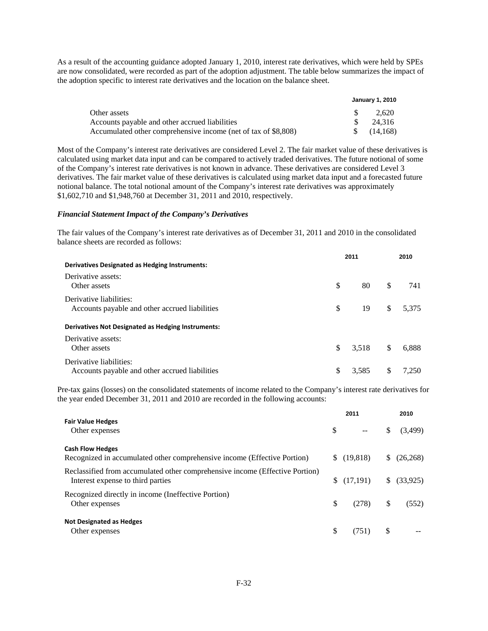As a result of the accounting guidance adopted January 1, 2010, interest rate derivatives, which were held by SPEs are now consolidated, were recorded as part of the adoption adjustment. The table below summarizes the impact of the adoption specific to interest rate derivatives and the location on the balance sheet.

|                                                                | <b>January 1, 2010</b> |           |  |  |  |
|----------------------------------------------------------------|------------------------|-----------|--|--|--|
| Other assets                                                   |                        | 2.620     |  |  |  |
| Accounts payable and other accrued liabilities                 |                        | 24.316    |  |  |  |
| Accumulated other comprehensive income (net of tax of \$8,808) |                        | (14, 168) |  |  |  |

Most of the Company's interest rate derivatives are considered Level 2. The fair market value of these derivatives is calculated using market data input and can be compared to actively traded derivatives. The future notional of some of the Company's interest rate derivatives is not known in advance. These derivatives are considered Level 3 derivatives. The fair market value of these derivatives is calculated using market data input and a forecasted future notional balance. The total notional amount of the Company's interest rate derivatives was approximately \$1,602,710 and \$1,948,760 at December 31, 2011 and 2010, respectively.

### *Financial Statement Impact of the Company's Derivatives*

The fair values of the Company's interest rate derivatives as of December 31, 2011 and 2010 in the consolidated balance sheets are recorded as follows:

|                                                                           |     | 2011  |               | 2010  |
|---------------------------------------------------------------------------|-----|-------|---------------|-------|
| Derivatives Designated as Hedging Instruments:                            |     |       |               |       |
| Derivative assets:<br>Other assets                                        | \$  | 80    | <sup>\$</sup> | 741   |
| Derivative liabilities:<br>Accounts payable and other accrued liabilities | \$. | 19    | \$            | 5.375 |
| Derivatives Not Designated as Hedging Instruments:                        |     |       |               |       |
| Derivative assets:<br>Other assets                                        | \$. | 3.518 | <sup>\$</sup> | 6.888 |
| Derivative liabilities:<br>Accounts payable and other accrued liabilities |     | 3.585 | S             | 7.250 |

Pre-tax gains (losses) on the consolidated statements of income related to the Company's interest rate derivatives for the year ended December 31, 2011 and 2010 are recorded in the following accounts:

|                                                                                                                   |    | 2011          |     | 2010      |
|-------------------------------------------------------------------------------------------------------------------|----|---------------|-----|-----------|
| <b>Fair Value Hedges</b><br>Other expenses                                                                        | S. | $\sim$ $\sim$ | \$. | (3,499)   |
| <b>Cash Flow Hedges</b><br>Recognized in accumulated other comprehensive income (Effective Portion)               |    | (19,818)      | S.  | (26, 268) |
| Reclassified from accumulated other comprehensive income (Effective Portion)<br>Interest expense to third parties |    | (17,191)      | S.  | (33,925)  |
| Recognized directly in income (Ineffective Portion)<br>Other expenses                                             | \$ | (278)         | \$  | (552)     |
| <b>Not Designated as Hedges</b><br>Other expenses                                                                 |    | (751)         |     |           |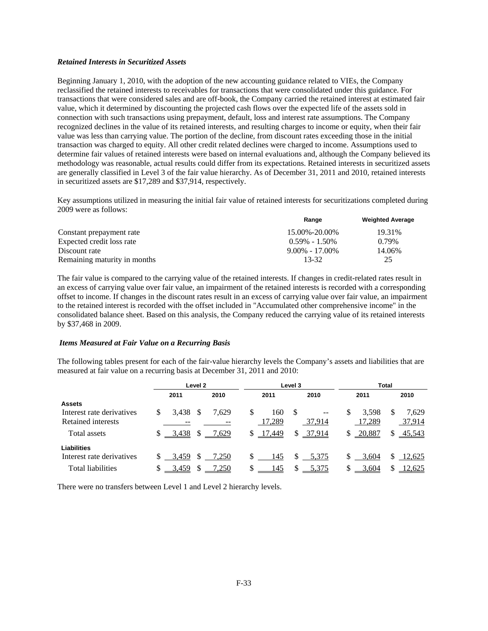## *Retained Interests in Securitized Assets*

Beginning January 1, 2010, with the adoption of the new accounting guidance related to VIEs, the Company reclassified the retained interests to receivables for transactions that were consolidated under this guidance. For transactions that were considered sales and are off-book, the Company carried the retained interest at estimated fair value, which it determined by discounting the projected cash flows over the expected life of the assets sold in connection with such transactions using prepayment, default, loss and interest rate assumptions. The Company recognized declines in the value of its retained interests, and resulting charges to income or equity, when their fair value was less than carrying value. The portion of the decline, from discount rates exceeding those in the initial transaction was charged to equity. All other credit related declines were charged to income. Assumptions used to determine fair values of retained interests were based on internal evaluations and, although the Company believed its methodology was reasonable, actual results could differ from its expectations. Retained interests in securitized assets are generally classified in Level 3 of the fair value hierarchy. As of December 31, 2011 and 2010, retained interests in securitized assets are \$17,289 and \$37,914, respectively.

Key assumptions utilized in measuring the initial fair value of retained interests for securitizations completed during 2009 were as follows:

|                              | Range              | <b>Weighted Average</b> |
|------------------------------|--------------------|-------------------------|
| Constant prepayment rate     | 15.00%-20.00%      | 19.31%                  |
| Expected credit loss rate    | $0.59\% - 1.50\%$  | 0.79%                   |
| Discount rate                | $9.00\% - 17.00\%$ | 14.06%                  |
| Remaining maturity in months | 13-32              | 25                      |

The fair value is compared to the carrying value of the retained interests. If changes in credit-related rates result in an excess of carrying value over fair value, an impairment of the retained interests is recorded with a corresponding offset to income. If changes in the discount rates result in an excess of carrying value over fair value, an impairment to the retained interest is recorded with the offset included in "Accumulated other comprehensive income" in the consolidated balance sheet. Based on this analysis, the Company reduced the carrying value of its retained interests by \$37,468 in 2009.

### *Items Measured at Fair Value on a Recurring Basis*

The following tables present for each of the fair-value hierarchy levels the Company's assets and liabilities that are measured at fair value on a recurring basis at December 31, 2011 and 2010:

|                           | Level <sub>2</sub> |          |               | Level 3 |           | <b>Total</b> |                   |    |        |   |        |
|---------------------------|--------------------|----------|---------------|---------|-----------|--------------|-------------------|----|--------|---|--------|
|                           |                    | 2011     |               | 2010    | 2011      |              | 2010              |    | 2011   |   | 2010   |
| <b>Assets</b>             |                    |          |               |         |           |              |                   |    |        |   |        |
| Interest rate derivatives | \$                 | 3,438    |               | 7.629   | \$<br>160 | -S           | $\qquad \qquad -$ | \$ | 3.598  | S | 7.629  |
| Retained interests        |                    |          |               | --      | 17,289    |              | 37,914            |    | 17,289 |   | 37,914 |
| Total assets              |                    | $-3,438$ | \$            | 7,629   | \$17,449  |              | \$37,914          | S  | 20,887 | S | 45,543 |
| Liabilities               |                    |          |               |         |           |              |                   |    |        |   |        |
| Interest rate derivatives |                    | 3,459    | <sup>\$</sup> | 7,250   | 145       | \$           | 5,375             |    | 3,604  |   | 12,625 |
| <b>Total liabilities</b>  |                    | 3,459    | S             | 7,250   | 145       |              | 5,375             |    | 3,604  |   | 12,625 |

There were no transfers between Level 1 and Level 2 hierarchy levels.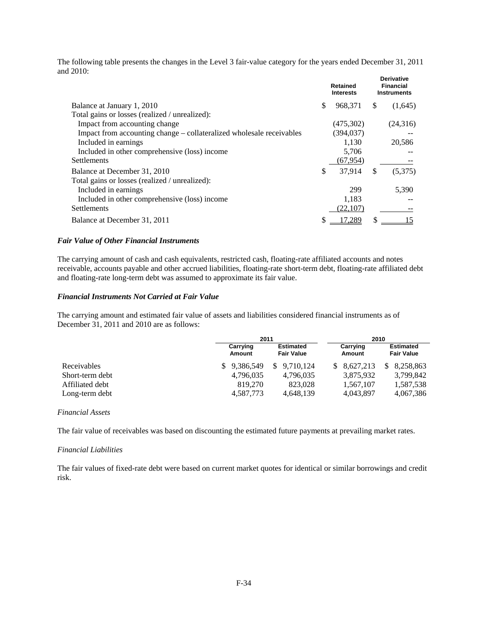The following table presents the changes in the Level 3 fair-value category for the years ended December 31, 2011 and 2010: **Derivative**

|                                                                      | <b>Retained</b><br><b>Interests</b> |    | Derivative<br><b>Financial</b><br><b>Instruments</b> |
|----------------------------------------------------------------------|-------------------------------------|----|------------------------------------------------------|
| Balance at January 1, 2010                                           | \$<br>968,371                       | S  | (1,645)                                              |
| Total gains or losses (realized / unrealized):                       |                                     |    |                                                      |
| Impact from accounting change                                        | (475,302)                           |    | (24,316)                                             |
| Impact from accounting change – collateralized wholesale receivables | (394, 037)                          |    |                                                      |
| Included in earnings                                                 | 1,130                               |    | 20,586                                               |
| Included in other comprehensive (loss) income                        | 5.706                               |    |                                                      |
| <b>Settlements</b>                                                   | (67, 954)                           |    |                                                      |
| Balance at December 31, 2010                                         | \$<br>37.914                        | \$ | (5,375)                                              |
| Total gains or losses (realized / unrealized):                       |                                     |    |                                                      |
| Included in earnings                                                 | 299                                 |    | 5,390                                                |
| Included in other comprehensive (loss) income                        | 1,183                               |    |                                                      |
| <b>Settlements</b>                                                   | (22, 107)                           |    |                                                      |
| Balance at December 31, 2011                                         | 7,289                               | S  |                                                      |

# *Fair Value of Other Financial Instruments*

The carrying amount of cash and cash equivalents, restricted cash, floating-rate affiliated accounts and notes receivable, accounts payable and other accrued liabilities, floating-rate short-term debt, floating-rate affiliated debt and floating-rate long-term debt was assumed to approximate its fair value.

#### *Financial Instruments Not Carried at Fair Value*

The carrying amount and estimated fair value of assets and liabilities considered financial instruments as of December 31, 2011 and 2010 are as follows:

|                 | 2011               |             | 2010               |                                       |  |  |
|-----------------|--------------------|-------------|--------------------|---------------------------------------|--|--|
|                 | Carrying<br>Amount |             | Carrying<br>Amount | <b>Estimated</b><br><b>Fair Value</b> |  |  |
| Receivables     | \$9.386,549        | \$9.710.124 | \$8.627.213        | 8.258.863<br>S.                       |  |  |
| Short-term debt | 4,796,035          | 4,796,035   | 3,875,932          | 3,799,842                             |  |  |
| Affiliated debt | 819,270            | 823,028     | 1,567,107          | 1,587,538                             |  |  |
| Long-term debt  | 4,587,773          | 4,648,139   | 4,043,897          | 4,067,386                             |  |  |

# *Financial Assets*

The fair value of receivables was based on discounting the estimated future payments at prevailing market rates.

#### *Financial Liabilities*

The fair values of fixed-rate debt were based on current market quotes for identical or similar borrowings and credit risk.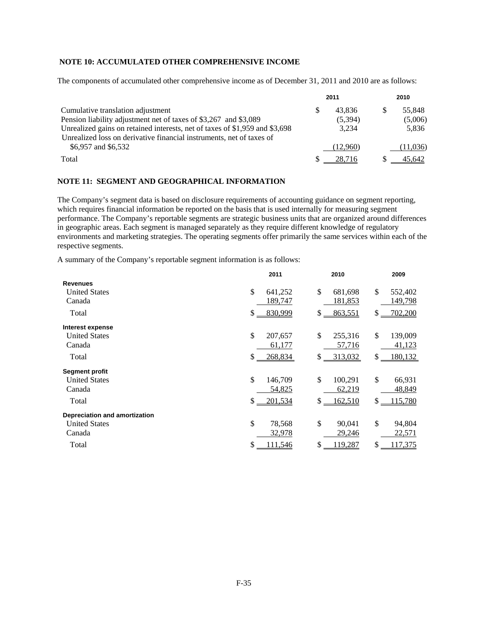# **NOTE 10: ACCUMULATED OTHER COMPREHENSIVE INCOME**

The components of accumulated other comprehensive income as of December 31, 2011 and 2010 are as follows:

|                                                                             | 2011     | 2010 |          |  |
|-----------------------------------------------------------------------------|----------|------|----------|--|
| Cumulative translation adjustment                                           | 43.836   |      | 55.848   |  |
| Pension liability adjustment net of taxes of \$3,267 and \$3,089            | (5,394)  |      | (5,006)  |  |
| Unrealized gains on retained interests, net of taxes of \$1,959 and \$3,698 | 3.234    |      | 5.836    |  |
| Unrealized loss on derivative financial instruments, net of taxes of        |          |      |          |  |
| \$6,957 and \$6,532                                                         | (12.960) |      | (11,036) |  |
| Total                                                                       | 28.716   |      | 45.642   |  |

### **NOTE 11: SEGMENT AND GEOGRAPHICAL INFORMATION**

The Company's segment data is based on disclosure requirements of accounting guidance on segment reporting, which requires financial information be reported on the basis that is used internally for measuring segment performance. The Company's reportable segments are strategic business units that are organized around differences in geographic areas. Each segment is managed separately as they require different knowledge of regulatory environments and marketing strategies. The operating segments offer primarily the same services within each of the respective segments.

A summary of the Company's reportable segment information is as follows:

|                                | 2011                     | 2010                     | 2009                      |
|--------------------------------|--------------------------|--------------------------|---------------------------|
| <b>Revenues</b>                |                          | \$                       |                           |
| <b>United States</b><br>Canada | \$<br>641,252<br>189,747 | 681,698<br>181,853       | \$<br>552,402<br>149,798  |
|                                |                          |                          |                           |
| Total                          | \$<br>830,999            | \$<br>863,551            | $\mathbb{S}$<br>702,200   |
| Interest expense               |                          |                          |                           |
| <b>United States</b>           | \$<br>207,657            | \$<br>255,316            | \$<br>139,009             |
| Canada                         | 61,177                   | 57,716                   | 41,123                    |
| Total                          | \$<br>268,834            | 313,032<br>$\frac{1}{2}$ | $\mathbb{S}$ .<br>180,132 |
| <b>Segment profit</b>          |                          |                          |                           |
| <b>United States</b>           | \$<br>146,709            | \$<br>100,291            | \$<br>66,931              |
| Canada                         | 54,825                   | 62,219                   | 48,849                    |
| Total                          | $\mathbb{S}$<br>201,534  | \$.<br>162,510           | $\mathbb{S}$ .<br>115,780 |
| Depreciation and amortization  |                          |                          |                           |
| <b>United States</b>           | \$<br>78,568             | \$<br>90,041             | \$<br>94,804              |
| Canada                         | 32,978                   | 29,246                   | 22,571                    |
| Total                          | \$<br>111,546            | \$<br>119,287            | \$<br>117,375             |
|                                |                          |                          |                           |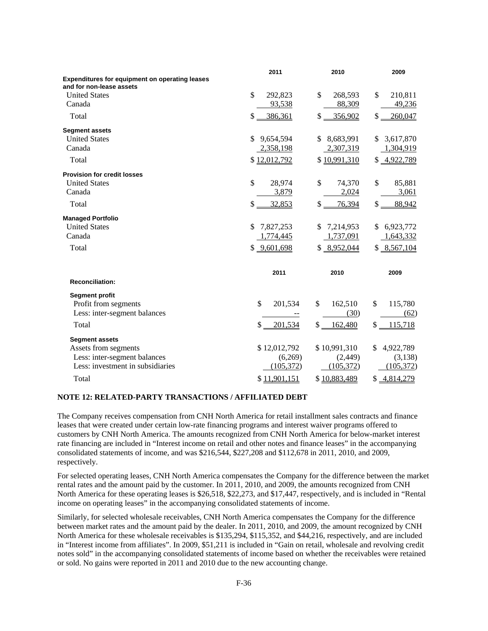|                                                                                   | 2011             | 2010            | 2009            |
|-----------------------------------------------------------------------------------|------------------|-----------------|-----------------|
| <b>Expenditures for equipment on operating leases</b><br>and for non-lease assets |                  |                 |                 |
| <b>United States</b>                                                              | \$<br>292,823    | \$<br>268,593   | \$<br>210,811   |
| Canada                                                                            | 93,538           | 88,309          | 49,236          |
| Total                                                                             | \$<br>386,361    | \$<br>356,902   | \$<br>260,047   |
| <b>Segment assets</b>                                                             |                  |                 |                 |
| <b>United States</b>                                                              | \$<br>9,654,594  | 8,683,991<br>\$ | 3,617,870<br>S. |
| Canada                                                                            | 2,358,198        | 2,307,319       | 1,304,919       |
| Total                                                                             | \$12,012,792     | \$10,991,310    | \$4,922,789     |
| <b>Provision for credit losses</b>                                                |                  |                 |                 |
| <b>United States</b>                                                              | \$<br>28,974     | \$<br>74,370    | \$<br>85,881    |
| Canada                                                                            | 3,879            | 2,024           | 3,061           |
| Total                                                                             | \$<br>32,853     | \$<br>76,394    | \$<br>88,942    |
| <b>Managed Portfolio</b>                                                          |                  |                 |                 |
| <b>United States</b>                                                              | 7,827,253<br>\$. | 7,214,953<br>\$ | 6,923,772<br>\$ |
| Canada                                                                            | 1,774,445        | 1,737,091       | 1,643,332       |
| Total                                                                             | \$9,601,698      | \$8,952,044     | \$8,567,104     |
|                                                                                   | 2011             | 2010            | 2009            |
| <b>Reconciliation:</b>                                                            |                  |                 |                 |
| <b>Segment profit</b>                                                             |                  |                 |                 |
| Profit from segments                                                              | \$<br>201,534    | \$<br>162,510   | \$<br>115,780   |
| Less: inter-segment balances                                                      |                  | (30)            | (62)            |
| Total                                                                             | \$<br>201,534    | \$<br>162,480   | \$<br>115,718   |
| <b>Segment assets</b>                                                             |                  |                 |                 |
| Assets from segments                                                              | \$12,012,792     | \$10,991,310    | \$<br>4,922,789 |
| Less: inter-segment balances                                                      | (6,269)          | (2,449)         | (3,138)         |
| Less: investment in subsidiaries                                                  | (105,372)        | (105,372)       | (105,372)       |
| Total                                                                             | \$11,901,151     | \$10,883,489    | \$4,814,279     |

# **NOTE 12: RELATED-PARTY TRANSACTIONS / AFFILIATED DEBT**

The Company receives compensation from CNH North America for retail installment sales contracts and finance leases that were created under certain low-rate financing programs and interest waiver programs offered to customers by CNH North America. The amounts recognized from CNH North America for below-market interest rate financing are included in "Interest income on retail and other notes and finance leases" in the accompanying consolidated statements of income, and was \$216,544, \$227,208 and \$112,678 in 2011, 2010, and 2009, respectively.

For selected operating leases, CNH North America compensates the Company for the difference between the market rental rates and the amount paid by the customer. In 2011, 2010, and 2009, the amounts recognized from CNH North America for these operating leases is \$26,518, \$22,273, and \$17,447, respectively, and is included in "Rental income on operating leases" in the accompanying consolidated statements of income.

Similarly, for selected wholesale receivables, CNH North America compensates the Company for the difference between market rates and the amount paid by the dealer. In 2011, 2010, and 2009, the amount recognized by CNH North America for these wholesale receivables is \$135,294, \$115,352, and \$44,216, respectively, and are included in "Interest income from affiliates". In 2009, \$51,211 is included in "Gain on retail, wholesale and revolving credit notes sold" in the accompanying consolidated statements of income based on whether the receivables were retained or sold. No gains were reported in 2011 and 2010 due to the new accounting change.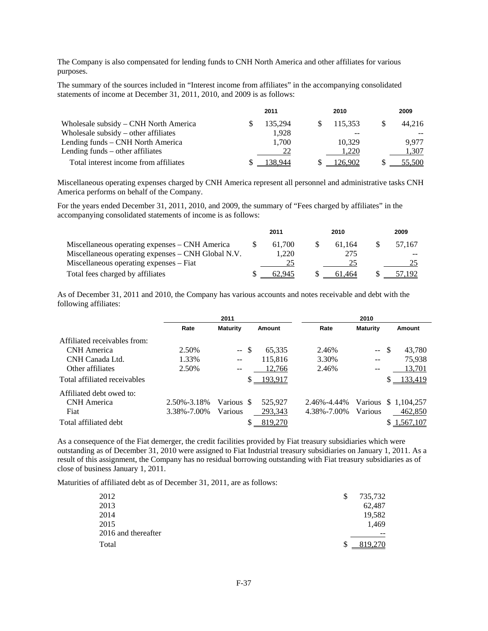The Company is also compensated for lending funds to CNH North America and other affiliates for various purposes.

The summary of the sources included in "Interest income from affiliates" in the accompanying consolidated statements of income at December 31, 2011, 2010, and 2009 is as follows:

|                                        | 2011    | 2010    | 2009   |
|----------------------------------------|---------|---------|--------|
| Wholesale subsidy – CNH North America  | 135.294 | 115.353 | 44.216 |
| Wholesale subsidy $-$ other affiliates | 1.928   |         |        |
| Lending funds – CNH North America      | 1,700   | 10.329  | 9.977  |
| Lending funds – other affiliates       | 22      | 1.220   | 1.307  |
| Total interest income from affiliates  | +38.944 | 26.902  | 55.500 |

Miscellaneous operating expenses charged by CNH America represent all personnel and administrative tasks CNH America performs on behalf of the Company.

For the years ended December 31, 2011, 2010, and 2009, the summary of "Fees charged by affiliates" in the accompanying consolidated statements of income is as follows:

|                                                    | 2011   | 2010   | 2009   |
|----------------------------------------------------|--------|--------|--------|
| Miscellaneous operating expenses – CNH America     | 61.700 | 61.164 | 57.167 |
| Miscellaneous operating expenses – CNH Global N.V. | 1.220  | 275    |        |
| Miscellaneous operating expenses – Fiat            |        |        |        |
| Total fees charged by affiliates                   | 62.945 | 61.464 |        |

As of December 31, 2011 and 2010, the Company has various accounts and notes receivable and debt with the following affiliates:

|                              |             | 2011            |               |             | 2010            |                         |
|------------------------------|-------------|-----------------|---------------|-------------|-----------------|-------------------------|
|                              | Rate        | <b>Maturity</b> | <b>Amount</b> | Rate        | <b>Maturity</b> | Amount                  |
| Affiliated receivables from: |             |                 |               |             |                 |                         |
| CNH America                  | 2.50%       | $-5$            | 65,335        | 2.46%       | $\sim$ $\sim$   | 43,780<br><sup>\$</sup> |
| CNH Canada Ltd.              | 1.33%       | $-$             | 115.816       | 3.30%       | $-$             | 75.938                  |
| Other affiliates             | 2.50%       | $- -$           | 12,766        | 2.46%       | $- -$           | 13,701                  |
| Total affiliated receivables |             |                 | 193,917<br>\$ |             |                 | 133,419<br>S            |
| Affiliated debt owed to:     |             |                 |               |             |                 |                         |
| CNH America                  | 2.50%-3.18% | Various \$      | 525,927       | 2.46%-4.44% |                 | Various \$ 1.104.257    |
| Fiat                         | 3.38%-7.00% | Various         | 293,343       | 4.38%-7.00% | <b>Various</b>  | 462,850                 |
| Total affiliated debt        |             |                 | \$<br>819,270 |             |                 | \$1,567,107             |

As a consequence of the Fiat demerger, the credit facilities provided by Fiat treasury subsidiaries which were outstanding as of December 31, 2010 were assigned to Fiat Industrial treasury subsidiaries on January 1, 2011. As a result of this assignment, the Company has no residual borrowing outstanding with Fiat treasury subsidiaries as of close of business January 1, 2011.

Maturities of affiliated debt as of December 31, 2011, are as follows:

| 2012                | S   | 735,732 |
|---------------------|-----|---------|
| 2013                |     | 62,487  |
| 2014                |     | 19,582  |
| 2015                |     | 1,469   |
| 2016 and thereafter |     | $- -$   |
| Total               | \$. | 819,270 |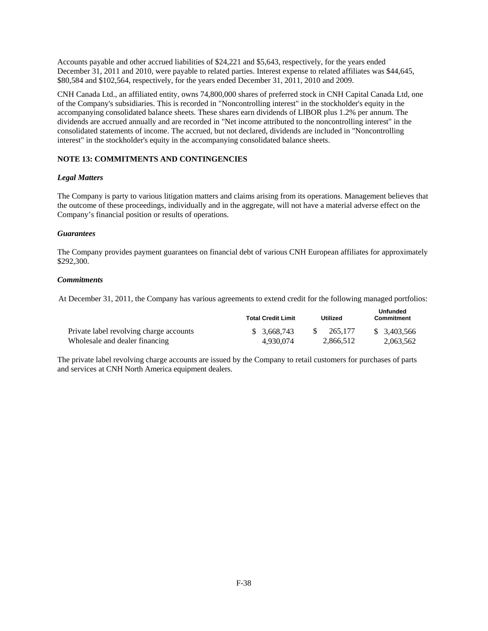Accounts payable and other accrued liabilities of \$24,221 and \$5,643, respectively, for the years ended December 31, 2011 and 2010, were payable to related parties. Interest expense to related affiliates was \$44,645, \$80,584 and \$102,564, respectively, for the years ended December 31, 2011, 2010 and 2009.

CNH Canada Ltd., an affiliated entity, owns 74,800,000 shares of preferred stock in CNH Capital Canada Ltd, one of the Company's subsidiaries. This is recorded in "Noncontrolling interest" in the stockholder's equity in the accompanying consolidated balance sheets. These shares earn dividends of LIBOR plus 1.2% per annum. The dividends are accrued annually and are recorded in "Net income attributed to the noncontrolling interest" in the consolidated statements of income. The accrued, but not declared, dividends are included in "Noncontrolling interest" in the stockholder's equity in the accompanying consolidated balance sheets.

# **NOTE 13: COMMITMENTS AND CONTINGENCIES**

# *Legal Matters*

The Company is party to various litigation matters and claims arising from its operations. Management believes that the outcome of these proceedings, individually and in the aggregate, will not have a material adverse effect on the Company's financial position or results of operations.

# *Guarantees*

The Company provides payment guarantees on financial debt of various CNH European affiliates for approximately \$292,300.

# *Commitments*

At December 31, 2011, the Company has various agreements to extend credit for the following managed portfolios:

|                                         | <b>Total Credit Limit</b> | <b>Utilized</b> | <b>Unfunded</b><br><b>Commitment</b> |  |
|-----------------------------------------|---------------------------|-----------------|--------------------------------------|--|
| Private label revolving charge accounts | \$ 3.668.743              | 265,177         | \$ 3.403,566                         |  |
| Wholesale and dealer financing          | 4.930.074                 | 2.866.512       | 2.063.562                            |  |

The private label revolving charge accounts are issued by the Company to retail customers for purchases of parts and services at CNH North America equipment dealers.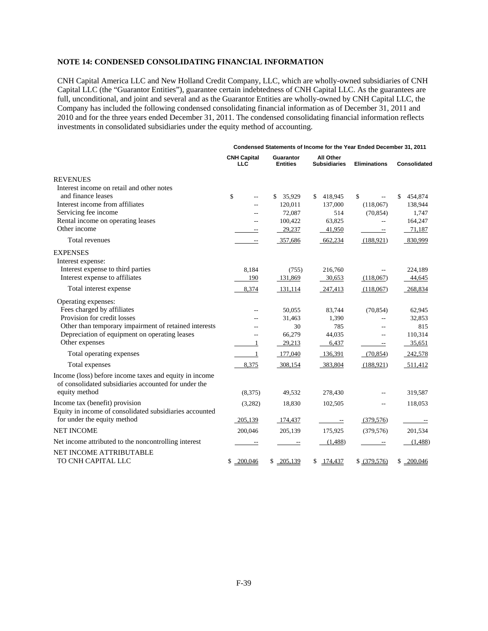# **NOTE 14: CONDENSED CONSOLIDATING FINANCIAL INFORMATION**

CNH Capital America LLC and New Holland Credit Company, LLC, which are wholly-owned subsidiaries of CNH Capital LLC (the "Guarantor Entities"), guarantee certain indebtedness of CNH Capital LLC. As the guarantees are full, unconditional, and joint and several and as the Guarantor Entities are wholly-owned by CNH Capital LLC, the Company has included the following condensed consolidating financial information as of December 31, 2011 and 2010 and for the three years ended December 31, 2011. The condensed consolidating financial information reflects investments in consolidated subsidiaries under the equity method of accounting.

|                                                                                        |                                  |                              | Condensed Statements of Income for the Year Ended December 31, 2011 |                             |               |
|----------------------------------------------------------------------------------------|----------------------------------|------------------------------|---------------------------------------------------------------------|-----------------------------|---------------|
|                                                                                        | <b>CNH Capital</b><br><b>LLC</b> | Guarantor<br><b>Entities</b> | All Other<br><b>Subsidiaries</b>                                    | <b>Eliminations</b>         | Consolidated  |
| <b>REVENUES</b>                                                                        |                                  |                              |                                                                     |                             |               |
| Interest income on retail and other notes                                              |                                  |                              |                                                                     |                             |               |
| and finance leases                                                                     | \$<br>$-$                        | 35,929<br>\$                 | 418,945<br>\$                                                       | \$                          | 454,874<br>\$ |
| Interest income from affiliates                                                        | $-$                              | 120,011                      | 137,000                                                             | (118,067)                   | 138,944       |
| Servicing fee income                                                                   | $-$                              | 72,087                       | 514                                                                 | (70, 854)                   | 1,747         |
| Rental income on operating leases                                                      | $\overline{a}$                   | 100,422                      | 63,825                                                              | $-$                         | 164,247       |
| Other income                                                                           |                                  | 29,237                       | 41,950                                                              | $\equiv$                    | 71,187        |
| Total revenues                                                                         | $- -$                            | 357,686                      | 662,234                                                             | (188, 921)                  | 830,999       |
| <b>EXPENSES</b>                                                                        |                                  |                              |                                                                     |                             |               |
| Interest expense:                                                                      |                                  |                              |                                                                     |                             |               |
| Interest expense to third parties                                                      | 8,184                            | (755)                        | 216,760                                                             |                             | 224,189       |
| Interest expense to affiliates                                                         | 190                              | 131,869                      | 30,653                                                              | (118,067)                   | 44,645        |
| Total interest expense                                                                 | 8,374                            | 131,114                      | 247,413                                                             | (118,067)                   | 268,834       |
| Operating expenses:                                                                    |                                  |                              |                                                                     |                             |               |
| Fees charged by affiliates                                                             | $-$                              | 50,055                       | 83,744                                                              | (70, 854)                   | 62,945        |
| Provision for credit losses                                                            | $\overline{a}$                   | 31,463                       | 1,390                                                               | --                          | 32,853        |
| Other than temporary impairment of retained interests                                  |                                  | 30                           | 785                                                                 | $\overline{a}$              | 815           |
| Depreciation of equipment on operating leases                                          | $-$                              | 66,279                       | 44,035                                                              | $\overline{a}$              | 110,314       |
| Other expenses                                                                         | 1                                | 29,213                       | 6,437                                                               | --                          | 35,651        |
| Total operating expenses                                                               | $\sim$ 1                         | 177,040                      | 136,391                                                             | (70, 854)                   | 242,578       |
| Total expenses                                                                         | 8,375                            | 308,154                      | 383,804                                                             | (188, 921)                  | 511,412       |
| Income (loss) before income taxes and equity in income                                 |                                  |                              |                                                                     |                             |               |
| of consolidated subsidiaries accounted for under the                                   |                                  |                              |                                                                     |                             |               |
| equity method                                                                          | (8,375)                          | 49,532                       | 278,430                                                             | $\overline{a}$              | 319,587       |
| Income tax (benefit) provision                                                         | (3,282)                          | 18,830                       | 102,505                                                             | $-$                         | 118,053       |
| Equity in income of consolidated subsidiaries accounted<br>for under the equity method |                                  |                              |                                                                     |                             |               |
|                                                                                        | 205,139                          | 174,437                      | $ \sim$                                                             | (379, 576)                  | $ \sim$       |
| <b>NET INCOME</b>                                                                      | 200,046                          | 205,139                      | 175,925                                                             | (379, 576)                  | 201,534       |
| Net income attributed to the noncontrolling interest                                   |                                  |                              | (1,488)                                                             | $\mathcal{L}_{\mathcal{F}}$ | (1,488)       |
| NET INCOME ATTRIBUTABLE                                                                |                                  |                              |                                                                     |                             |               |
| TO CNH CAPITAL LLC                                                                     | \$200,046                        | \$205,139                    | \$<br>174,437                                                       | \$ (379,576)                | \$<br>200,046 |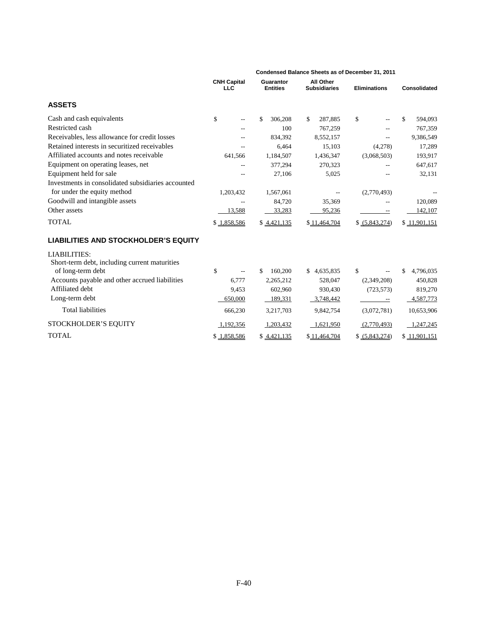|                                                    | Condensed Balance Sheets as of December 31, 2011 |                              |                                  |                     |                     |  |  |  |
|----------------------------------------------------|--------------------------------------------------|------------------------------|----------------------------------|---------------------|---------------------|--|--|--|
|                                                    | <b>CNH Capital</b><br><b>LLC</b>                 | Guarantor<br><b>Entities</b> | All Other<br><b>Subsidiaries</b> | <b>Eliminations</b> | <b>Consolidated</b> |  |  |  |
| <b>ASSETS</b>                                      |                                                  |                              |                                  |                     |                     |  |  |  |
| Cash and cash equivalents                          | \$                                               | \$.<br>306,208               | \$<br>287,885                    | \$                  | \$<br>594,093       |  |  |  |
| Restricted cash                                    | $\overline{a}$                                   | 100                          | 767,259                          |                     | 767,359             |  |  |  |
| Receivables, less allowance for credit losses      |                                                  | 834,392                      | 8,552,157                        |                     | 9,386,549           |  |  |  |
| Retained interests in securitized receivables      |                                                  | 6,464                        | 15,103                           | (4,278)             | 17,289              |  |  |  |
| Affiliated accounts and notes receivable           | 641,566                                          | 1,184,507                    | 1,436,347                        | (3,068,503)         | 193,917             |  |  |  |
| Equipment on operating leases, net                 |                                                  | 377,294                      | 270,323                          |                     | 647,617             |  |  |  |
| Equipment held for sale                            |                                                  | 27,106                       | 5,025                            |                     | 32,131              |  |  |  |
| Investments in consolidated subsidiaries accounted |                                                  |                              |                                  |                     |                     |  |  |  |
| for under the equity method                        | 1,203,432                                        | 1,567,061                    |                                  | (2,770,493)         |                     |  |  |  |
| Goodwill and intangible assets                     | --                                               | 84,720                       | 35,369                           |                     | 120,089             |  |  |  |
| Other assets                                       | 13,588                                           | 33,283                       | 95,236                           |                     | 142,107             |  |  |  |
| <b>TOTAL</b>                                       | \$1,858,586                                      | \$4,421,135                  | \$11,464,704                     | \$ (5,843,274)      | \$11,901,151        |  |  |  |
| <b>LIABILITIES AND STOCKHOLDER'S EQUITY</b>        |                                                  |                              |                                  |                     |                     |  |  |  |
| <b>LIABILITIES:</b>                                |                                                  |                              |                                  |                     |                     |  |  |  |
| Short-term debt, including current maturities      |                                                  |                              |                                  |                     |                     |  |  |  |
| of long-term debt                                  | \$                                               | 160,200<br>\$.               | \$4,635,835                      | \$                  | 4,796,035<br>\$     |  |  |  |
| Accounts payable and other accrued liabilities     | 6.777                                            | 2,265,212                    | 528,047                          | (2,349,208)         | 450,828             |  |  |  |
| Affiliated debt                                    | 9,453                                            | 602,960                      | 930,430                          | (723, 573)          | 819,270             |  |  |  |
| Long-term debt                                     | 650,000                                          | 189,331                      | 3,748,442                        |                     | 4,587,773           |  |  |  |
| <b>Total liabilities</b>                           | 666,230                                          | 3,217,703                    | 9,842,754                        | (3,072,781)         | 10,653,906          |  |  |  |
| STOCKHOLDER'S EQUITY                               | 1,192,356                                        | 1,203,432                    | 1,621,950                        | (2,770,493)         | 1,247,245           |  |  |  |
| <b>TOTAL</b>                                       | \$1,858,586                                      | \$4,421,135                  | \$11,464,704                     | \$ (5,843,274)      | \$11,901,151        |  |  |  |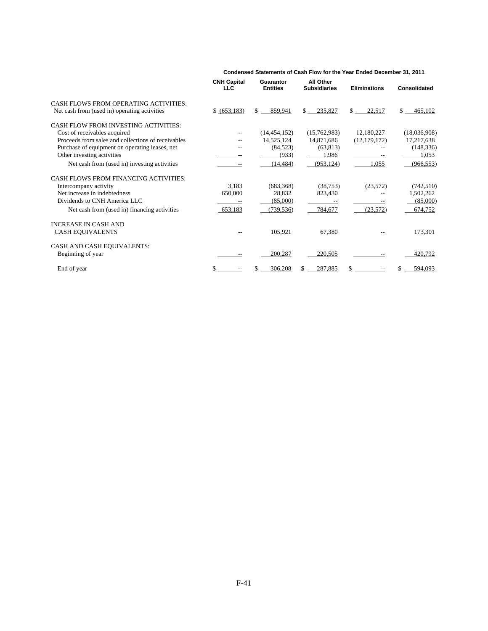|                                                    | <b>CNH Capital</b><br><b>LLC</b> | Guarantor<br><b>Entities</b> | <b>All Other</b><br><b>Subsidiaries</b> | <b>Eliminations</b> | Consolidated   |
|----------------------------------------------------|----------------------------------|------------------------------|-----------------------------------------|---------------------|----------------|
| CASH FLOWS FROM OPERATING ACTIVITIES:              |                                  |                              |                                         |                     |                |
| Net cash from (used in) operating activities       | \$ (653,183)                     | \$<br>859,941                | \$<br>235,827                           | \$<br>22,517        | \$<br>465,102  |
| CASH FLOW FROM INVESTING ACTIVITIES:               |                                  |                              |                                         |                     |                |
| Cost of receivables acquired                       |                                  | (14, 454, 152)               | (15,762,983)                            | 12,180,227          | (18,036,908)   |
| Proceeds from sales and collections of receivables |                                  | 14,525,124                   | 14,871,686                              | (12, 179, 172)      | 17,217,638     |
| Purchase of equipment on operating leases, net     |                                  | (84, 523)                    | (63, 813)                               |                     | (148, 336)     |
| Other investing activities                         |                                  | (933)                        | 1,986                                   |                     | 1,053          |
| Net cash from (used in) investing activities       |                                  | (14, 484)                    | (953, 124)                              | 1,055               | (966, 553)     |
| <b>CASH FLOWS FROM FINANCING ACTIVITIES:</b>       |                                  |                              |                                         |                     |                |
| Intercompany activity                              | 3,183                            | (683, 368)                   | (38, 753)                               | (23, 572)           | (742, 510)     |
| Net increase in indebtedness                       | 650,000                          | 28,832                       | 823,430                                 |                     | 1,502,262      |
| Dividends to CNH America LLC                       |                                  | (85,000)                     |                                         |                     | (85,000)       |
| Net cash from (used in) financing activities       | 653,183                          | (739, 536)                   | 784,677                                 | (23,572)            | 674,752        |
| <b>INCREASE IN CASH AND</b>                        |                                  |                              |                                         |                     |                |
| <b>CASH EQUIVALENTS</b>                            |                                  | 105,921                      | 67,380                                  |                     | 173,301        |
| CASH AND CASH EQUIVALENTS:                         |                                  |                              |                                         |                     |                |
| Beginning of year                                  |                                  | 200,287                      | 220,505                                 |                     | 420,792        |
| End of year                                        |                                  | 306.208                      | 287.885                                 | \$                  | \$.<br>594.093 |

**Condensed Statements of Cash Flow for the Year Ended December 31, 2011**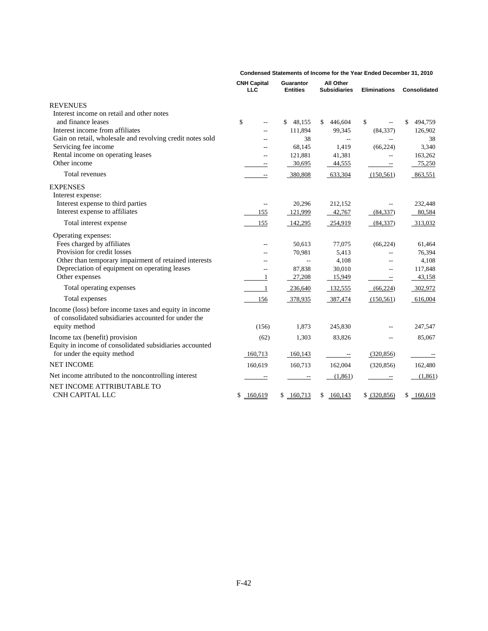|                                                                                                                | <b>CNH Capital</b><br><b>LLC</b> | Guarantor<br><b>Entities</b> | All Other<br><b>Subsidiaries</b> | <b>Eliminations</b>      | Consolidated  |
|----------------------------------------------------------------------------------------------------------------|----------------------------------|------------------------------|----------------------------------|--------------------------|---------------|
| <b>REVENUES</b>                                                                                                |                                  |                              |                                  |                          |               |
| Interest income on retail and other notes                                                                      |                                  |                              |                                  |                          |               |
| and finance leases                                                                                             | \$<br>$-$                        | 48,155<br>\$                 | 446,604<br>S.                    | \$                       | 494,759<br>\$ |
| Interest income from affiliates                                                                                | $\overline{a}$                   | 111,894                      | 99,345                           | (84, 337)                | 126,902       |
| Gain on retail, wholesale and revolving credit notes sold                                                      |                                  | 38                           | $\mathbf{L}$                     |                          | 38            |
| Servicing fee income                                                                                           |                                  | 68,145                       | 1,419                            | (66, 224)                | 3,340         |
| Rental income on operating leases                                                                              | $\overline{a}$                   | 121,881                      | 41,381                           |                          | 163,262       |
| Other income                                                                                                   | $-\, -$                          | 30,695                       | 44,555                           | $- -$                    | 75,250        |
| Total revenues                                                                                                 | $\overline{\phantom{a}}$         | 380,808                      | 633,304                          | (150, 561)               | 863,551       |
| <b>EXPENSES</b>                                                                                                |                                  |                              |                                  |                          |               |
| Interest expense:                                                                                              |                                  |                              |                                  |                          |               |
| Interest expense to third parties                                                                              | $\overline{\phantom{m}}$         | 20,296                       | 212,152                          |                          | 232,448       |
| Interest expense to affiliates                                                                                 | 155                              | 121,999                      | 42,767                           | (84, 337)                | 80,584        |
| Total interest expense                                                                                         | 155                              | 142,295                      | 254,919                          | (84, 337)                | 313,032       |
| Operating expenses:                                                                                            |                                  |                              |                                  |                          |               |
| Fees charged by affiliates                                                                                     | $-$                              | 50,613                       | 77,075                           | (66, 224)                | 61,464        |
| Provision for credit losses                                                                                    |                                  | 70,981                       | 5,413                            |                          | 76,394        |
| Other than temporary impairment of retained interests                                                          | $\overline{a}$                   | $-$                          | 4,108                            |                          | 4,108         |
| Depreciation of equipment on operating leases                                                                  | $\overline{a}$                   | 87,838                       | 30,010                           | $\sim$                   | 117,848       |
| Other expenses                                                                                                 | 1                                | 27,208                       | 15,949                           | $\hspace{0.05cm} \dashv$ | 43,158        |
| Total operating expenses                                                                                       | -1                               | 236,640                      | 132,555                          | (66, 224)                | 302,972       |
| Total expenses                                                                                                 | 156                              | 378,935                      | 387,474                          | (150, 561)               | 616,004       |
| Income (loss) before income taxes and equity in income<br>of consolidated subsidiaries accounted for under the |                                  |                              |                                  |                          |               |
| equity method                                                                                                  | (156)                            | 1,873                        | 245,830                          |                          | 247,547       |
| Income tax (benefit) provision<br>Equity in income of consolidated subsidiaries accounted                      | (62)                             | 1,303                        | 83,826                           |                          | 85,067        |
| for under the equity method                                                                                    | 160,713                          | 160,143                      | $\overline{\phantom{a}}$         | (320, 856)               |               |
| <b>NET INCOME</b>                                                                                              | 160,619                          | 160,713                      | 162,004                          | (320, 856)               | 162,480       |
| Net income attributed to the noncontrolling interest                                                           |                                  |                              | (1,861)                          | $\overline{\phantom{a}}$ | (1,861)       |
| NET INCOME ATTRIBUTABLE TO                                                                                     |                                  |                              |                                  |                          |               |
| CNH CAPITAL LLC                                                                                                | \$<br>160,619                    | \$160,713                    | \$160,143                        | \$ (320, 856)            | \$160,619     |

**Condensed Statements of Income for the Year Ended December 31, 2010**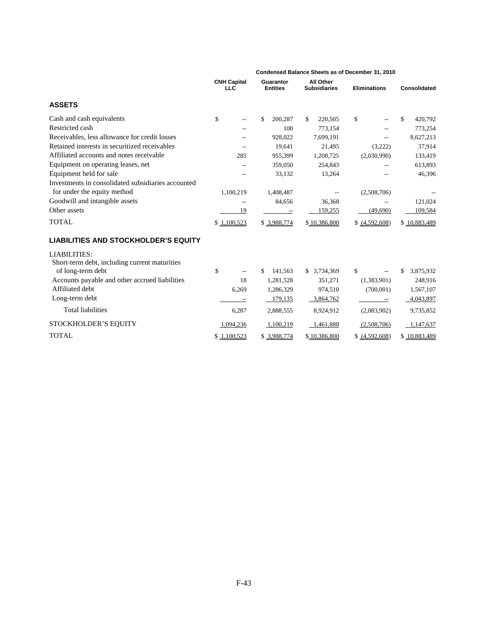|                                                    | Condensed Balance Sheets as of December 31, 2010 |                              |                                         |                     |                 |  |  |
|----------------------------------------------------|--------------------------------------------------|------------------------------|-----------------------------------------|---------------------|-----------------|--|--|
|                                                    | <b>CNH Capital</b><br><b>LLC</b>                 | Guarantor<br><b>Entities</b> | <b>All Other</b><br><b>Subsidiaries</b> | <b>Eliminations</b> | Consolidated    |  |  |
| <b>ASSETS</b>                                      |                                                  |                              |                                         |                     |                 |  |  |
| Cash and cash equivalents                          | \$                                               | \$<br>200,287                | \$<br>220,505                           | \$                  | \$<br>420,792   |  |  |
| Restricted cash                                    |                                                  | 100                          | 773,154                                 |                     | 773,254         |  |  |
| Receivables, less allowance for credit losses      |                                                  | 928,022                      | 7,699,191                               |                     | 8,627,213       |  |  |
| Retained interests in securitized receivables      |                                                  | 19,641                       | 21,495                                  | (3,222)             | 37,914          |  |  |
| Affiliated accounts and notes receivable           | 285                                              | 955,399                      | 1,208,725                               | (2,030,990)         | 133,419         |  |  |
| Equipment on operating leases, net                 |                                                  | 359,050                      | 254,843                                 |                     | 613,893         |  |  |
| Equipment held for sale                            |                                                  | 33,132                       | 13,264                                  |                     | 46,396          |  |  |
| Investments in consolidated subsidiaries accounted |                                                  |                              |                                         |                     |                 |  |  |
| for under the equity method                        | 1,100,219                                        | 1,408,487                    |                                         | (2,508,706)         |                 |  |  |
| Goodwill and intangible assets                     |                                                  | 84,656                       | 36,368                                  |                     | 121,024         |  |  |
| Other assets                                       | 19                                               | $\overline{\phantom{a}}$     | 159,255                                 | (49,690)            | 109,584         |  |  |
| <b>TOTAL</b>                                       | \$1,100,523                                      | \$ 3,988,774                 | \$10,386,800                            | \$ (4,592,608)      | \$10,883,489    |  |  |
| <b>LIABILITIES AND STOCKHOLDER'S EQUITY</b>        |                                                  |                              |                                         |                     |                 |  |  |
| <b>LIABILITIES:</b>                                |                                                  |                              |                                         |                     |                 |  |  |
| Short-term debt, including current maturities      |                                                  |                              |                                         |                     |                 |  |  |
| of long-term debt                                  | \$                                               | 141,563                      | \$ 3,734,369                            | \$                  | 3,875,932<br>\$ |  |  |
| Accounts payable and other accrued liabilities     | 18                                               | 1,281,528                    | 351,271                                 | (1,383,901)         | 248,916         |  |  |
| Affiliated debt                                    | 6,269                                            | 1,286,329                    | 974,510                                 | (700,001)           | 1,567,107       |  |  |
| Long-term debt                                     |                                                  | 179,135                      | 3,864,762                               |                     | 4,043,897       |  |  |
| <b>Total liabilities</b>                           | 6,287                                            | 2,888,555                    | 8,924,912                               | (2,083,902)         | 9,735,852       |  |  |
| STOCKHOLDER'S EQUITY                               | 1,094,236                                        | 1,100,219                    | 1,461,888                               | (2,508,706)         | 1,147,637       |  |  |
| <b>TOTAL</b>                                       | \$1,100,523                                      | \$3,988,774                  | \$10,386,800                            | \$ (4,592,608)      | \$10,883,489    |  |  |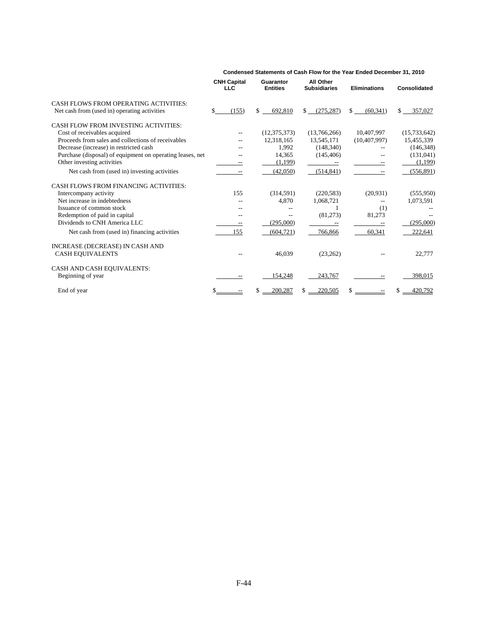|                                                           | <b>CNH Capital</b><br><b>LLC</b> | Guarantor<br><b>Entities</b> | <b>All Other</b><br><b>Subsidiaries</b> | <b>Eliminations</b> | <b>Consolidated</b>     |
|-----------------------------------------------------------|----------------------------------|------------------------------|-----------------------------------------|---------------------|-------------------------|
| CASH FLOWS FROM OPERATING ACTIVITIES:                     |                                  |                              |                                         |                     |                         |
| Net cash from (used in) operating activities              | \$.<br>(155)                     | \$.<br>692,810               | $\mathbf{s}$<br>(275, 287)              | \$<br>(60, 341)     | $\mathbf{s}$<br>357,027 |
| CASH FLOW FROM INVESTING ACTIVITIES:                      |                                  |                              |                                         |                     |                         |
| Cost of receivables acquired                              |                                  | (12, 375, 373)               | (13,766,266)                            | 10,407,997          | (15,733,642)            |
| Proceeds from sales and collections of receivables        | --                               | 12,318,165                   | 13,545,171                              | (10, 407, 997)      | 15,455,339              |
| Decrease (increase) in restricted cash                    |                                  | 1,992                        | (148, 340)                              |                     | (146, 348)              |
| Purchase (disposal) of equipment on operating leases, net |                                  | 14,365                       | (145, 406)                              |                     | (131, 041)              |
| Other investing activities                                |                                  | (1,199)                      |                                         |                     | (1,199)                 |
| Net cash from (used in) investing activities              |                                  | (42,050)                     | (514, 841)                              |                     | (556, 891)              |
| <b>CASH FLOWS FROM FINANCING ACTIVITIES:</b>              |                                  |                              |                                         |                     |                         |
| Intercompany activity                                     | 155                              | (314,591)                    | (220, 583)                              | (20, 931)           | (555, 950)              |
| Net increase in indebtedness                              |                                  | 4,870                        | 1,068,721                               | --                  | 1,073,591               |
| Issuance of common stock                                  |                                  |                              |                                         | (1)                 |                         |
| Redemption of paid in capital                             |                                  | $- -$                        | (81,273)                                | 81,273              |                         |
| Dividends to CNH America LLC                              |                                  | (295,000)                    |                                         |                     | (295,000)               |
| Net cash from (used in) financing activities              | 155                              | (604, 721)                   | 766,866                                 | 60.341              | 222,641                 |
| INCREASE (DECREASE) IN CASH AND                           |                                  |                              |                                         |                     |                         |
| <b>CASH EQUIVALENTS</b>                                   |                                  | 46,039                       | (23, 262)                               |                     | 22,777                  |
| CASH AND CASH EQUIVALENTS:                                |                                  |                              |                                         |                     |                         |
| Beginning of year                                         | $\overline{\phantom{m}}$         | 154,248                      | 243,767                                 |                     | 398,015                 |
| End of year                                               |                                  | 200,287                      | 220,505                                 |                     | 420,792                 |

#### **Condensed Statements of Cash Flow for the Year Ended December 31, 2010**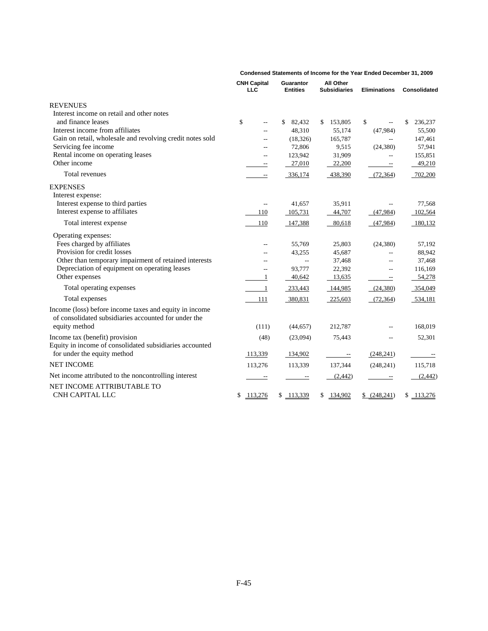|                                                                                                                | <b>CNH Capital</b><br><b>LLC</b> | <b>Guarantor</b><br><b>Entities</b> | All Other<br><b>Subsidiaries</b> | <b>Eliminations</b>                   | Consolidated  |
|----------------------------------------------------------------------------------------------------------------|----------------------------------|-------------------------------------|----------------------------------|---------------------------------------|---------------|
| <b>REVENUES</b>                                                                                                |                                  |                                     |                                  |                                       |               |
| Interest income on retail and other notes                                                                      |                                  |                                     |                                  |                                       |               |
| and finance leases                                                                                             | \$<br>$-$                        | \$<br>82,432                        | \$<br>153,805                    | \$                                    | \$<br>236,237 |
| Interest income from affiliates                                                                                | $-$                              | 48,310                              | 55,174                           | (47,984)                              | 55,500        |
| Gain on retail, wholesale and revolving credit notes sold                                                      |                                  | (18, 326)                           | 165,787                          | $\sim$                                | 147,461       |
| Servicing fee income                                                                                           |                                  | 72,806                              | 9,515                            | (24, 380)                             | 57,941        |
| Rental income on operating leases                                                                              | $-$                              | 123,942                             | 31,909                           | $\overline{a}$                        | 155,851       |
| Other income                                                                                                   | $\overline{\phantom{m}}$         | 27,010                              | 22,200                           | $\overline{\phantom{a}}$              | 49,210        |
| Total revenues                                                                                                 | $\sim$                           | 336,174                             | 438,390                          | (72, 364)                             | 702,200       |
| <b>EXPENSES</b>                                                                                                |                                  |                                     |                                  |                                       |               |
| Interest expense:                                                                                              |                                  |                                     |                                  |                                       |               |
| Interest expense to third parties                                                                              | $\overline{\phantom{m}}$         | 41,657                              | 35,911                           |                                       | 77,568        |
| Interest expense to affiliates                                                                                 | 110                              | 105,731                             | 44,707                           | (47,984)                              | 102,564       |
| Total interest expense                                                                                         | 110                              | 147,388                             | 80,618                           | (47,984)                              | 180,132       |
| Operating expenses:                                                                                            |                                  |                                     |                                  |                                       |               |
| Fees charged by affiliates                                                                                     |                                  | 55,769                              | 25,803                           | (24, 380)                             | 57,192        |
| Provision for credit losses                                                                                    |                                  | 43,255                              | 45,687                           |                                       | 88,942        |
| Other than temporary impairment of retained interests                                                          |                                  | $\overline{\phantom{a}}$            | 37,468                           | $\overline{a}$                        | 37,468        |
| Depreciation of equipment on operating leases                                                                  |                                  | 93,777                              | 22,392                           | $-$                                   | 116,169       |
| Other expenses                                                                                                 | 1                                | 40,642                              | 13,635                           | $\hspace{0.05cm}$ – $\hspace{0.05cm}$ | 54,278        |
| Total operating expenses                                                                                       | -1                               | 233,443                             | 144,985                          | (24, 380)                             | 354,049       |
| Total expenses                                                                                                 | 111                              | 380,831                             | 225,603                          | (72, 364)                             | 534,181       |
| Income (loss) before income taxes and equity in income<br>of consolidated subsidiaries accounted for under the |                                  |                                     |                                  |                                       |               |
| equity method                                                                                                  | (111)                            | (44, 657)                           | 212,787                          |                                       | 168,019       |
| Income tax (benefit) provision                                                                                 | (48)                             | (23,094)                            | 75,443                           |                                       | 52,301        |
| Equity in income of consolidated subsidiaries accounted<br>for under the equity method                         | 113,339                          | 134,902                             | $\overline{\phantom{a}}$         | (248, 241)                            |               |
| <b>NET INCOME</b>                                                                                              | 113,276                          | 113,339                             | 137,344                          | (248, 241)                            | 115,718       |
| Net income attributed to the noncontrolling interest                                                           | $\overline{\phantom{a}}$         | $\overline{\phantom{a}}$            | (2, 442)                         | $\overline{\phantom{a}}$              | (2, 442)      |
| NET INCOME ATTRIBUTABLE TO<br><b>CNH CAPITAL LLC</b>                                                           | \$<br>113,276                    | \$113,339                           | 134,902<br>\$                    | \$ (248,241)                          | \$113,276     |

**Condensed Statements of Income for the Year Ended December 31, 2009**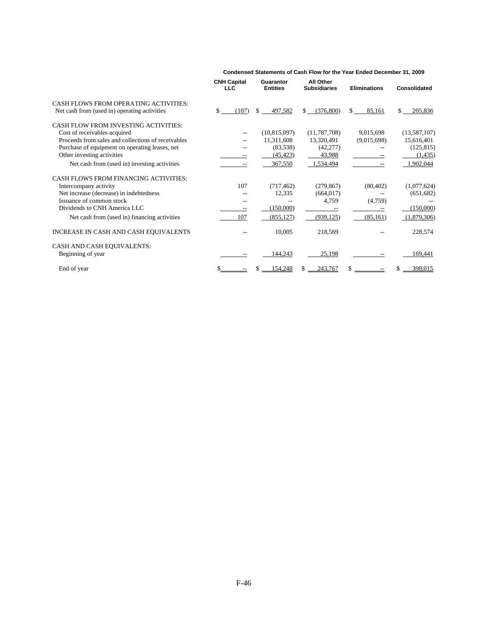|                                                                                       | <b>CNH Capital</b><br><b>LLC</b> | Guarantor<br><b>Entities</b> | All Other<br><b>Subsidiaries</b> | <b>Eliminations</b> | Consolidated   |
|---------------------------------------------------------------------------------------|----------------------------------|------------------------------|----------------------------------|---------------------|----------------|
| CASH FLOWS FROM OPERATING ACTIVITIES:<br>Net cash from (used in) operating activities | (107)<br>S                       | 497,582<br>S.                | (376, 800)<br>S.                 | \$.<br>85,161       | 205,836<br>\$  |
| <b>CASH FLOW FROM INVESTING ACTIVITIES:</b>                                           |                                  |                              |                                  |                     |                |
| Cost of receivables acquired                                                          |                                  | (10, 815, 097)               | (11, 787, 708)                   | 9,015,698           | (13, 587, 107) |
| Proceeds from sales and collections of receivables                                    |                                  | 11,311,608                   | 13,320,491                       | (9,015,698)         | 15,616,401     |
| Purchase of equipment on operating leases, net                                        |                                  | (83, 538)                    | (42, 277)                        |                     | (125, 815)     |
| Other investing activities                                                            |                                  | (45, 423)                    | 43,988                           |                     | (1, 435)       |
| Net cash from (used in) investing activities                                          |                                  | 367,550                      | 1,534,494                        |                     | 1,902,044      |
| <b>CASH FLOWS FROM FINANCING ACTIVITIES:</b>                                          |                                  |                              |                                  |                     |                |
| Intercompany activity                                                                 | 107                              | (717, 462)                   | (279, 867)                       | (80, 402)           | (1,077,624)    |
| Net increase (decrease) in indebtedness                                               |                                  | 12,335                       | (664, 017)                       |                     | (651, 682)     |
| Issuance of common stock                                                              |                                  |                              | 4,759                            | (4,759)             |                |
| Dividends to CNH America LLC                                                          |                                  | (150,000)                    |                                  |                     | (150,000)      |
| Net cash from (used in) financing activities                                          | 107                              | (855, 127)                   | (939, 125)                       | (85, 161)           | (1,879,306)    |
| INCREASE IN CASH AND CASH EQUIVALENTS                                                 |                                  | 10,005                       | 218,569                          |                     | 228,574        |
| CASH AND CASH EQUIVALENTS:                                                            |                                  |                              |                                  |                     |                |
| Beginning of year                                                                     |                                  | 144,243                      | 25,198                           |                     | 169,441        |
| End of year                                                                           |                                  | 54,248                       | 243,767                          |                     | 398,015        |

#### **Condensed Statements of Cash Flow for the Year Ended December 31, 2009**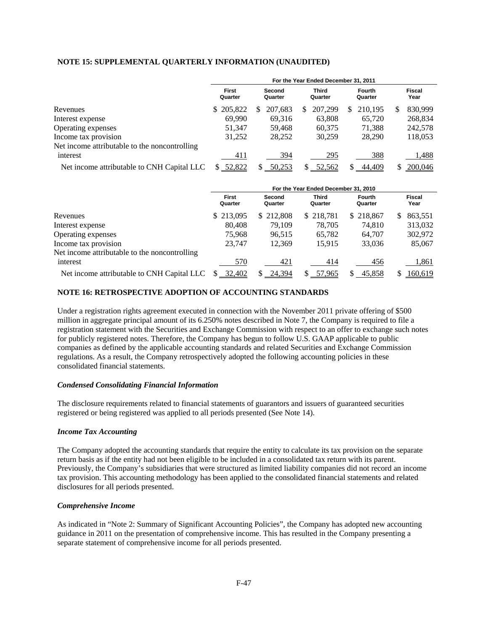# **NOTE 15: SUPPLEMENTAL QUARTERLY INFORMATION (UNAUDITED)**

|                                               | For the Year Ended December 31, 2011 |                   |                         |                          |                |  |  |
|-----------------------------------------------|--------------------------------------|-------------------|-------------------------|--------------------------|----------------|--|--|
|                                               | <b>First</b><br>Quarter              | Second<br>Quarter | <b>Third</b><br>Quarter | <b>Fourth</b><br>Quarter | Fiscal<br>Year |  |  |
| Revenues                                      | \$205,822                            | 207.683<br>S      | 207.299<br>S.           | 210,195<br>S.            | 830,999<br>Ж   |  |  |
| Interest expense                              | 69.990                               | 69.316            | 63,808                  | 65,720                   | 268,834        |  |  |
| Operating expenses                            | 51.347                               | 59.468            | 60.375                  | 71.388                   | 242,578        |  |  |
| Income tax provision                          | 31,252                               | 28,252            | 30,259                  | 28,290                   | 118,053        |  |  |
| Net income attributable to the noncontrolling |                                      |                   |                         |                          |                |  |  |
| interest                                      | 411                                  | 394               | 295                     | 388                      | .488           |  |  |
| Net income attributable to CNH Capital LLC    | \$ 52,822                            | 50,253            | 52,562                  | 44,409                   | 200,046        |  |  |

|                                               | For the Year Ended December 31, 2010 |                   |                  |                          |                       |  |
|-----------------------------------------------|--------------------------------------|-------------------|------------------|--------------------------|-----------------------|--|
|                                               | <b>First</b><br>Quarter              | Second<br>Quarter | Third<br>Quarter | <b>Fourth</b><br>Quarter | <b>Fiscal</b><br>Year |  |
| Revenues                                      | \$213,095                            | \$212,808         | \$218,781        | \$218,867                | 863,551<br>S.         |  |
| Interest expense                              | 80,408                               | 79.109            | 78.705           | 74.810                   | 313,032               |  |
| Operating expenses                            | 75.968                               | 96.515            | 65,782           | 64,707                   | 302,972               |  |
| Income tax provision                          | 23.747                               | 12.369            | 15.915           | 33,036                   | 85,067                |  |
| Net income attributable to the noncontrolling |                                      |                   |                  |                          |                       |  |
| interest                                      | 570                                  | 421               | 414              | 456                      | 1,861                 |  |
| Net income attributable to CNH Capital LLC    | \$ 32,402                            | 24,394            | 57,965           | 45,858                   | 160,619               |  |

## **NOTE 16: RETROSPECTIVE ADOPTION OF ACCOUNTING STANDARDS**

Under a registration rights agreement executed in connection with the November 2011 private offering of \$500 million in aggregate principal amount of its 6.250% notes described in Note 7, the Company is required to file a registration statement with the Securities and Exchange Commission with respect to an offer to exchange such notes for publicly registered notes. Therefore, the Company has begun to follow U.S. GAAP applicable to public companies as defined by the applicable accounting standards and related Securities and Exchange Commission regulations. As a result, the Company retrospectively adopted the following accounting policies in these consolidated financial statements.

# *Condensed Consolidating Financial Information*

The disclosure requirements related to financial statements of guarantors and issuers of guaranteed securities registered or being registered was applied to all periods presented (See Note 14).

## *Income Tax Accounting*

The Company adopted the accounting standards that require the entity to calculate its tax provision on the separate return basis as if the entity had not been eligible to be included in a consolidated tax return with its parent. Previously, the Company's subsidiaries that were structured as limited liability companies did not record an income tax provision. This accounting methodology has been applied to the consolidated financial statements and related disclosures for all periods presented.

### *Comprehensive Income*

As indicated in "Note 2: Summary of Significant Accounting Policies", the Company has adopted new accounting guidance in 2011 on the presentation of comprehensive income. This has resulted in the Company presenting a separate statement of comprehensive income for all periods presented.